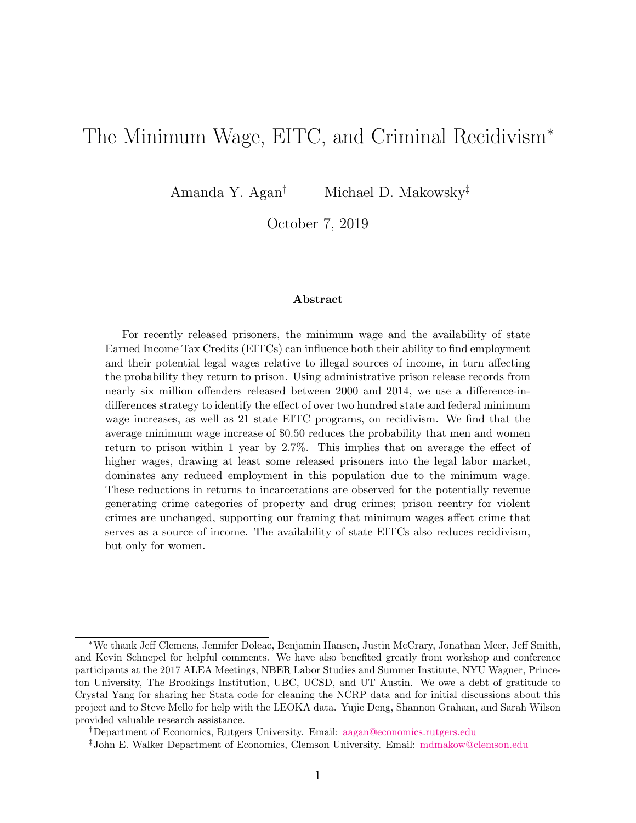## The Minimum Wage, EITC, and Criminal Recidivism<sup>∗</sup>

Amanda Y. Agan<sup>†</sup> Michael D. Makowsky<sup>‡</sup>

October 7, 2019

#### Abstract

For recently released prisoners, the minimum wage and the availability of state Earned Income Tax Credits (EITCs) can influence both their ability to find employment and their potential legal wages relative to illegal sources of income, in turn affecting the probability they return to prison. Using administrative prison release records from nearly six million offenders released between 2000 and 2014, we use a difference-indifferences strategy to identify the effect of over two hundred state and federal minimum wage increases, as well as 21 state EITC programs, on recidivism. We find that the average minimum wage increase of \$0.50 reduces the probability that men and women return to prison within 1 year by 2.7%. This implies that on average the effect of higher wages, drawing at least some released prisoners into the legal labor market, dominates any reduced employment in this population due to the minimum wage. These reductions in returns to incarcerations are observed for the potentially revenue generating crime categories of property and drug crimes; prison reentry for violent crimes are unchanged, supporting our framing that minimum wages affect crime that serves as a source of income. The availability of state EITCs also reduces recidivism, but only for women.

<sup>∗</sup>We thank Jeff Clemens, Jennifer Doleac, Benjamin Hansen, Justin McCrary, Jonathan Meer, Jeff Smith, and Kevin Schnepel for helpful comments. We have also benefited greatly from workshop and conference participants at the 2017 ALEA Meetings, NBER Labor Studies and Summer Institute, NYU Wagner, Princeton University, The Brookings Institution, UBC, UCSD, and UT Austin. We owe a debt of gratitude to Crystal Yang for sharing her Stata code for cleaning the NCRP data and for initial discussions about this project and to Steve Mello for help with the LEOKA data. Yujie Deng, Shannon Graham, and Sarah Wilson provided valuable research assistance.

<sup>†</sup>Department of Economics, Rutgers University. Email: [aagan@economics.rutgers.edu](mailto:aagan@economics.rutgers.edu)

<sup>‡</sup>John E. Walker Department of Economics, Clemson University. Email: [mdmakow@clemson.edu](mailto:mdmakow@clemson.edu)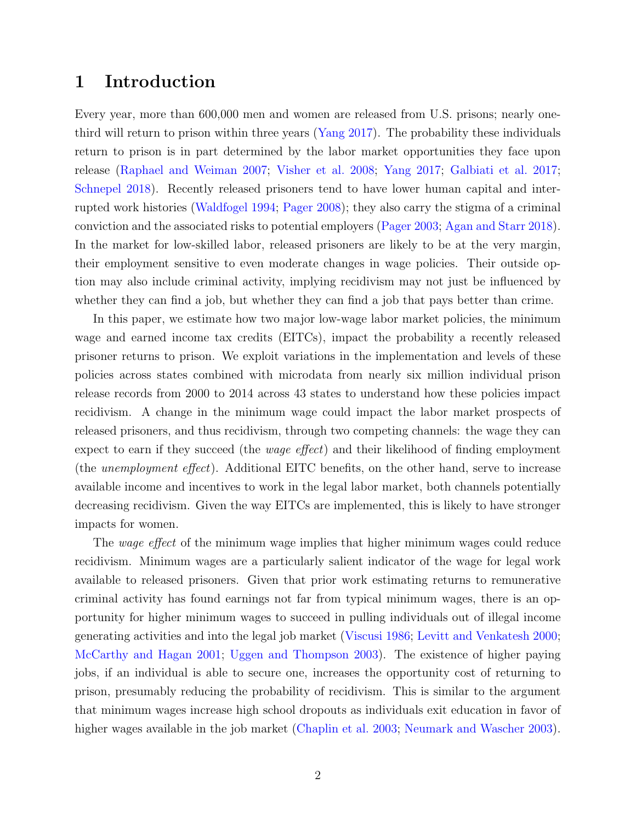### 1 Introduction

Every year, more than 600,000 men and women are released from U.S. prisons; nearly onethird will return to prison within three years [\(Yang](#page-31-0) [2017\)](#page-31-0). The probability these individuals return to prison is in part determined by the labor market opportunities they face upon release [\(Raphael and Weiman](#page-30-0) [2007;](#page-30-0) [Visher et al.](#page-31-1) [2008;](#page-31-1) [Yang](#page-31-0) [2017;](#page-31-0) [Galbiati et al.](#page-28-0) [2017;](#page-28-0) [Schnepel](#page-30-1) [2018\)](#page-30-1). Recently released prisoners tend to have lower human capital and interrupted work histories [\(Waldfogel](#page-31-2) [1994;](#page-31-2) [Pager](#page-30-2) [2008\)](#page-30-2); they also carry the stigma of a criminal conviction and the associated risks to potential employers [\(Pager](#page-30-3) [2003;](#page-30-3) [Agan and Starr](#page-26-0) [2018\)](#page-26-0). In the market for low-skilled labor, released prisoners are likely to be at the very margin, their employment sensitive to even moderate changes in wage policies. Their outside option may also include criminal activity, implying recidivism may not just be influenced by whether they can find a job, but whether they can find a job that pays better than crime.

In this paper, we estimate how two major low-wage labor market policies, the minimum wage and earned income tax credits (EITCs), impact the probability a recently released prisoner returns to prison. We exploit variations in the implementation and levels of these policies across states combined with microdata from nearly six million individual prison release records from 2000 to 2014 across 43 states to understand how these policies impact recidivism. A change in the minimum wage could impact the labor market prospects of released prisoners, and thus recidivism, through two competing channels: the wage they can expect to earn if they succeed (the wage effect) and their likelihood of finding employment (the unemployment effect). Additional EITC benefits, on the other hand, serve to increase available income and incentives to work in the legal labor market, both channels potentially decreasing recidivism. Given the way EITCs are implemented, this is likely to have stronger impacts for women.

The *wage effect* of the minimum wage implies that higher minimum wages could reduce recidivism. Minimum wages are a particularly salient indicator of the wage for legal work available to released prisoners. Given that prior work estimating returns to remunerative criminal activity has found earnings not far from typical minimum wages, there is an opportunity for higher minimum wages to succeed in pulling individuals out of illegal income generating activities and into the legal job market [\(Viscusi](#page-31-3) [1986;](#page-31-3) [Levitt and Venkatesh](#page-29-0) [2000;](#page-29-0) [McCarthy and Hagan](#page-29-1) [2001;](#page-29-1) [Uggen and Thompson](#page-30-4) [2003\)](#page-30-4). The existence of higher paying jobs, if an individual is able to secure one, increases the opportunity cost of returning to prison, presumably reducing the probability of recidivism. This is similar to the argument that minimum wages increase high school dropouts as individuals exit education in favor of higher wages available in the job market [\(Chaplin et al.](#page-26-1) [2003;](#page-26-1) [Neumark and Wascher](#page-29-2) [2003\)](#page-29-2).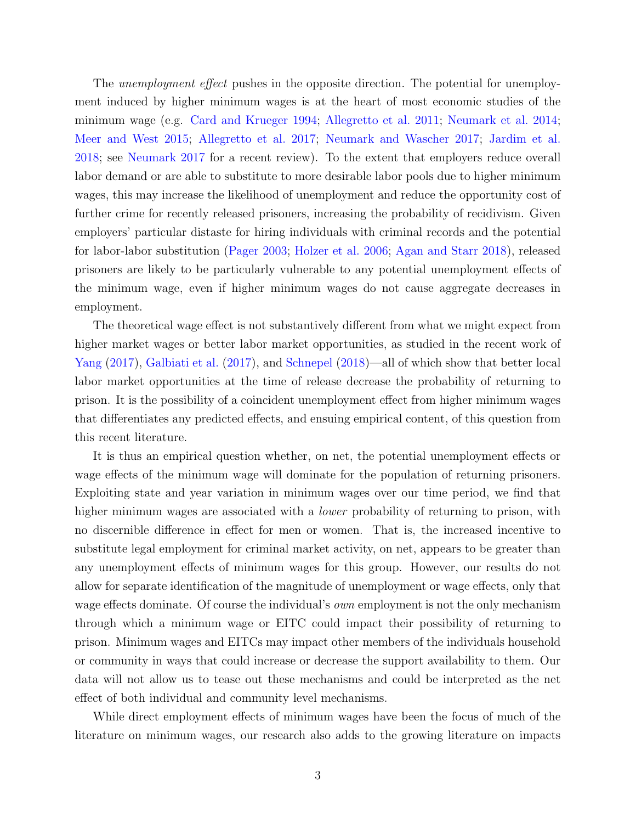The *unemployment effect* pushes in the opposite direction. The potential for unemployment induced by higher minimum wages is at the heart of most economic studies of the minimum wage (e.g. [Card and Krueger](#page-26-2) [1994;](#page-26-2) [Allegretto et al.](#page-26-3) [2011;](#page-26-3) [Neumark et al.](#page-29-3) [2014;](#page-29-3) [Meer and West](#page-29-4) [2015;](#page-29-4) [Allegretto et al.](#page-26-4) [2017;](#page-26-4) [Neumark and Wascher](#page-29-5) [2017;](#page-29-5) [Jardim et al.](#page-28-1) [2018;](#page-28-1) see [Neumark](#page-29-6) [2017](#page-29-6) for a recent review). To the extent that employers reduce overall labor demand or are able to substitute to more desirable labor pools due to higher minimum wages, this may increase the likelihood of unemployment and reduce the opportunity cost of further crime for recently released prisoners, increasing the probability of recidivism. Given employers' particular distaste for hiring individuals with criminal records and the potential for labor-labor substitution [\(Pager](#page-30-3) [2003;](#page-30-3) [Holzer et al.](#page-28-2) [2006;](#page-28-2) [Agan and Starr](#page-26-0) [2018\)](#page-26-0), released prisoners are likely to be particularly vulnerable to any potential unemployment effects of the minimum wage, even if higher minimum wages do not cause aggregate decreases in employment.

The theoretical wage effect is not substantively different from what we might expect from higher market wages or better labor market opportunities, as studied in the recent work of [Yang](#page-31-0) [\(2017\)](#page-31-0), [Galbiati et al.](#page-28-0) [\(2017\)](#page-28-0), and [Schnepel](#page-30-1) [\(2018\)](#page-30-1)—all of which show that better local labor market opportunities at the time of release decrease the probability of returning to prison. It is the possibility of a coincident unemployment effect from higher minimum wages that differentiates any predicted effects, and ensuing empirical content, of this question from this recent literature.

It is thus an empirical question whether, on net, the potential unemployment effects or wage effects of the minimum wage will dominate for the population of returning prisoners. Exploiting state and year variation in minimum wages over our time period, we find that higher minimum wages are associated with a *lower* probability of returning to prison, with no discernible difference in effect for men or women. That is, the increased incentive to substitute legal employment for criminal market activity, on net, appears to be greater than any unemployment effects of minimum wages for this group. However, our results do not allow for separate identification of the magnitude of unemployment or wage effects, only that wage effects dominate. Of course the individual's *own* employment is not the only mechanism through which a minimum wage or EITC could impact their possibility of returning to prison. Minimum wages and EITCs may impact other members of the individuals household or community in ways that could increase or decrease the support availability to them. Our data will not allow us to tease out these mechanisms and could be interpreted as the net effect of both individual and community level mechanisms.

While direct employment effects of minimum wages have been the focus of much of the literature on minimum wages, our research also adds to the growing literature on impacts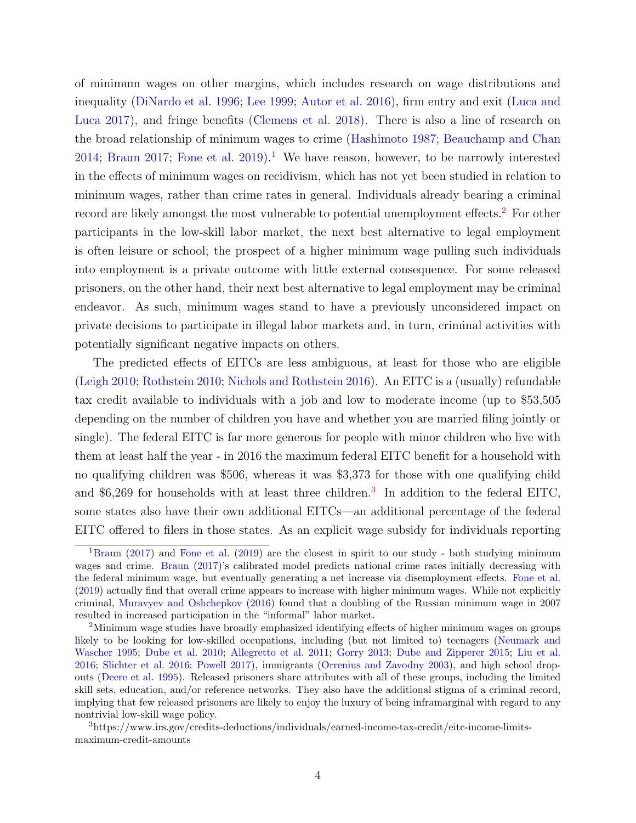of minimum wages on other margins, which includes research on wage distributions and inequality [\(DiNardo et al.](#page-27-0) [1996;](#page-27-0) [Lee](#page-28-3) [1999;](#page-28-3) [Autor et al.](#page-26-5) [2016\)](#page-26-5), firm entry and exit [\(Luca and](#page-29-7) [Luca](#page-29-7) [2017\)](#page-29-7), and fringe benefits [\(Clemens et al.](#page-26-6) [2018\)](#page-26-6). There is also a line of research on the broad relationship of minimum wages to crime [\(Hashimoto](#page-28-4) [1987;](#page-28-4) [Beauchamp and Chan](#page-26-7) [2014;](#page-26-7) [Braun](#page-26-8) [2017;](#page-26-8) [Fone et al.](#page-28-5) [2019\)](#page-28-5).<sup>[1](#page-3-0)</sup> We have reason, however, to be narrowly interested in the effects of minimum wages on recidivism, which has not yet been studied in relation to minimum wages, rather than crime rates in general. Individuals already bearing a criminal record are likely amongst the most vulnerable to potential unemployment effects.<sup>[2](#page-3-1)</sup> For other participants in the low-skill labor market, the next best alternative to legal employment is often leisure or school; the prospect of a higher minimum wage pulling such individuals into employment is a private outcome with little external consequence. For some released prisoners, on the other hand, their next best alternative to legal employment may be criminal endeavor. As such, minimum wages stand to have a previously unconsidered impact on private decisions to participate in illegal labor markets and, in turn, criminal activities with potentially significant negative impacts on others.

The predicted effects of EITCs are less ambiguous, at least for those who are eligible [\(Leigh](#page-29-8) [2010;](#page-29-8) [Rothstein](#page-30-5) [2010;](#page-30-5) [Nichols and Rothstein](#page-30-6) [2016\)](#page-30-6). An EITC is a (usually) refundable tax credit available to individuals with a job and low to moderate income (up to \$53,505 depending on the number of children you have and whether you are married filing jointly or single). The federal EITC is far more generous for people with minor children who live with them at least half the year - in 2016 the maximum federal EITC benefit for a household with no qualifying children was \$506, whereas it was \$3,373 for those with one qualifying child and \$6,269 for households with at least three children.<sup>[3](#page-3-2)</sup> In addition to the federal EITC, some states also have their own additional EITCs—an additional percentage of the federal EITC offered to filers in those states. As an explicit wage subsidy for individuals reporting

<span id="page-3-0"></span><sup>&</sup>lt;sup>1</sup>[Braun](#page-26-8) [\(2017\)](#page-26-8) and [Fone et al.](#page-28-5) [\(2019\)](#page-28-5) are the closest in spirit to our study - both studying minimum wages and crime. [Braun](#page-26-8) [\(2017\)](#page-26-8)'s calibrated model predicts national crime rates initially decreasing with the federal minimum wage, but eventually generating a net increase via disemployment effects. [Fone et al.](#page-28-5) [\(2019\)](#page-28-5) actually find that overall crime appears to increase with higher minimum wages. While not explicitly criminal, [Muravyev and Oshchepkov](#page-29-9) [\(2016\)](#page-29-9) found that a doubling of the Russian minimum wage in 2007 resulted in increased participation in the "informal" labor market.

<span id="page-3-1"></span><sup>&</sup>lt;sup>2</sup>Minimum wage studies have broadly emphasized identifying effects of higher minimum wages on groups likely to be looking for low-skilled occupations, including (but not limited to) teenagers [\(Neumark and](#page-29-10) [Wascher](#page-29-10) [1995;](#page-29-10) [Dube et al.](#page-27-1) [2010;](#page-27-1) [Allegretto et al.](#page-26-3) [2011;](#page-26-3) [Gorry](#page-28-6) [2013;](#page-28-6) [Dube and Zipperer](#page-27-2) [2015;](#page-27-2) [Liu et al.](#page-29-11) [2016;](#page-29-11) [Slichter et al.](#page-30-7) [2016;](#page-30-7) [Powell](#page-30-8) [2017\)](#page-30-8), immigrants [\(Orrenius and Zavodny](#page-30-9) [2003\)](#page-30-9), and high school dropouts [\(Deere et al.](#page-27-3) [1995\)](#page-27-3). Released prisoners share attributes with all of these groups, including the limited skill sets, education, and/or reference networks. They also have the additional stigma of a criminal record, implying that few released prisoners are likely to enjoy the luxury of being inframarginal with regard to any nontrivial low-skill wage policy.

<span id="page-3-2"></span><sup>3</sup>https://www.irs.gov/credits-deductions/individuals/earned-income-tax-credit/eitc-income-limitsmaximum-credit-amounts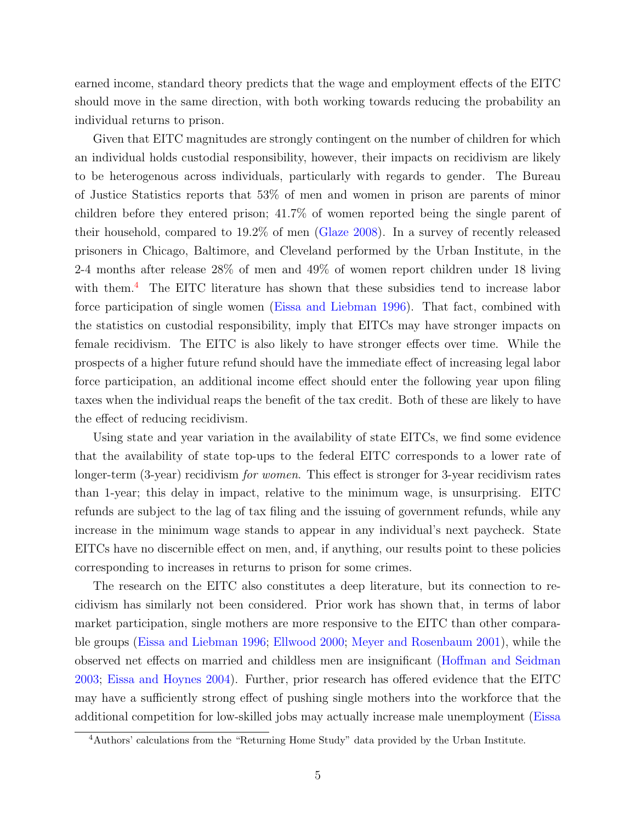earned income, standard theory predicts that the wage and employment effects of the EITC should move in the same direction, with both working towards reducing the probability an individual returns to prison.

Given that EITC magnitudes are strongly contingent on the number of children for which an individual holds custodial responsibility, however, their impacts on recidivism are likely to be heterogenous across individuals, particularly with regards to gender. The Bureau of Justice Statistics reports that 53% of men and women in prison are parents of minor children before they entered prison; 41.7% of women reported being the single parent of their household, compared to 19.2% of men [\(Glaze](#page-28-7) [2008\)](#page-28-7). In a survey of recently released prisoners in Chicago, Baltimore, and Cleveland performed by the Urban Institute, in the 2-4 months after release 28% of men and 49% of women report children under 18 living with them.<sup>[4](#page-4-0)</sup> The EITC literature has shown that these subsidies tend to increase labor force participation of single women [\(Eissa and Liebman](#page-28-8) [1996\)](#page-28-8). That fact, combined with the statistics on custodial responsibility, imply that EITCs may have stronger impacts on female recidivism. The EITC is also likely to have stronger effects over time. While the prospects of a higher future refund should have the immediate effect of increasing legal labor force participation, an additional income effect should enter the following year upon filing taxes when the individual reaps the benefit of the tax credit. Both of these are likely to have the effect of reducing recidivism.

Using state and year variation in the availability of state EITCs, we find some evidence that the availability of state top-ups to the federal EITC corresponds to a lower rate of longer-term (3-year) recidivism for women. This effect is stronger for 3-year recidivism rates than 1-year; this delay in impact, relative to the minimum wage, is unsurprising. EITC refunds are subject to the lag of tax filing and the issuing of government refunds, while any increase in the minimum wage stands to appear in any individual's next paycheck. State EITCs have no discernible effect on men, and, if anything, our results point to these policies corresponding to increases in returns to prison for some crimes.

The research on the EITC also constitutes a deep literature, but its connection to recidivism has similarly not been considered. Prior work has shown that, in terms of labor market participation, single mothers are more responsive to the EITC than other comparable groups [\(Eissa and Liebman](#page-28-8) [1996;](#page-28-8) [Ellwood](#page-28-9) [2000;](#page-28-9) [Meyer and Rosenbaum](#page-29-12) [2001\)](#page-29-12), while the observed net effects on married and childless men are insignificant [\(Hoffman and Seidman](#page-28-10) [2003;](#page-28-10) [Eissa and Hoynes](#page-27-4) [2004\)](#page-27-4). Further, prior research has offered evidence that the EITC may have a sufficiently strong effect of pushing single mothers into the workforce that the additional competition for low-skilled jobs may actually increase male unemployment [\(Eissa](#page-28-8)

<span id="page-4-0"></span><sup>4</sup>[Authors' calculations from the "Returning Home Study" data provided by the Urban Institute.](#page-28-8)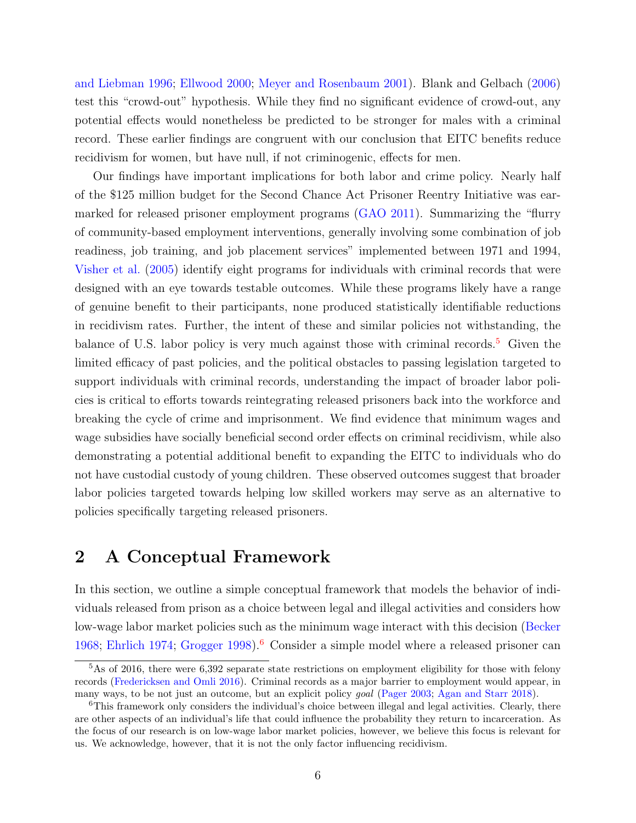[and Liebman](#page-28-8) [1996;](#page-28-8) [Ellwood](#page-28-9) [2000;](#page-28-9) [Meyer and Rosenbaum](#page-29-12) [2001\)](#page-29-12). Blank and Gelbach [\(2006\)](#page-26-9) test this "crowd-out" hypothesis. While they find no significant evidence of crowd-out, any potential effects would nonetheless be predicted to be stronger for males with a criminal record. These earlier findings are congruent with our conclusion that EITC benefits reduce recidivism for women, but have null, if not criminogenic, effects for men.

Our findings have important implications for both labor and crime policy. Nearly half of the \$125 million budget for the Second Chance Act Prisoner Reentry Initiative was earmarked for released prisoner employment programs [\(GAO](#page-28-11) [2011\)](#page-28-11). Summarizing the "flurry of community-based employment interventions, generally involving some combination of job readiness, job training, and job placement services" implemented between 1971 and 1994, [Visher et al.](#page-31-4) [\(2005\)](#page-31-4) identify eight programs for individuals with criminal records that were designed with an eye towards testable outcomes. While these programs likely have a range of genuine benefit to their participants, none produced statistically identifiable reductions in recidivism rates. Further, the intent of these and similar policies not withstanding, the balance of U.S. labor policy is very much against those with criminal records.<sup>[5](#page-5-0)</sup> Given the limited efficacy of past policies, and the political obstacles to passing legislation targeted to support individuals with criminal records, understanding the impact of broader labor policies is critical to efforts towards reintegrating released prisoners back into the workforce and breaking the cycle of crime and imprisonment. We find evidence that minimum wages and wage subsidies have socially beneficial second order effects on criminal recidivism, while also demonstrating a potential additional benefit to expanding the EITC to individuals who do not have custodial custody of young children. These observed outcomes suggest that broader labor policies targeted towards helping low skilled workers may serve as an alternative to policies specifically targeting released prisoners.

### 2 A Conceptual Framework

In this section, we outline a simple conceptual framework that models the behavior of individuals released from prison as a choice between legal and illegal activities and considers how low-wage labor market policies such as the minimum wage interact with this decision [\(Becker](#page-26-10) [1968;](#page-26-10) [Ehrlich](#page-27-5) [1974;](#page-27-5) [Grogger](#page-28-12) [1998\)](#page-28-12).<sup>[6](#page-5-1)</sup> Consider a simple model where a released prisoner can

<span id="page-5-0"></span><sup>&</sup>lt;sup>5</sup>As of 2016, there were 6,392 separate state restrictions on employment eligibility for those with felony records [\(Fredericksen and Omli](#page-28-13) [2016\)](#page-28-13). Criminal records as a major barrier to employment would appear, in many ways, to be not just an outcome, but an explicit policy goal [\(Pager](#page-30-3) [2003;](#page-30-3) [Agan and Starr](#page-26-0) [2018\)](#page-26-0).

<span id="page-5-1"></span><sup>&</sup>lt;sup>6</sup>This framework only considers the individual's choice between illegal and legal activities. Clearly, there are other aspects of an individual's life that could influence the probability they return to incarceration. As the focus of our research is on low-wage labor market policies, however, we believe this focus is relevant for us. We acknowledge, however, that it is not the only factor influencing recidivism.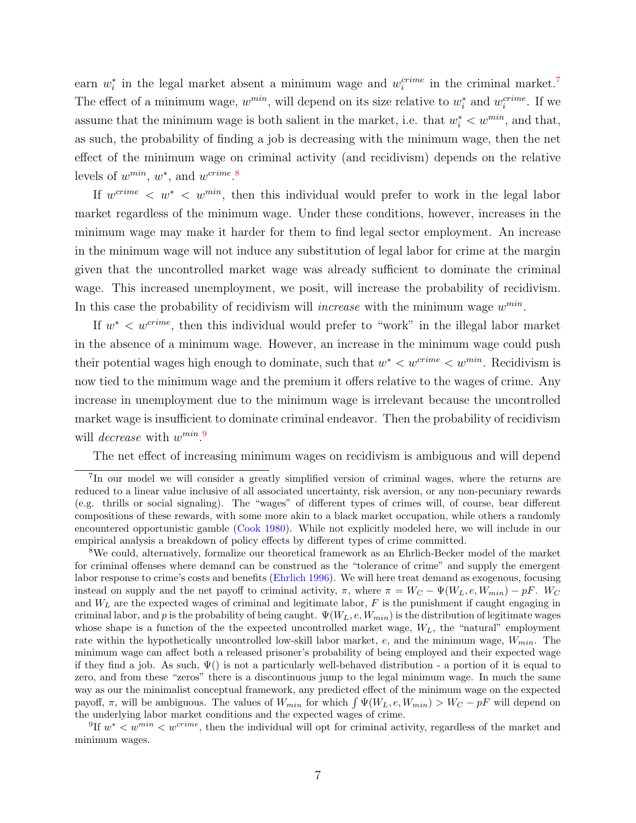earn  $w_i^*$  in the legal market absent a minimum wage and  $w_i^{crime}$  in the criminal market.<sup>[7](#page-6-0)</sup> The effect of a minimum wage,  $w^{min}$ , will depend on its size relative to  $w_i^*$  and  $w_i^{crime}$ . If we assume that the minimum wage is both salient in the market, i.e. that  $w_i^* < w^{min}$ , and that, as such, the probability of finding a job is decreasing with the minimum wage, then the net effect of the minimum wage on criminal activity (and recidivism) depends on the relative levels of  $w^{min}$ ,  $w^*$ , and  $w^{crime}$ .<sup>[8](#page-6-1)</sup>

If  $w^{crime} < w^* < w^{min}$ , then this individual would prefer to work in the legal labor market regardless of the minimum wage. Under these conditions, however, increases in the minimum wage may make it harder for them to find legal sector employment. An increase in the minimum wage will not induce any substitution of legal labor for crime at the margin given that the uncontrolled market wage was already sufficient to dominate the criminal wage. This increased unemployment, we posit, will increase the probability of recidivism. In this case the probability of recidivism will *increase* with the minimum wage  $w^{min}$ .

If  $w^*$  <  $w^{crime}$ , then this individual would prefer to "work" in the illegal labor market in the absence of a minimum wage. However, an increase in the minimum wage could push their potential wages high enough to dominate, such that  $w^* < w^{crime} < w^{min}$ . Recidivism is now tied to the minimum wage and the premium it offers relative to the wages of crime. Any increase in unemployment due to the minimum wage is irrelevant because the uncontrolled market wage is insufficient to dominate criminal endeavor. Then the probability of recidivism will *decrease* with  $w^{min}$ .<sup>[9](#page-6-2)</sup>

<span id="page-6-0"></span>The net effect of increasing minimum wages on recidivism is ambiguous and will depend

<span id="page-6-2"></span><sup>9</sup>If  $w^* < w^{min} < w^{crime}$ , then the individual will opt for criminal activity, regardless of the market and minimum wages.

<sup>&</sup>lt;sup>7</sup>In our model we will consider a greatly simplified version of criminal wages, where the returns are reduced to a linear value inclusive of all associated uncertainty, risk aversion, or any non-pecuniary rewards (e.g. thrills or social signaling). The "wages" of different types of crimes will, of course, bear different compositions of these rewards, with some more akin to a black market occupation, while others a randomly encountered opportunistic gamble [\(Cook](#page-27-6) [1980\)](#page-27-6). While not explicitly modeled here, we will include in our empirical analysis a breakdown of policy effects by different types of crime committed.

<span id="page-6-1"></span><sup>8</sup>We could, alternatively, formalize our theoretical framework as an Ehrlich-Becker model of the market for criminal offenses where demand can be construed as the "tolerance of crime" and supply the emergent labor response to crime's costs and benefits [\(Ehrlich](#page-27-7) [1996\)](#page-27-7). We will here treat demand as exogenous, focusing instead on supply and the net payoff to criminal activity,  $\pi$ , where  $\pi = W_C - \Psi(W_L, e, W_{min}) - pF$ . W<sub>C</sub> and  $W_L$  are the expected wages of criminal and legitimate labor,  $F$  is the punishment if caught engaging in criminal labor, and p is the probability of being caught.  $\Psi(W_L, e, W_{min})$  is the distribution of legitimate wages whose shape is a function of the the expected uncontrolled market wage,  $W_L$ , the "natural" employment rate within the hypothetically uncontrolled low-skill labor market,  $e$ , and the minimum wage,  $W_{min}$ . The minimum wage can affect both a released prisoner's probability of being employed and their expected wage if they find a job. As such,  $\Psi()$  is not a particularly well-behaved distribution - a portion of it is equal to zero, and from these "zeros" there is a discontinuous jump to the legal minimum wage. In much the same way as our the minimalist conceptual framework, any predicted effect of the minimum wage on the expected payoff,  $\pi$ , will be ambiguous. The values of  $W_{min}$  for which  $\int \Psi(W_L, e, W_{min}) > W_C - pF$  will depend on the underlying labor market conditions and the expected wages of crime.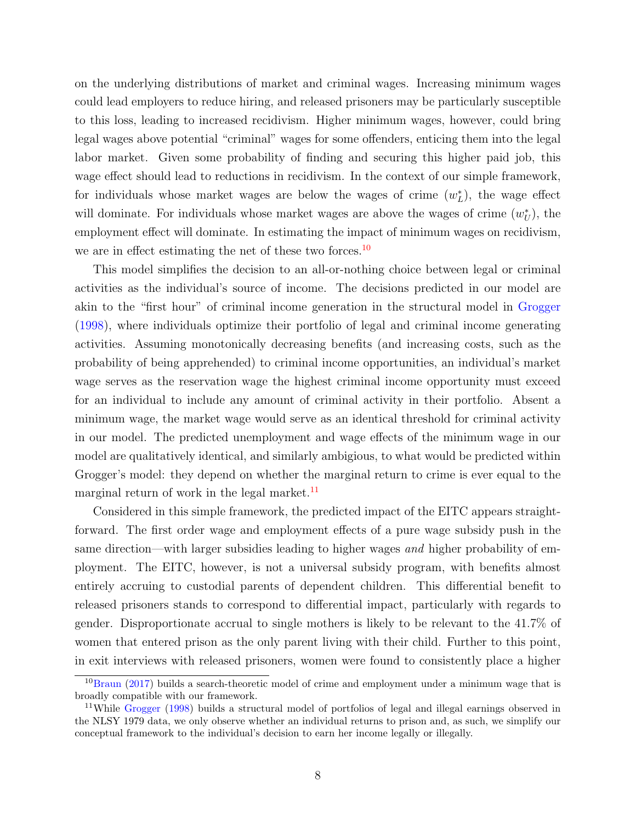on the underlying distributions of market and criminal wages. Increasing minimum wages could lead employers to reduce hiring, and released prisoners may be particularly susceptible to this loss, leading to increased recidivism. Higher minimum wages, however, could bring legal wages above potential "criminal" wages for some offenders, enticing them into the legal labor market. Given some probability of finding and securing this higher paid job, this wage effect should lead to reductions in recidivism. In the context of our simple framework, for individuals whose market wages are below the wages of crime  $(w<sub>L</sub><sup>*</sup>)$ , the wage effect will dominate. For individuals whose market wages are above the wages of crime  $(w_U^*)$ , the employment effect will dominate. In estimating the impact of minimum wages on recidivism, we are in effect estimating the net of these two forces.<sup>[10](#page-7-0)</sup>

This model simplifies the decision to an all-or-nothing choice between legal or criminal activities as the individual's source of income. The decisions predicted in our model are akin to the "first hour" of criminal income generation in the structural model in [Grogger](#page-28-12) [\(1998\)](#page-28-12), where individuals optimize their portfolio of legal and criminal income generating activities. Assuming monotonically decreasing benefits (and increasing costs, such as the probability of being apprehended) to criminal income opportunities, an individual's market wage serves as the reservation wage the highest criminal income opportunity must exceed for an individual to include any amount of criminal activity in their portfolio. Absent a minimum wage, the market wage would serve as an identical threshold for criminal activity in our model. The predicted unemployment and wage effects of the minimum wage in our model are qualitatively identical, and similarly ambigious, to what would be predicted within Grogger's model: they depend on whether the marginal return to crime is ever equal to the marginal return of work in the legal market. $^{11}$  $^{11}$  $^{11}$ 

Considered in this simple framework, the predicted impact of the EITC appears straightforward. The first order wage and employment effects of a pure wage subsidy push in the same direction—with larger subsidies leading to higher wages and higher probability of employment. The EITC, however, is not a universal subsidy program, with benefits almost entirely accruing to custodial parents of dependent children. This differential benefit to released prisoners stands to correspond to differential impact, particularly with regards to gender. Disproportionate accrual to single mothers is likely to be relevant to the 41.7% of women that entered prison as the only parent living with their child. Further to this point, in exit interviews with released prisoners, women were found to consistently place a higher

<span id="page-7-0"></span> $10$ [Braun](#page-26-8) [\(2017\)](#page-26-8) builds a search-theoretic model of crime and employment under a minimum wage that is broadly compatible with our framework.

<span id="page-7-1"></span><sup>&</sup>lt;sup>11</sup>While [Grogger](#page-28-12) [\(1998\)](#page-28-12) builds a structural model of portfolios of legal and illegal earnings observed in the NLSY 1979 data, we only observe whether an individual returns to prison and, as such, we simplify our conceptual framework to the individual's decision to earn her income legally or illegally.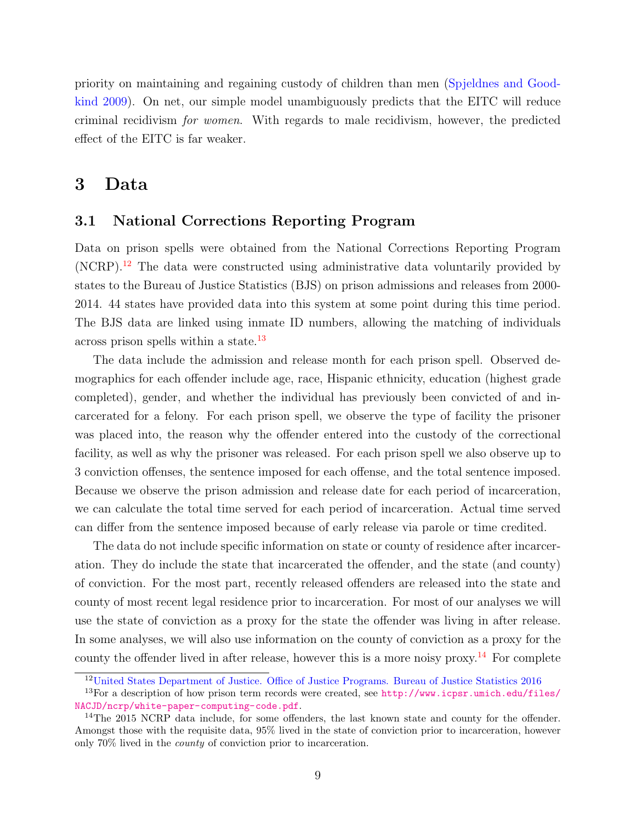priority on maintaining and regaining custody of children than men [\(Spjeldnes and Good](#page-30-10)[kind](#page-30-10) [2009\)](#page-30-10). On net, our simple model unambiguously predicts that the EITC will reduce criminal recidivism for women. With regards to male recidivism, however, the predicted effect of the EITC is far weaker.

### 3 Data

#### 3.1 National Corrections Reporting Program

Data on prison spells were obtained from the National Corrections Reporting Program (NCRP).[12](#page-8-0) The data were constructed using administrative data voluntarily provided by states to the Bureau of Justice Statistics (BJS) on prison admissions and releases from 2000- 2014. 44 states have provided data into this system at some point during this time period. The BJS data are linked using inmate ID numbers, allowing the matching of individuals across prison spells within a state.[13](#page-8-1)

The data include the admission and release month for each prison spell. Observed demographics for each offender include age, race, Hispanic ethnicity, education (highest grade completed), gender, and whether the individual has previously been convicted of and incarcerated for a felony. For each prison spell, we observe the type of facility the prisoner was placed into, the reason why the offender entered into the custody of the correctional facility, as well as why the prisoner was released. For each prison spell we also observe up to 3 conviction offenses, the sentence imposed for each offense, and the total sentence imposed. Because we observe the prison admission and release date for each period of incarceration, we can calculate the total time served for each period of incarceration. Actual time served can differ from the sentence imposed because of early release via parole or time credited.

The data do not include specific information on state or county of residence after incarceration. They do include the state that incarcerated the offender, and the state (and county) of conviction. For the most part, recently released offenders are released into the state and county of most recent legal residence prior to incarceration. For most of our analyses we will use the state of conviction as a proxy for the state the offender was living in after release. In some analyses, we will also use information on the county of conviction as a proxy for the county the offender lived in after release, however this is a more noisy proxy.<sup>[14](#page-8-2)</sup> For complete

<span id="page-8-1"></span><span id="page-8-0"></span><sup>12</sup>[United States Department of Justice. Office of Justice Programs. Bureau of Justice Statistics](#page-30-11) [2016](#page-30-11)

<sup>&</sup>lt;sup>13</sup>For a description of how prison term records were created, see [http://www.icpsr.umich.edu/files/](http://www.icpsr.umich.edu/files/NACJD/ncrp/white-paper-computing-code.pdf) [NACJD/ncrp/white-paper-computing-code.pdf](http://www.icpsr.umich.edu/files/NACJD/ncrp/white-paper-computing-code.pdf).

<span id="page-8-2"></span><sup>&</sup>lt;sup>14</sup>The 2015 NCRP data include, for some offenders, the last known state and county for the offender. Amongst those with the requisite data, 95% lived in the state of conviction prior to incarceration, however only 70% lived in the county of conviction prior to incarceration.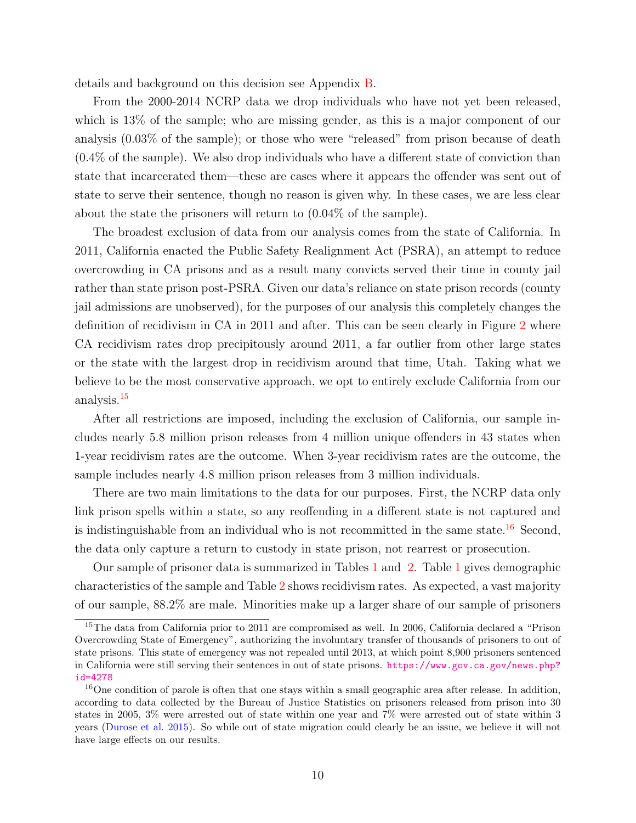details and background on this decision see Appendix [B.](#page-49-0)

From the 2000-2014 NCRP data we drop individuals who have not yet been released, which is  $13\%$  of the sample; who are missing gender, as this is a major component of our analysis (0.03% of the sample); or those who were "released" from prison because of death (0.4% of the sample). We also drop individuals who have a different state of conviction than state that incarcerated them—these are cases where it appears the offender was sent out of state to serve their sentence, though no reason is given why. In these cases, we are less clear about the state the prisoners will return to (0.04% of the sample).

The broadest exclusion of data from our analysis comes from the state of California. In 2011, California enacted the Public Safety Realignment Act (PSRA), an attempt to reduce overcrowding in CA prisons and as a result many convicts served their time in county jail rather than state prison post-PSRA. Given our data's reliance on state prison records (county jail admissions are unobserved), for the purposes of our analysis this completely changes the definition of recidivism in CA in 2011 and after. This can be seen clearly in Figure [2](#page-33-0) where CA recidivism rates drop precipitously around 2011, a far outlier from other large states or the state with the largest drop in recidivism around that time, Utah. Taking what we believe to be the most conservative approach, we opt to entirely exclude California from our analysis.[15](#page-9-0)

After all restrictions are imposed, including the exclusion of California, our sample includes nearly 5.8 million prison releases from 4 million unique offenders in 43 states when 1-year recidivism rates are the outcome. When 3-year recidivism rates are the outcome, the sample includes nearly 4.8 million prison releases from 3 million individuals.

There are two main limitations to the data for our purposes. First, the NCRP data only link prison spells within a state, so any reoffending in a different state is not captured and is indistinguishable from an individual who is not recommitted in the same state.<sup>[16](#page-9-1)</sup> Second, the data only capture a return to custody in state prison, not rearrest or prosecution.

Our sample of prisoner data is summarized in Tables [1](#page-37-0) and [2.](#page-38-0) Table [1](#page-37-0) gives demographic characteristics of the sample and Table [2](#page-38-0) shows recidivism rates. As expected, a vast majority of our sample, 88.2% are male. Minorities make up a larger share of our sample of prisoners

<span id="page-9-0"></span><sup>&</sup>lt;sup>15</sup>The data from California prior to 2011 are compromised as well. In 2006, California declared a "Prison" Overcrowding State of Emergency", authorizing the involuntary transfer of thousands of prisoners to out of state prisons. This state of emergency was not repealed until 2013, at which point 8,900 prisoners sentenced in California were still serving their sentences in out of state prisons. [https://www.gov.ca.gov/news.php?](https://www.gov.ca.gov/news.php?id=4278) [id=4278](https://www.gov.ca.gov/news.php?id=4278)

<span id="page-9-1"></span><sup>&</sup>lt;sup>16</sup>One condition of parole is often that one stays within a small geographic area after release. In addition, according to data collected by the Bureau of Justice Statistics on prisoners released from prison into 30 states in 2005, 3% were arrested out of state within one year and 7% were arrested out of state within 3 years [\(Durose et al.](#page-27-8) [2015\)](#page-27-8). So while out of state migration could clearly be an issue, we believe it will not have large effects on our results.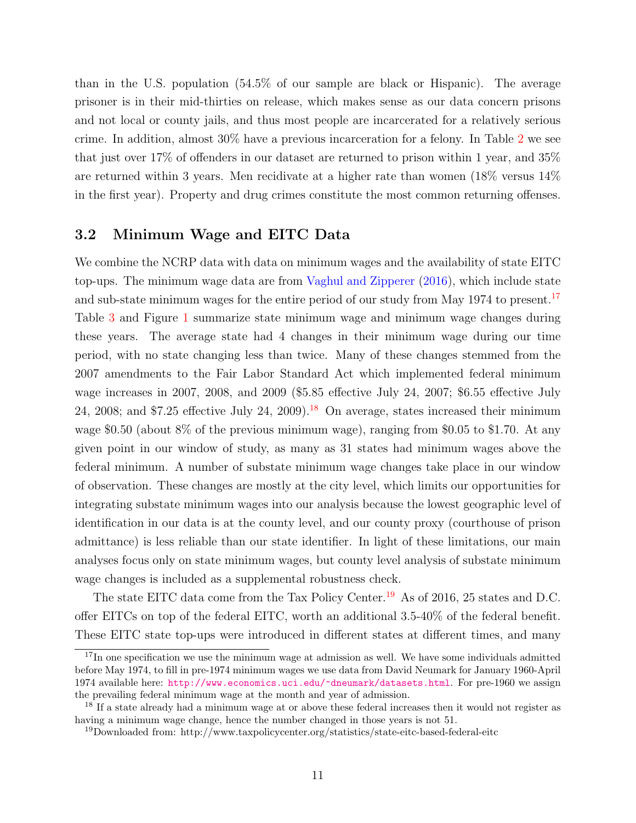than in the U.S. population (54.5% of our sample are black or Hispanic). The average prisoner is in their mid-thirties on release, which makes sense as our data concern prisons and not local or county jails, and thus most people are incarcerated for a relatively serious crime. In addition, almost 30% have a previous incarceration for a felony. In Table [2](#page-38-0) we see that just over 17% of offenders in our dataset are returned to prison within 1 year, and 35% are returned within 3 years. Men recidivate at a higher rate than women (18% versus 14% in the first year). Property and drug crimes constitute the most common returning offenses.

#### 3.2 Minimum Wage and EITC Data

We combine the NCRP data with data on minimum wages and the availability of state EITC top-ups. The minimum wage data are from [Vaghul and Zipperer](#page-30-12) [\(2016\)](#page-30-12), which include state and sub-state minimum wages for the entire period of our study from May 1974 to present.<sup>[17](#page-10-0)</sup> Table [3](#page-38-1) and Figure [1](#page-32-0) summarize state minimum wage and minimum wage changes during these years. The average state had 4 changes in their minimum wage during our time period, with no state changing less than twice. Many of these changes stemmed from the 2007 amendments to the Fair Labor Standard Act which implemented federal minimum wage increases in 2007, 2008, and 2009 (\$5.85 effective July 24, 2007; \$6.55 effective July 24, 2008; and \$7.25 effective July 24, 2009).<sup>[18](#page-10-1)</sup> On average, states increased their minimum wage  $$0.50$  (about  $8\%$  of the previous minimum wage), ranging from  $$0.05$  to  $$1.70$ . At any given point in our window of study, as many as 31 states had minimum wages above the federal minimum. A number of substate minimum wage changes take place in our window of observation. These changes are mostly at the city level, which limits our opportunities for integrating substate minimum wages into our analysis because the lowest geographic level of identification in our data is at the county level, and our county proxy (courthouse of prison admittance) is less reliable than our state identifier. In light of these limitations, our main analyses focus only on state minimum wages, but county level analysis of substate minimum wage changes is included as a supplemental robustness check.

The state EITC data come from the Tax Policy Center.<sup>[19](#page-10-2)</sup> As of 2016, 25 states and D.C. offer EITCs on top of the federal EITC, worth an additional 3.5-40% of the federal benefit. These EITC state top-ups were introduced in different states at different times, and many

<span id="page-10-0"></span><sup>&</sup>lt;sup>17</sup>In one specification we use the minimum wage at admission as well. We have some individuals admitted before May 1974, to fill in pre-1974 minimum wages we use data from David Neumark for January 1960-April 1974 available here: <http://www.economics.uci.edu/~dneumark/datasets.html>. For pre-1960 we assign the prevailing federal minimum wage at the month and year of admission.

<span id="page-10-1"></span><sup>&</sup>lt;sup>18</sup> If a state already had a minimum wage at or above these federal increases then it would not register as having a minimum wage change, hence the number changed in those years is not 51.

<span id="page-10-2"></span><sup>19</sup>Downloaded from: http://www.taxpolicycenter.org/statistics/state-eitc-based-federal-eitc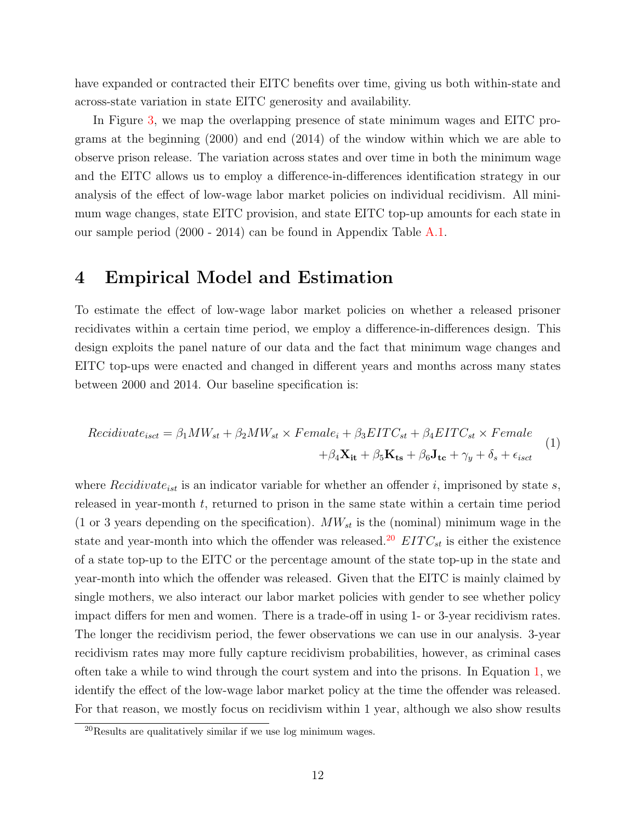<span id="page-11-3"></span>have expanded or contracted their EITC benefits over time, giving us both within-state and across-state variation in state EITC generosity and availability.

In Figure [3,](#page-34-0) we map the overlapping presence of state minimum wages and EITC programs at the beginning (2000) and end (2014) of the window within which we are able to observe prison release. The variation across states and over time in both the minimum wage and the EITC allows us to employ a difference-in-differences identification strategy in our analysis of the effect of low-wage labor market policies on individual recidivism. All minimum wage changes, state EITC provision, and state EITC top-up amounts for each state in our sample period (2000 - 2014) can be found in Appendix Table [A.1.](#page-47-0)

### <span id="page-11-2"></span>4 Empirical Model and Estimation

To estimate the effect of low-wage labor market policies on whether a released prisoner recidivates within a certain time period, we employ a difference-in-differences design. This design exploits the panel nature of our data and the fact that minimum wage changes and EITC top-ups were enacted and changed in different years and months across many states between 2000 and 2014. Our baseline specification is:

<span id="page-11-1"></span>
$$
Recidivate_{isct} = \beta_1 MW_{st} + \beta_2 MW_{st} \times Female_i + \beta_3 EITC_{st} + \beta_4 EITC_{st} \times Female + \beta_4 \mathbf{X_{it}} + \beta_5 \mathbf{K_{ts}} + \beta_6 \mathbf{J_{tc}} + \gamma_y + \delta_s + \epsilon_{isct}
$$
\n
$$
(1)
$$

where  $Recidivate_{ist}$  is an indicator variable for whether an offender i, imprisoned by state s, released in year-month t, returned to prison in the same state within a certain time period (1 or 3 years depending on the specification).  $MW_{st}$  is the (nominal) minimum wage in the state and year-month into which the offender was released.<sup>[20](#page-11-0)</sup>  $EITC_{st}$  is either the existence of a state top-up to the EITC or the percentage amount of the state top-up in the state and year-month into which the offender was released. Given that the EITC is mainly claimed by single mothers, we also interact our labor market policies with gender to see whether policy impact differs for men and women. There is a trade-off in using 1- or 3-year recidivism rates. The longer the recidivism period, the fewer observations we can use in our analysis. 3-year recidivism rates may more fully capture recidivism probabilities, however, as criminal cases often take a while to wind through the court system and into the prisons. In Equation [1,](#page-11-1) we identify the effect of the low-wage labor market policy at the time the offender was released. For that reason, we mostly focus on recidivism within 1 year, although we also show results

<span id="page-11-0"></span><sup>20</sup>Results are qualitatively similar if we use log minimum wages.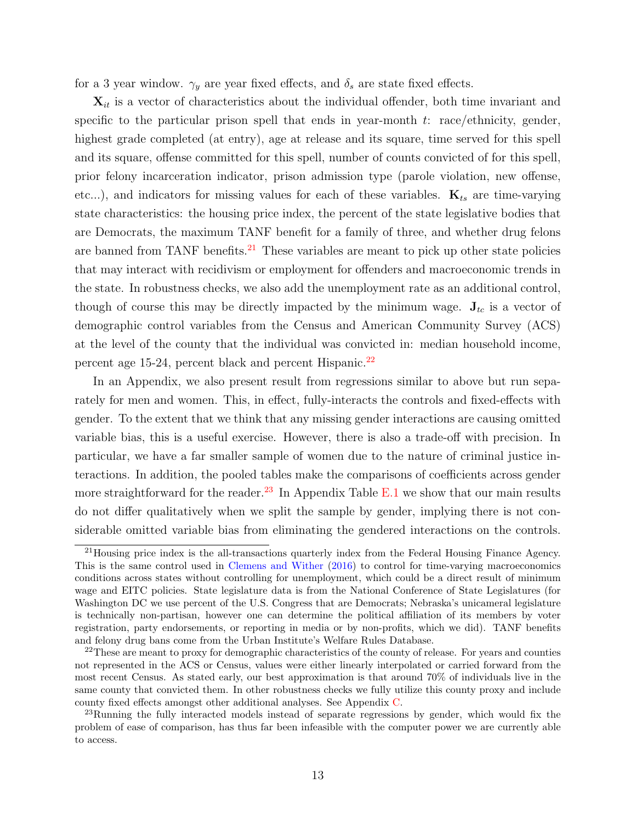for a 3 year window.  $\gamma_y$  are year fixed effects, and  $\delta_s$  are state fixed effects.

 $\mathbf{X}_{it}$  is a vector of characteristics about the individual offender, both time invariant and specific to the particular prison spell that ends in year-month  $t$ : race/ethnicity, gender, highest grade completed (at entry), age at release and its square, time served for this spell and its square, offense committed for this spell, number of counts convicted of for this spell, prior felony incarceration indicator, prison admission type (parole violation, new offense, etc...), and indicators for missing values for each of these variables.  $\mathbf{K}_{ts}$  are time-varying state characteristics: the housing price index, the percent of the state legislative bodies that are Democrats, the maximum TANF benefit for a family of three, and whether drug felons are banned from TANF benefits.<sup>[21](#page-12-0)</sup> These variables are meant to pick up other state policies that may interact with recidivism or employment for offenders and macroeconomic trends in the state. In robustness checks, we also add the unemployment rate as an additional control, though of course this may be directly impacted by the minimum wage.  $J_{tc}$  is a vector of demographic control variables from the Census and American Community Survey (ACS) at the level of the county that the individual was convicted in: median household income, percent age 15-24, percent black and percent Hispanic. $^{22}$  $^{22}$  $^{22}$ 

In an Appendix, we also present result from regressions similar to above but run separately for men and women. This, in effect, fully-interacts the controls and fixed-effects with gender. To the extent that we think that any missing gender interactions are causing omitted variable bias, this is a useful exercise. However, there is also a trade-off with precision. In particular, we have a far smaller sample of women due to the nature of criminal justice interactions. In addition, the pooled tables make the comparisons of coefficients across gender more straightforward for the reader.<sup>[23](#page-12-2)</sup> In Appendix Table [E.1](#page-57-0) we show that our main results do not differ qualitatively when we split the sample by gender, implying there is not considerable omitted variable bias from eliminating the gendered interactions on the controls.

<span id="page-12-0"></span><sup>21</sup>Housing price index is the all-transactions quarterly index from the Federal Housing Finance Agency. This is the same control used in [Clemens and Wither](#page-27-9) [\(2016\)](#page-27-9) to control for time-varying macroeconomics conditions across states without controlling for unemployment, which could be a direct result of minimum wage and EITC policies. State legislature data is from the National Conference of State Legislatures (for Washington DC we use percent of the U.S. Congress that are Democrats; Nebraska's unicameral legislature is technically non-partisan, however one can determine the political affiliation of its members by voter registration, party endorsements, or reporting in media or by non-profits, which we did). TANF benefits and felony drug bans come from the Urban Institute's Welfare Rules Database.

<span id="page-12-1"></span> $22$ These are meant to proxy for demographic characteristics of the county of release. For years and counties not represented in the ACS or Census, values were either linearly interpolated or carried forward from the most recent Census. As stated early, our best approximation is that around 70% of individuals live in the same county that convicted them. In other robustness checks we fully utilize this county proxy and include county fixed effects amongst other additional analyses. See Appendix [C.](#page-51-0)

<span id="page-12-2"></span><sup>&</sup>lt;sup>23</sup>Running the fully interacted models instead of separate regressions by gender, which would fix the problem of ease of comparison, has thus far been infeasible with the computer power we are currently able to access.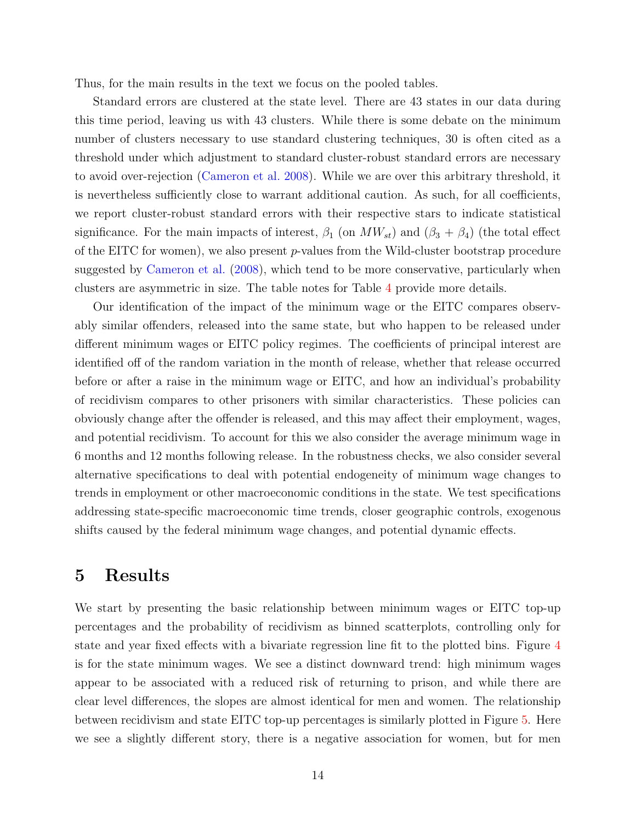Thus, for the main results in the text we focus on the pooled tables.

Standard errors are clustered at the state level. There are 43 states in our data during this time period, leaving us with 43 clusters. While there is some debate on the minimum number of clusters necessary to use standard clustering techniques, 30 is often cited as a threshold under which adjustment to standard cluster-robust standard errors are necessary to avoid over-rejection [\(Cameron et al.](#page-26-11) [2008\)](#page-26-11). While we are over this arbitrary threshold, it is nevertheless sufficiently close to warrant additional caution. As such, for all coefficients, we report cluster-robust standard errors with their respective stars to indicate statistical significance. For the main impacts of interest,  $\beta_1$  (on  $MW_{st}$ ) and  $(\beta_3 + \beta_4)$  (the total effect of the EITC for women), we also present  $p$ -values from the Wild-cluster bootstrap procedure suggested by [Cameron et al.](#page-26-11) [\(2008\)](#page-26-11), which tend to be more conservative, particularly when clusters are asymmetric in size. The table notes for Table [4](#page-39-0) provide more details.

Our identification of the impact of the minimum wage or the EITC compares observably similar offenders, released into the same state, but who happen to be released under different minimum wages or EITC policy regimes. The coefficients of principal interest are identified off of the random variation in the month of release, whether that release occurred before or after a raise in the minimum wage or EITC, and how an individual's probability of recidivism compares to other prisoners with similar characteristics. These policies can obviously change after the offender is released, and this may affect their employment, wages, and potential recidivism. To account for this we also consider the average minimum wage in 6 months and 12 months following release. In the robustness checks, we also consider several alternative specifications to deal with potential endogeneity of minimum wage changes to trends in employment or other macroeconomic conditions in the state. We test specifications addressing state-specific macroeconomic time trends, closer geographic controls, exogenous shifts caused by the federal minimum wage changes, and potential dynamic effects.

### 5 Results

We start by presenting the basic relationship between minimum wages or EITC top-up percentages and the probability of recidivism as binned scatterplots, controlling only for state and year fixed effects with a bivariate regression line fit to the plotted bins. Figure [4](#page-35-0) is for the state minimum wages. We see a distinct downward trend: high minimum wages appear to be associated with a reduced risk of returning to prison, and while there are clear level differences, the slopes are almost identical for men and women. The relationship between recidivism and state EITC top-up percentages is similarly plotted in Figure [5.](#page-36-0) Here we see a slightly different story, there is a negative association for women, but for men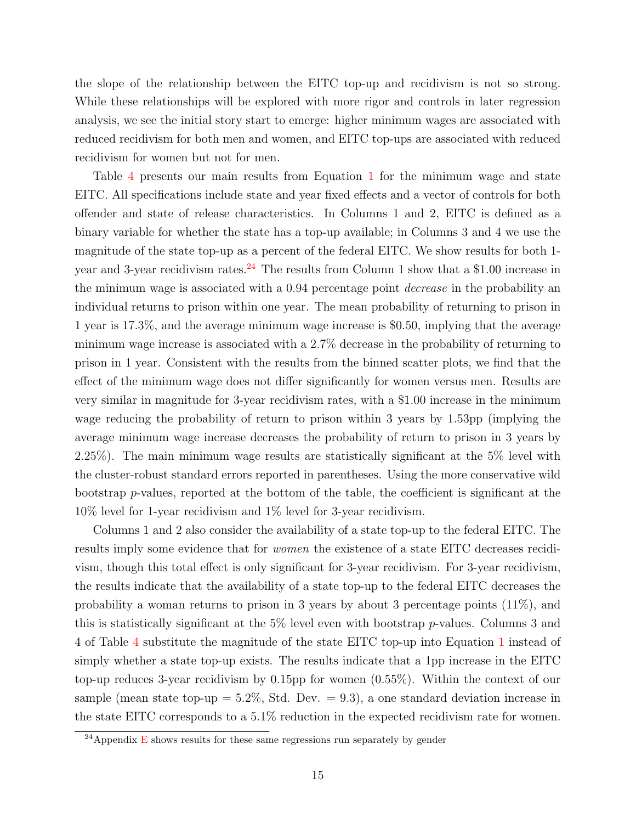the slope of the relationship between the EITC top-up and recidivism is not so strong. While these relationships will be explored with more rigor and controls in later regression analysis, we see the initial story start to emerge: higher minimum wages are associated with reduced recidivism for both men and women, and EITC top-ups are associated with reduced recidivism for women but not for men.

Table [4](#page-39-0) presents our main results from Equation [1](#page-11-1) for the minimum wage and state EITC. All specifications include state and year fixed effects and a vector of controls for both offender and state of release characteristics. In Columns 1 and 2, EITC is defined as a binary variable for whether the state has a top-up available; in Columns 3 and 4 we use the magnitude of the state top-up as a percent of the federal EITC. We show results for both 1- year and 3-year recidivism rates.<sup>[24](#page-14-0)</sup> The results from Column 1 show that a \$1.00 increase in the minimum wage is associated with a 0.94 percentage point decrease in the probability an individual returns to prison within one year. The mean probability of returning to prison in 1 year is 17.3%, and the average minimum wage increase is \$0.50, implying that the average minimum wage increase is associated with a 2.7% decrease in the probability of returning to prison in 1 year. Consistent with the results from the binned scatter plots, we find that the effect of the minimum wage does not differ significantly for women versus men. Results are very similar in magnitude for 3-year recidivism rates, with a \$1.00 increase in the minimum wage reducing the probability of return to prison within 3 years by 1.53pp (implying the average minimum wage increase decreases the probability of return to prison in 3 years by 2.25%). The main minimum wage results are statistically significant at the 5% level with the cluster-robust standard errors reported in parentheses. Using the more conservative wild bootstrap  $p$ -values, reported at the bottom of the table, the coefficient is significant at the 10% level for 1-year recidivism and 1% level for 3-year recidivism.

Columns 1 and 2 also consider the availability of a state top-up to the federal EITC. The results imply some evidence that for women the existence of a state EITC decreases recidivism, though this total effect is only significant for 3-year recidivism. For 3-year recidivism, the results indicate that the availability of a state top-up to the federal EITC decreases the probability a woman returns to prison in 3 years by about 3 percentage points (11%), and this is statistically significant at the  $5\%$  level even with bootstrap p-values. Columns 3 and 4 of Table [4](#page-39-0) substitute the magnitude of the state EITC top-up into Equation [1](#page-11-1) instead of simply whether a state top-up exists. The results indicate that a 1pp increase in the EITC top-up reduces 3-year recidivism by 0.15pp for women (0.55%). Within the context of our sample (mean state top-up  $= 5.2\%$ , Std. Dev.  $= 9.3$ ), a one standard deviation increase in the state EITC corresponds to a 5.1% reduction in the expected recidivism rate for women.

<span id="page-14-0"></span><sup>&</sup>lt;sup>24</sup>Appendix [E](#page-56-0) shows results for these same regressions run separately by gender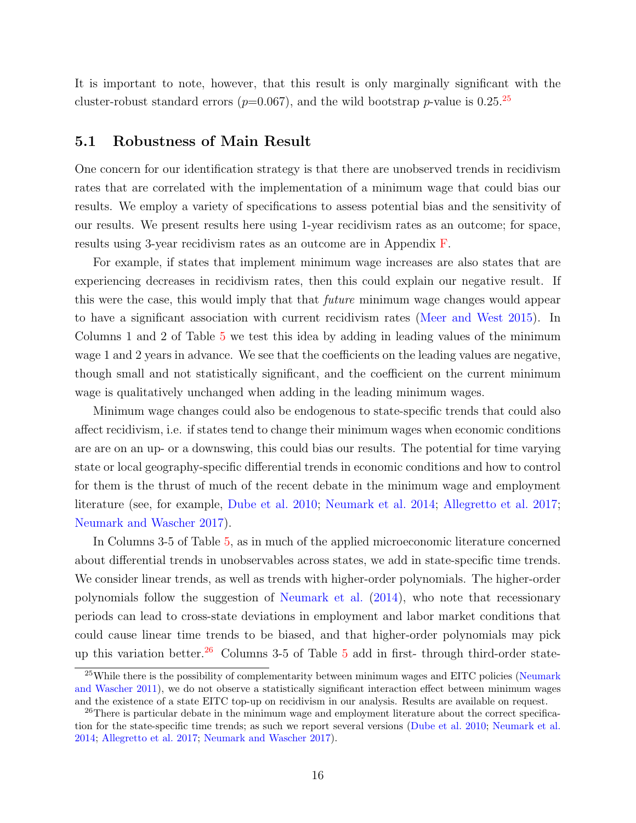It is important to note, however, that this result is only marginally significant with the cluster-robust standard errors ( $p=0.067$ ), and the wild bootstrap  $p$ -value is 0.[25](#page-15-0).<sup>25</sup>

#### 5.1 Robustness of Main Result

One concern for our identification strategy is that there are unobserved trends in recidivism rates that are correlated with the implementation of a minimum wage that could bias our results. We employ a variety of specifications to assess potential bias and the sensitivity of our results. We present results here using 1-year recidivism rates as an outcome; for space, results using 3-year recidivism rates as an outcome are in Appendix [F.](#page-58-0)

For example, if states that implement minimum wage increases are also states that are experiencing decreases in recidivism rates, then this could explain our negative result. If this were the case, this would imply that that *future* minimum wage changes would appear to have a significant association with current recidivism rates [\(Meer and West](#page-29-4) [2015\)](#page-29-4). In Columns 1 and 2 of Table [5](#page-40-0) we test this idea by adding in leading values of the minimum wage 1 and 2 years in advance. We see that the coefficients on the leading values are negative, though small and not statistically significant, and the coefficient on the current minimum wage is qualitatively unchanged when adding in the leading minimum wages.

Minimum wage changes could also be endogenous to state-specific trends that could also affect recidivism, i.e. if states tend to change their minimum wages when economic conditions are are on an up- or a downswing, this could bias our results. The potential for time varying state or local geography-specific differential trends in economic conditions and how to control for them is the thrust of much of the recent debate in the minimum wage and employment literature (see, for example, [Dube et al.](#page-27-1) [2010;](#page-27-1) [Neumark et al.](#page-29-3) [2014;](#page-29-3) [Allegretto et al.](#page-26-4) [2017;](#page-26-4) [Neumark and Wascher](#page-29-5) [2017\)](#page-29-5).

In Columns 3-5 of Table [5,](#page-40-0) as in much of the applied microeconomic literature concerned about differential trends in unobservables across states, we add in state-specific time trends. We consider linear trends, as well as trends with higher-order polynomials. The higher-order polynomials follow the suggestion of [Neumark et al.](#page-29-3) [\(2014\)](#page-29-3), who note that recessionary periods can lead to cross-state deviations in employment and labor market conditions that could cause linear time trends to be biased, and that higher-order polynomials may pick up this variation better.<sup>[26](#page-15-1)</sup> Columns 3-[5](#page-40-0) of Table 5 add in first- through third-order state-

<span id="page-15-0"></span> $25$ While there is the possibility of complementarity between minimum wages and EITC policies [\(Neumark](#page-29-13) [and Wascher](#page-29-13) [2011\)](#page-29-13), we do not observe a statistically significant interaction effect between minimum wages and the existence of a state EITC top-up on recidivism in our analysis. Results are available on request.

<span id="page-15-1"></span><sup>&</sup>lt;sup>26</sup>There is particular debate in the minimum wage and employment literature about the correct specification for the state-specific time trends; as such we report several versions [\(Dube et al.](#page-27-1) [2010;](#page-27-1) [Neumark et al.](#page-29-3) [2014;](#page-29-3) [Allegretto et al.](#page-26-4) [2017;](#page-26-4) [Neumark and Wascher](#page-29-5) [2017\)](#page-29-5).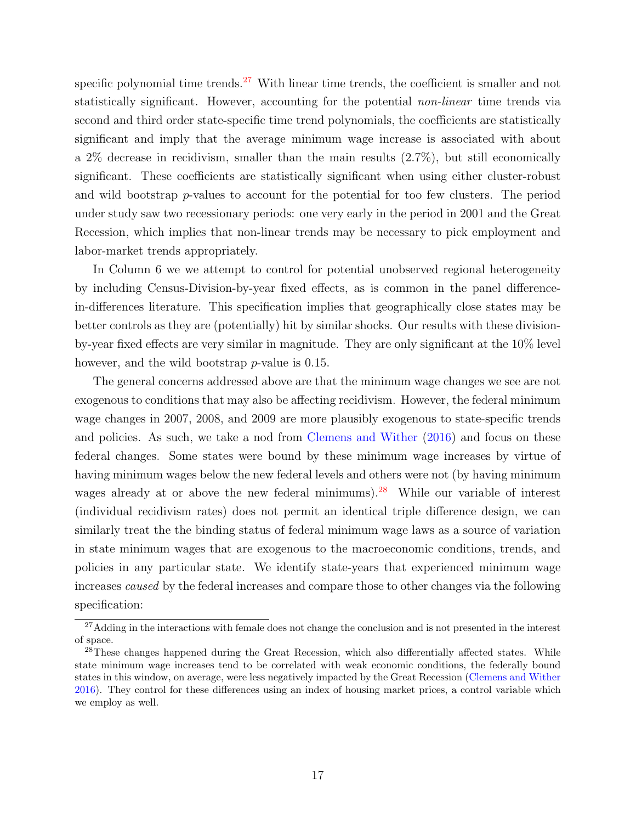specific polynomial time trends.<sup>[27](#page-16-0)</sup> With linear time trends, the coefficient is smaller and not statistically significant. However, accounting for the potential non-linear time trends via second and third order state-specific time trend polynomials, the coefficients are statistically significant and imply that the average minimum wage increase is associated with about a 2% decrease in recidivism, smaller than the main results (2.7%), but still economically significant. These coefficients are statistically significant when using either cluster-robust and wild bootstrap  $p$ -values to account for the potential for too few clusters. The period under study saw two recessionary periods: one very early in the period in 2001 and the Great Recession, which implies that non-linear trends may be necessary to pick employment and labor-market trends appropriately.

In Column 6 we we attempt to control for potential unobserved regional heterogeneity by including Census-Division-by-year fixed effects, as is common in the panel differencein-differences literature. This specification implies that geographically close states may be better controls as they are (potentially) hit by similar shocks. Our results with these divisionby-year fixed effects are very similar in magnitude. They are only significant at the 10% level however, and the wild bootstrap *p*-value is 0.15.

The general concerns addressed above are that the minimum wage changes we see are not exogenous to conditions that may also be affecting recidivism. However, the federal minimum wage changes in 2007, 2008, and 2009 are more plausibly exogenous to state-specific trends and policies. As such, we take a nod from [Clemens and Wither](#page-27-9) [\(2016\)](#page-27-9) and focus on these federal changes. Some states were bound by these minimum wage increases by virtue of having minimum wages below the new federal levels and others were not (by having minimum wages already at or above the new federal minimums).<sup>[28](#page-16-1)</sup> While our variable of interest (individual recidivism rates) does not permit an identical triple difference design, we can similarly treat the the binding status of federal minimum wage laws as a source of variation in state minimum wages that are exogenous to the macroeconomic conditions, trends, and policies in any particular state. We identify state-years that experienced minimum wage increases caused by the federal increases and compare those to other changes via the following specification:

<span id="page-16-0"></span><sup>&</sup>lt;sup>27</sup>Adding in the interactions with female does not change the conclusion and is not presented in the interest of space.

<span id="page-16-1"></span><sup>&</sup>lt;sup>28</sup>These changes happened during the Great Recession, which also differentially affected states. While state minimum wage increases tend to be correlated with weak economic conditions, the federally bound states in this window, on average, were less negatively impacted by the Great Recession [\(Clemens and Wither](#page-27-9) [2016\)](#page-27-9). They control for these differences using an index of housing market prices, a control variable which we employ as well.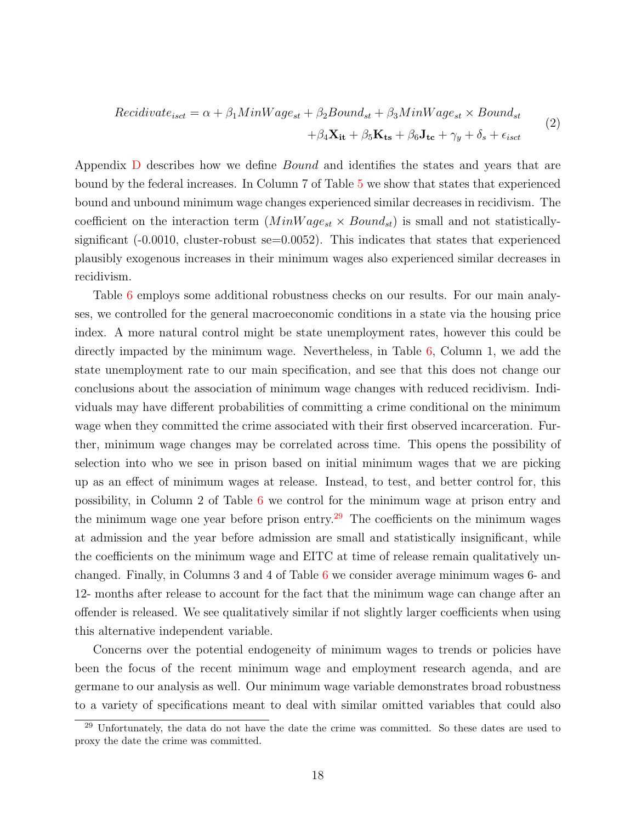Recidivate<sub>isct</sub> = 
$$
\alpha + \beta_1 MinWage_{st} + \beta_2 Bound_{st} + \beta_3 MinWage_{st} \times Bound_{st}
$$
  
+ $\beta_4 \mathbf{X_{it}} + \beta_5 \mathbf{K_{ts}} + \beta_6 \mathbf{J_{tc}} + \gamma_y + \delta_s + \epsilon_{isct}$  (2)

Appendix [D](#page-54-0) describes how we define Bound and identifies the states and years that are bound by the federal increases. In Column 7 of Table [5](#page-40-0) we show that states that experienced bound and unbound minimum wage changes experienced similar decreases in recidivism. The coefficient on the interaction term  $(MinWage_{st} \times Bound_{st})$  is small and not statisticallysignificant  $(-0.0010,$  cluster-robust se= $0.0052$ ). This indicates that states that experienced plausibly exogenous increases in their minimum wages also experienced similar decreases in recidivism.

Table [6](#page-41-0) employs some additional robustness checks on our results. For our main analyses, we controlled for the general macroeconomic conditions in a state via the housing price index. A more natural control might be state unemployment rates, however this could be directly impacted by the minimum wage. Nevertheless, in Table [6,](#page-41-0) Column 1, we add the state unemployment rate to our main specification, and see that this does not change our conclusions about the association of minimum wage changes with reduced recidivism. Individuals may have different probabilities of committing a crime conditional on the minimum wage when they committed the crime associated with their first observed incarceration. Further, minimum wage changes may be correlated across time. This opens the possibility of selection into who we see in prison based on initial minimum wages that we are picking up as an effect of minimum wages at release. Instead, to test, and better control for, this possibility, in Column 2 of Table [6](#page-41-0) we control for the minimum wage at prison entry and the minimum wage one year before prison entry.<sup>[29](#page-17-0)</sup> The coefficients on the minimum wages at admission and the year before admission are small and statistically insignificant, while the coefficients on the minimum wage and EITC at time of release remain qualitatively unchanged. Finally, in Columns 3 and 4 of Table [6](#page-41-0) we consider average minimum wages 6- and 12- months after release to account for the fact that the minimum wage can change after an offender is released. We see qualitatively similar if not slightly larger coefficients when using this alternative independent variable.

Concerns over the potential endogeneity of minimum wages to trends or policies have been the focus of the recent minimum wage and employment research agenda, and are germane to our analysis as well. Our minimum wage variable demonstrates broad robustness to a variety of specifications meant to deal with similar omitted variables that could also

<span id="page-17-0"></span><sup>&</sup>lt;sup>29</sup> Unfortunately, the data do not have the date the crime was committed. So these dates are used to proxy the date the crime was committed.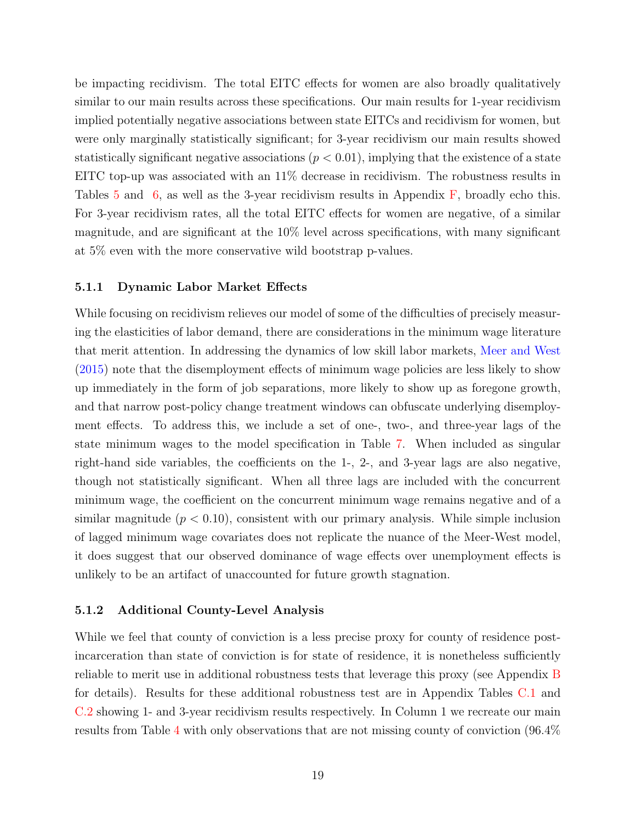be impacting recidivism. The total EITC effects for women are also broadly qualitatively similar to our main results across these specifications. Our main results for 1-year recidivism implied potentially negative associations between state EITCs and recidivism for women, but were only marginally statistically significant; for 3-year recidivism our main results showed statistically significant negative associations  $(p < 0.01)$ , implying that the existence of a state EITC top-up was associated with an 11% decrease in recidivism. The robustness results in Tables  $5$  and  $6$ , as well as the 3-year recidivism results in Appendix  $\overline{F}$ , broadly echo this. For 3-year recidivism rates, all the total EITC effects for women are negative, of a similar magnitude, and are significant at the 10% level across specifications, with many significant at 5% even with the more conservative wild bootstrap p-values.

#### 5.1.1 Dynamic Labor Market Effects

While focusing on recidivism relieves our model of some of the difficulties of precisely measuring the elasticities of labor demand, there are considerations in the minimum wage literature that merit attention. In addressing the dynamics of low skill labor markets, [Meer and West](#page-29-4) [\(2015\)](#page-29-4) note that the disemployment effects of minimum wage policies are less likely to show up immediately in the form of job separations, more likely to show up as foregone growth, and that narrow post-policy change treatment windows can obfuscate underlying disemployment effects. To address this, we include a set of one-, two-, and three-year lags of the state minimum wages to the model specification in Table [7.](#page-42-0) When included as singular right-hand side variables, the coefficients on the 1-, 2-, and 3-year lags are also negative, though not statistically significant. When all three lags are included with the concurrent minimum wage, the coefficient on the concurrent minimum wage remains negative and of a similar magnitude  $(p < 0.10)$ , consistent with our primary analysis. While simple inclusion of lagged minimum wage covariates does not replicate the nuance of the Meer-West model, it does suggest that our observed dominance of wage effects over unemployment effects is unlikely to be an artifact of unaccounted for future growth stagnation.

#### 5.1.2 Additional County-Level Analysis

While we feel that county of conviction is a less precise proxy for county of residence postincarceration than state of conviction is for state of residence, it is nonetheless sufficiently reliable to merit use in additional robustness tests that leverage this proxy (see Appendix [B](#page-49-0) for details). Results for these additional robustness test are in Appendix Tables [C.1](#page-52-0) and [C.2](#page-53-0) showing 1- and 3-year recidivism results respectively. In Column 1 we recreate our main results from Table [4](#page-39-0) with only observations that are not missing county of conviction (96.4%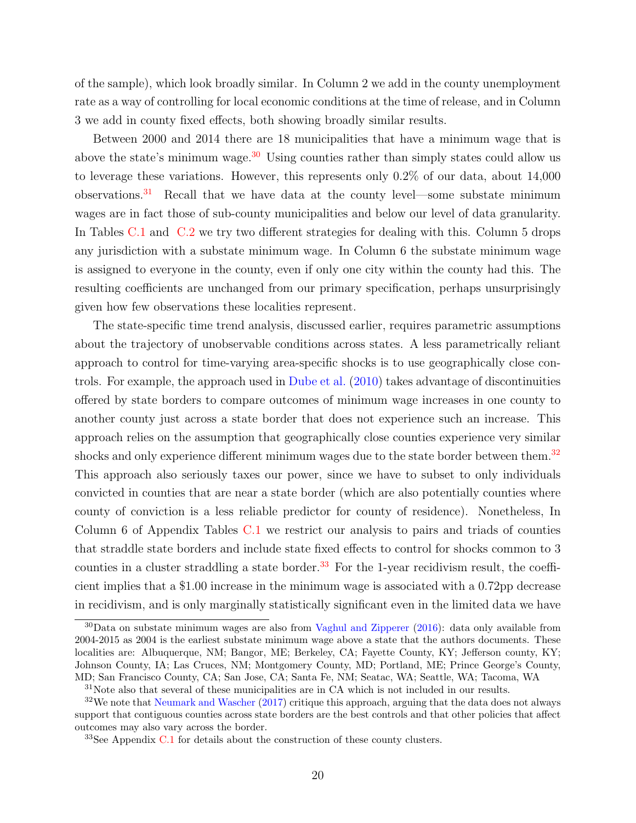of the sample), which look broadly similar. In Column 2 we add in the county unemployment rate as a way of controlling for local economic conditions at the time of release, and in Column 3 we add in county fixed effects, both showing broadly similar results.

Between 2000 and 2014 there are 18 municipalities that have a minimum wage that is above the state's minimum wage.<sup>[30](#page-19-0)</sup> Using counties rather than simply states could allow us to leverage these variations. However, this represents only 0.2% of our data, about 14,000 observations. $31$  Recall that we have data at the county level—some substate minimum wages are in fact those of sub-county municipalities and below our level of data granularity. In Tables [C.1](#page-52-0) and [C.2](#page-53-0) we try two different strategies for dealing with this. Column 5 drops any jurisdiction with a substate minimum wage. In Column 6 the substate minimum wage is assigned to everyone in the county, even if only one city within the county had this. The resulting coefficients are unchanged from our primary specification, perhaps unsurprisingly given how few observations these localities represent.

The state-specific time trend analysis, discussed earlier, requires parametric assumptions about the trajectory of unobservable conditions across states. A less parametrically reliant approach to control for time-varying area-specific shocks is to use geographically close controls. For example, the approach used in [Dube et al.](#page-27-1) [\(2010\)](#page-27-1) takes advantage of discontinuities offered by state borders to compare outcomes of minimum wage increases in one county to another county just across a state border that does not experience such an increase. This approach relies on the assumption that geographically close counties experience very similar shocks and only experience different minimum wages due to the state border between them.<sup>[32](#page-19-2)</sup> This approach also seriously taxes our power, since we have to subset to only individuals convicted in counties that are near a state border (which are also potentially counties where county of conviction is a less reliable predictor for county of residence). Nonetheless, In Column 6 of Appendix Tables [C.1](#page-52-0) we restrict our analysis to pairs and triads of counties that straddle state borders and include state fixed effects to control for shocks common to 3 counties in a cluster straddling a state border.<sup>[33](#page-19-3)</sup> For the 1-year recidivism result, the coefficient implies that a \$1.00 increase in the minimum wage is associated with a 0.72pp decrease in recidivism, and is only marginally statistically significant even in the limited data we have

<span id="page-19-0"></span> $30$ Data on substate minimum wages are also from [Vaghul and Zipperer](#page-30-12) [\(2016\)](#page-30-12): data only available from 2004-2015 as 2004 is the earliest substate minimum wage above a state that the authors documents. These localities are: Albuquerque, NM; Bangor, ME; Berkeley, CA; Fayette County, KY; Jefferson county, KY; Johnson County, IA; Las Cruces, NM; Montgomery County, MD; Portland, ME; Prince George's County, MD; San Francisco County, CA; San Jose, CA; Santa Fe, NM; Seatac, WA; Seattle, WA; Tacoma, WA

<span id="page-19-2"></span><span id="page-19-1"></span> $31$ Note also that several of these municipalities are in CA which is not included in our results.

<sup>&</sup>lt;sup>32</sup>We note that [Neumark and Wascher](#page-29-5) [\(2017\)](#page-29-5) critique this approach, arguing that the data does not always support that contiguous counties across state borders are the best controls and that other policies that affect outcomes may also vary across the border.

<span id="page-19-3"></span> $33$ See Appendix [C.1](#page-51-1) for details about the construction of these county clusters.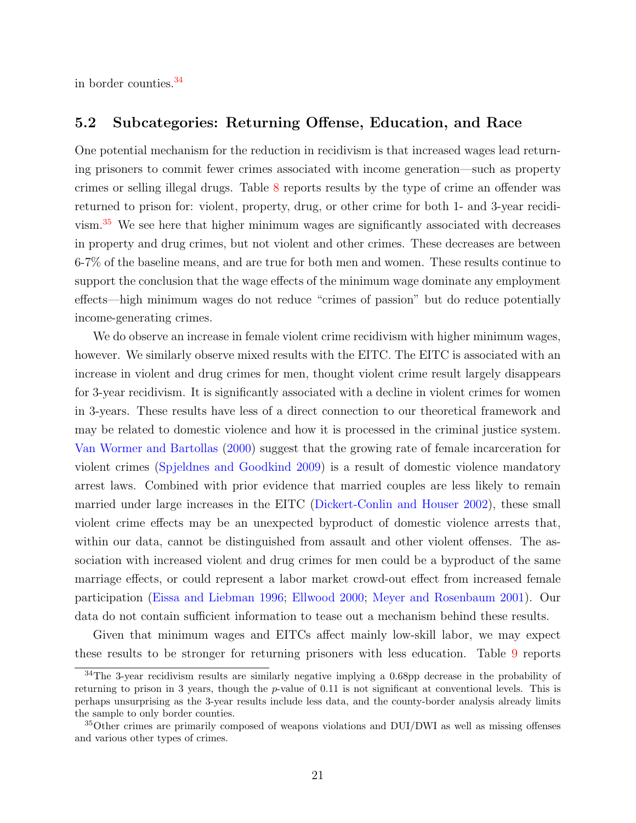in border counties.[34](#page-20-0)

#### 5.2 Subcategories: Returning Offense, Education, and Race

One potential mechanism for the reduction in recidivism is that increased wages lead returning prisoners to commit fewer crimes associated with income generation—such as property crimes or selling illegal drugs. Table [8](#page-43-0) reports results by the type of crime an offender was returned to prison for: violent, property, drug, or other crime for both 1- and 3-year recidivism.[35](#page-20-1) We see here that higher minimum wages are significantly associated with decreases in property and drug crimes, but not violent and other crimes. These decreases are between 6-7% of the baseline means, and are true for both men and women. These results continue to support the conclusion that the wage effects of the minimum wage dominate any employment effects—high minimum wages do not reduce "crimes of passion" but do reduce potentially income-generating crimes.

We do observe an increase in female violent crime recidivism with higher minimum wages, however. We similarly observe mixed results with the EITC. The EITC is associated with an increase in violent and drug crimes for men, thought violent crime result largely disappears for 3-year recidivism. It is significantly associated with a decline in violent crimes for women in 3-years. These results have less of a direct connection to our theoretical framework and may be related to domestic violence and how it is processed in the criminal justice system. [Van Wormer and Bartollas](#page-31-5) [\(2000\)](#page-31-5) suggest that the growing rate of female incarceration for violent crimes [\(Spjeldnes and Goodkind](#page-30-10) [2009\)](#page-30-10) is a result of domestic violence mandatory arrest laws. Combined with prior evidence that married couples are less likely to remain married under large increases in the EITC [\(Dickert-Conlin and Houser](#page-27-10) [2002\)](#page-27-10), these small violent crime effects may be an unexpected byproduct of domestic violence arrests that, within our data, cannot be distinguished from assault and other violent offenses. The association with increased violent and drug crimes for men could be a byproduct of the same marriage effects, or could represent a labor market crowd-out effect from increased female participation [\(Eissa and Liebman](#page-28-8) [1996;](#page-28-8) [Ellwood](#page-28-9) [2000;](#page-28-9) [Meyer and Rosenbaum](#page-29-12) [2001\)](#page-29-12). Our data do not contain sufficient information to tease out a mechanism behind these results.

Given that minimum wages and EITCs affect mainly low-skill labor, we may expect these results to be stronger for returning prisoners with less education. Table [9](#page-44-0) reports

<span id="page-20-0"></span><sup>&</sup>lt;sup>34</sup>The 3-year recidivism results are similarly negative implying a 0.68pp decrease in the probability of returning to prison in 3 years, though the p-value of 0.11 is not significant at conventional levels. This is perhaps unsurprising as the 3-year results include less data, and the county-border analysis already limits the sample to only border counties.

<span id="page-20-1"></span><sup>35</sup>Other crimes are primarily composed of weapons violations and DUI/DWI as well as missing offenses and various other types of crimes.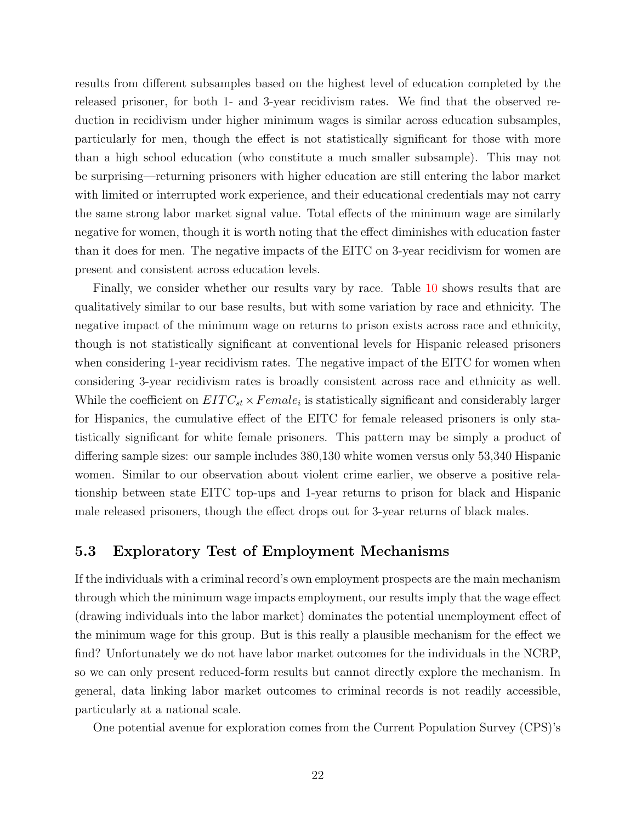results from different subsamples based on the highest level of education completed by the released prisoner, for both 1- and 3-year recidivism rates. We find that the observed reduction in recidivism under higher minimum wages is similar across education subsamples, particularly for men, though the effect is not statistically significant for those with more than a high school education (who constitute a much smaller subsample). This may not be surprising—returning prisoners with higher education are still entering the labor market with limited or interrupted work experience, and their educational credentials may not carry the same strong labor market signal value. Total effects of the minimum wage are similarly negative for women, though it is worth noting that the effect diminishes with education faster than it does for men. The negative impacts of the EITC on 3-year recidivism for women are present and consistent across education levels.

Finally, we consider whether our results vary by race. Table [10](#page-45-0) shows results that are qualitatively similar to our base results, but with some variation by race and ethnicity. The negative impact of the minimum wage on returns to prison exists across race and ethnicity, though is not statistically significant at conventional levels for Hispanic released prisoners when considering 1-year recidivism rates. The negative impact of the EITC for women when considering 3-year recidivism rates is broadly consistent across race and ethnicity as well. While the coefficient on  $EITC_{st} \times Female_i$  is statistically significant and considerably larger for Hispanics, the cumulative effect of the EITC for female released prisoners is only statistically significant for white female prisoners. This pattern may be simply a product of differing sample sizes: our sample includes 380,130 white women versus only 53,340 Hispanic women. Similar to our observation about violent crime earlier, we observe a positive relationship between state EITC top-ups and 1-year returns to prison for black and Hispanic male released prisoners, though the effect drops out for 3-year returns of black males.

#### 5.3 Exploratory Test of Employment Mechanisms

If the individuals with a criminal record's own employment prospects are the main mechanism through which the minimum wage impacts employment, our results imply that the wage effect (drawing individuals into the labor market) dominates the potential unemployment effect of the minimum wage for this group. But is this really a plausible mechanism for the effect we find? Unfortunately we do not have labor market outcomes for the individuals in the NCRP, so we can only present reduced-form results but cannot directly explore the mechanism. In general, data linking labor market outcomes to criminal records is not readily accessible, particularly at a national scale.

One potential avenue for exploration comes from the Current Population Survey (CPS)'s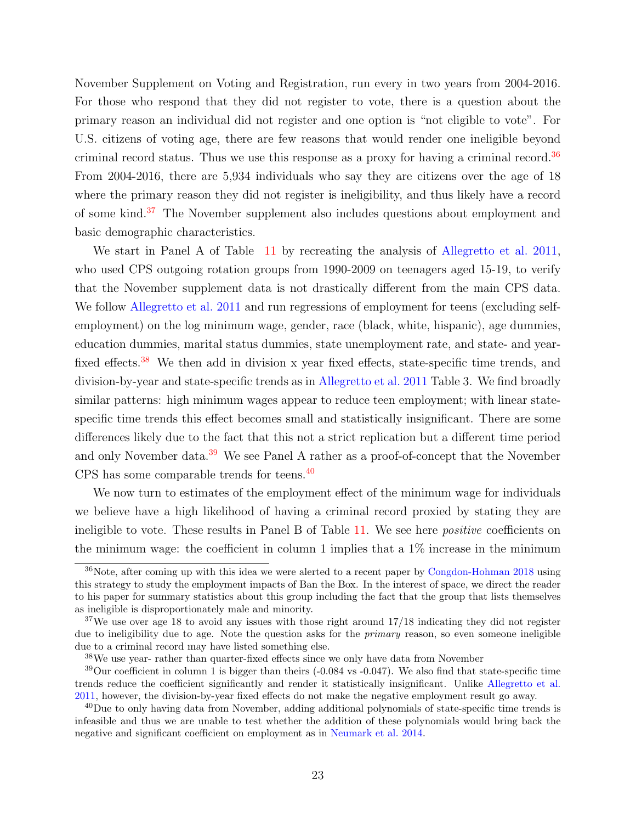November Supplement on Voting and Registration, run every in two years from 2004-2016. For those who respond that they did not register to vote, there is a question about the primary reason an individual did not register and one option is "not eligible to vote". For U.S. citizens of voting age, there are few reasons that would render one ineligible beyond criminal record status. Thus we use this response as a proxy for having a criminal record.[36](#page-22-0) From 2004-2016, there are 5,934 individuals who say they are citizens over the age of 18 where the primary reason they did not register is ineligibility, and thus likely have a record of some kind.[37](#page-22-1) The November supplement also includes questions about employment and basic demographic characteristics.

We start in Panel A of Table [11](#page-46-0) by recreating the analysis of [Allegretto et al.](#page-26-3) [2011,](#page-26-3) who used CPS outgoing rotation groups from 1990-2009 on teenagers aged 15-19, to verify that the November supplement data is not drastically different from the main CPS data. We follow [Allegretto et al.](#page-26-3) [2011](#page-26-3) and run regressions of employment for teens (excluding selfemployment) on the log minimum wage, gender, race (black, white, hispanic), age dummies, education dummies, marital status dummies, state unemployment rate, and state- and year-fixed effects.<sup>[38](#page-22-2)</sup> We then add in division x year fixed effects, state-specific time trends, and division-by-year and state-specific trends as in [Allegretto et al.](#page-26-3) [2011](#page-26-3) Table 3. We find broadly similar patterns: high minimum wages appear to reduce teen employment; with linear statespecific time trends this effect becomes small and statistically insignificant. There are some differences likely due to the fact that this not a strict replication but a different time period and only November data.<sup>[39](#page-22-3)</sup> We see Panel A rather as a proof-of-concept that the November CPS has some comparable trends for teens.[40](#page-22-4)

We now turn to estimates of the employment effect of the minimum wage for individuals we believe have a high likelihood of having a criminal record proxied by stating they are ineligible to vote. These results in Panel B of Table [11.](#page-46-0) We see here *positive* coefficients on the minimum wage: the coefficient in column 1 implies that a  $1\%$  increase in the minimum

<span id="page-22-0"></span><sup>&</sup>lt;sup>36</sup>Note, after coming up with this idea we were alerted to a recent paper by [Congdon-Hohman](#page-27-11) [2018](#page-27-11) using this strategy to study the employment impacts of Ban the Box. In the interest of space, we direct the reader to his paper for summary statistics about this group including the fact that the group that lists themselves as ineligible is disproportionately male and minority.

<span id="page-22-1"></span><sup>&</sup>lt;sup>37</sup>We use over age 18 to avoid any issues with those right around 17/18 indicating they did not register due to ineligibility due to age. Note the question asks for the *primary* reason, so even someone ineligible due to a criminal record may have listed something else.

<span id="page-22-3"></span><span id="page-22-2"></span><sup>38</sup>We use year- rather than quarter-fixed effects since we only have data from November

<sup>39</sup>Our coefficient in column 1 is bigger than theirs (-0.084 vs -0.047). We also find that state-specific time trends reduce the coefficient significantly and render it statistically insignificant. Unlike [Allegretto et al.](#page-26-3) [2011,](#page-26-3) however, the division-by-year fixed effects do not make the negative employment result go away.

<span id="page-22-4"></span><sup>&</sup>lt;sup>40</sup>Due to only having data from November, adding additional polynomials of state-specific time trends is infeasible and thus we are unable to test whether the addition of these polynomials would bring back the negative and significant coefficient on employment as in [Neumark et al.](#page-29-3) [2014.](#page-29-3)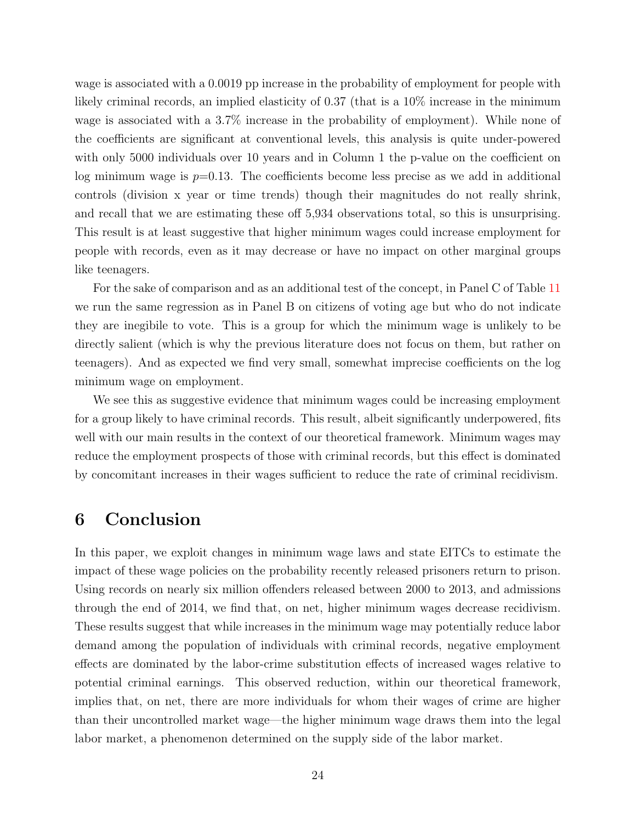wage is associated with a 0.0019 pp increase in the probability of employment for people with likely criminal records, an implied elasticity of 0.37 (that is a  $10\%$  increase in the minimum wage is associated with a 3.7% increase in the probability of employment). While none of the coefficients are significant at conventional levels, this analysis is quite under-powered with only 5000 individuals over 10 years and in Column 1 the p-value on the coefficient on log minimum wage is  $p=0.13$ . The coefficients become less precise as we add in additional controls (division x year or time trends) though their magnitudes do not really shrink, and recall that we are estimating these off 5,934 observations total, so this is unsurprising. This result is at least suggestive that higher minimum wages could increase employment for people with records, even as it may decrease or have no impact on other marginal groups like teenagers.

For the sake of comparison and as an additional test of the concept, in Panel C of Table [11](#page-46-0) we run the same regression as in Panel B on citizens of voting age but who do not indicate they are inegibile to vote. This is a group for which the minimum wage is unlikely to be directly salient (which is why the previous literature does not focus on them, but rather on teenagers). And as expected we find very small, somewhat imprecise coefficients on the log minimum wage on employment.

We see this as suggestive evidence that minimum wages could be increasing employment for a group likely to have criminal records. This result, albeit significantly underpowered, fits well with our main results in the context of our theoretical framework. Minimum wages may reduce the employment prospects of those with criminal records, but this effect is dominated by concomitant increases in their wages sufficient to reduce the rate of criminal recidivism.

### 6 Conclusion

In this paper, we exploit changes in minimum wage laws and state EITCs to estimate the impact of these wage policies on the probability recently released prisoners return to prison. Using records on nearly six million offenders released between 2000 to 2013, and admissions through the end of 2014, we find that, on net, higher minimum wages decrease recidivism. These results suggest that while increases in the minimum wage may potentially reduce labor demand among the population of individuals with criminal records, negative employment effects are dominated by the labor-crime substitution effects of increased wages relative to potential criminal earnings. This observed reduction, within our theoretical framework, implies that, on net, there are more individuals for whom their wages of crime are higher than their uncontrolled market wage—the higher minimum wage draws them into the legal labor market, a phenomenon determined on the supply side of the labor market.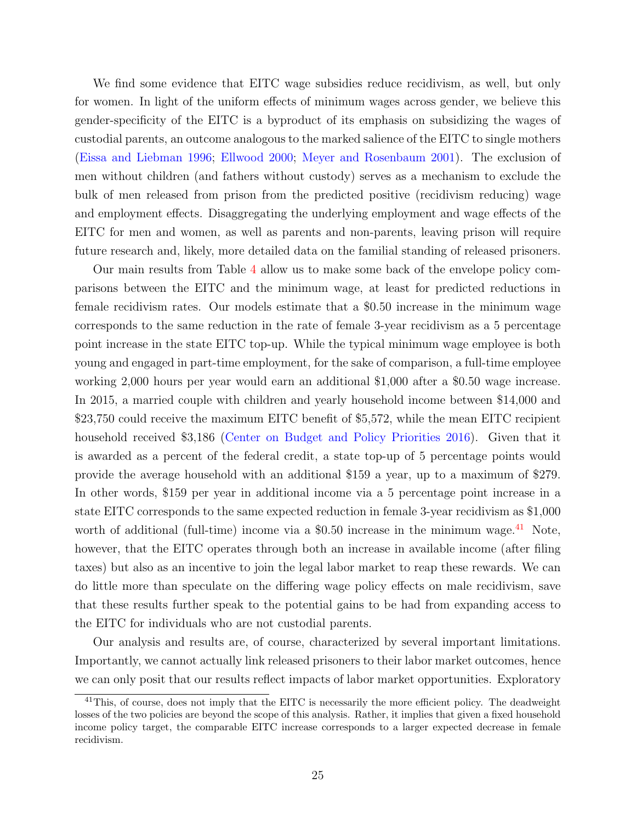We find some evidence that EITC wage subsidies reduce recidivism, as well, but only for women. In light of the uniform effects of minimum wages across gender, we believe this gender-specificity of the EITC is a byproduct of its emphasis on subsidizing the wages of custodial parents, an outcome analogous to the marked salience of the EITC to single mothers [\(Eissa and Liebman](#page-28-8) [1996;](#page-28-8) [Ellwood](#page-28-9) [2000;](#page-28-9) [Meyer and Rosenbaum](#page-29-12) [2001\)](#page-29-12). The exclusion of men without children (and fathers without custody) serves as a mechanism to exclude the bulk of men released from prison from the predicted positive (recidivism reducing) wage and employment effects. Disaggregating the underlying employment and wage effects of the EITC for men and women, as well as parents and non-parents, leaving prison will require future research and, likely, more detailed data on the familial standing of released prisoners.

Our main results from Table [4](#page-39-0) allow us to make some back of the envelope policy comparisons between the EITC and the minimum wage, at least for predicted reductions in female recidivism rates. Our models estimate that a \$0.50 increase in the minimum wage corresponds to the same reduction in the rate of female 3-year recidivism as a 5 percentage point increase in the state EITC top-up. While the typical minimum wage employee is both young and engaged in part-time employment, for the sake of comparison, a full-time employee working 2,000 hours per year would earn an additional \$1,000 after a \$0.50 wage increase. In 2015, a married couple with children and yearly household income between \$14,000 and \$23,750 could receive the maximum EITC benefit of \$5,572, while the mean EITC recipient household received \$3,186 [\(Center on Budget and Policy Priorities](#page-26-12) [2016\)](#page-26-12). Given that it is awarded as a percent of the federal credit, a state top-up of 5 percentage points would provide the average household with an additional \$159 a year, up to a maximum of \$279. In other words, \$159 per year in additional income via a 5 percentage point increase in a state EITC corresponds to the same expected reduction in female 3-year recidivism as \$1,000 worth of additional (full-time) income via a  $$0.50$  increase in the minimum wage.<sup>[41](#page-24-0)</sup> Note, however, that the EITC operates through both an increase in available income (after filing taxes) but also as an incentive to join the legal labor market to reap these rewards. We can do little more than speculate on the differing wage policy effects on male recidivism, save that these results further speak to the potential gains to be had from expanding access to the EITC for individuals who are not custodial parents.

Our analysis and results are, of course, characterized by several important limitations. Importantly, we cannot actually link released prisoners to their labor market outcomes, hence we can only posit that our results reflect impacts of labor market opportunities. Exploratory

<span id="page-24-0"></span><sup>&</sup>lt;sup>41</sup>This, of course, does not imply that the EITC is necessarily the more efficient policy. The deadweight losses of the two policies are beyond the scope of this analysis. Rather, it implies that given a fixed household income policy target, the comparable EITC increase corresponds to a larger expected decrease in female recidivism.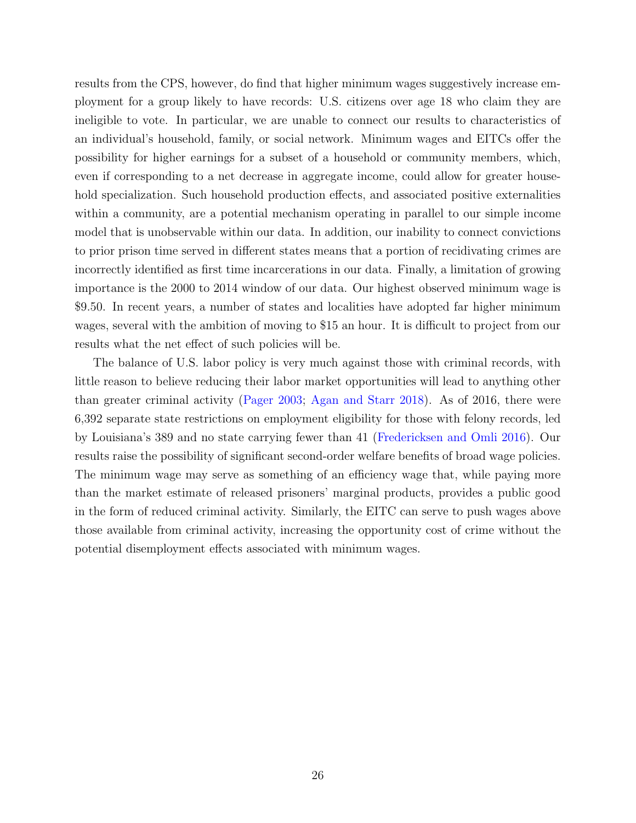results from the CPS, however, do find that higher minimum wages suggestively increase employment for a group likely to have records: U.S. citizens over age 18 who claim they are ineligible to vote. In particular, we are unable to connect our results to characteristics of an individual's household, family, or social network. Minimum wages and EITCs offer the possibility for higher earnings for a subset of a household or community members, which, even if corresponding to a net decrease in aggregate income, could allow for greater household specialization. Such household production effects, and associated positive externalities within a community, are a potential mechanism operating in parallel to our simple income model that is unobservable within our data. In addition, our inability to connect convictions to prior prison time served in different states means that a portion of recidivating crimes are incorrectly identified as first time incarcerations in our data. Finally, a limitation of growing importance is the 2000 to 2014 window of our data. Our highest observed minimum wage is \$9.50. In recent years, a number of states and localities have adopted far higher minimum wages, several with the ambition of moving to \$15 an hour. It is difficult to project from our results what the net effect of such policies will be.

The balance of U.S. labor policy is very much against those with criminal records, with little reason to believe reducing their labor market opportunities will lead to anything other than greater criminal activity [\(Pager](#page-30-3) [2003;](#page-30-3) [Agan and Starr](#page-26-0) [2018\)](#page-26-0). As of 2016, there were 6,392 separate state restrictions on employment eligibility for those with felony records, led by Louisiana's 389 and no state carrying fewer than 41 [\(Fredericksen and Omli](#page-28-13) [2016\)](#page-28-13). Our results raise the possibility of significant second-order welfare benefits of broad wage policies. The minimum wage may serve as something of an efficiency wage that, while paying more than the market estimate of released prisoners' marginal products, provides a public good in the form of reduced criminal activity. Similarly, the EITC can serve to push wages above those available from criminal activity, increasing the opportunity cost of crime without the potential disemployment effects associated with minimum wages.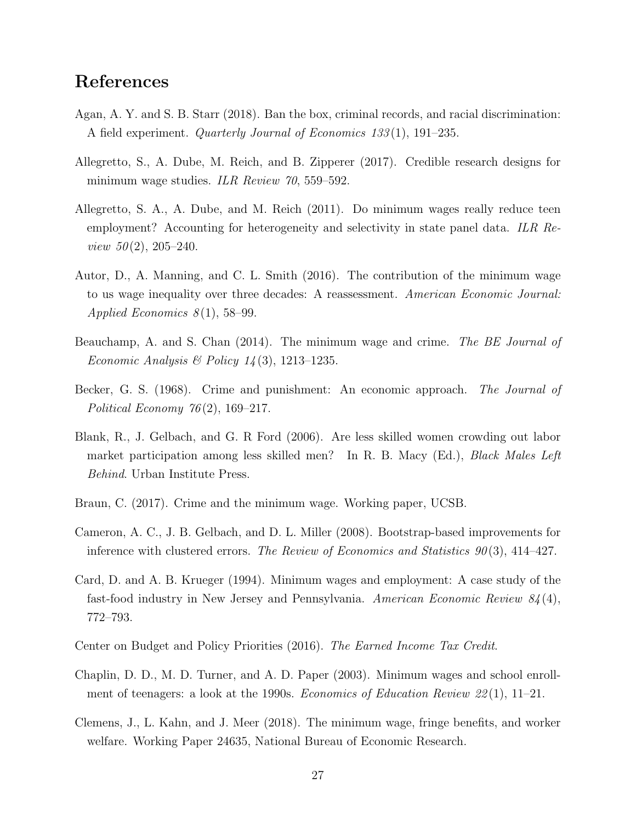### <span id="page-26-13"></span>References

- <span id="page-26-0"></span>Agan, A. Y. and S. B. Starr (2018). Ban the box, criminal records, and racial discrimination: A field experiment. Quarterly Journal of Economics 133 (1), 191–235.
- <span id="page-26-4"></span>Allegretto, S., A. Dube, M. Reich, and B. Zipperer (2017). Credible research designs for minimum wage studies. *ILR Review 70*, 559–592.
- <span id="page-26-3"></span>Allegretto, S. A., A. Dube, and M. Reich (2011). Do minimum wages really reduce teen employment? Accounting for heterogeneity and selectivity in state panel data. ILR Re*view 50* $(2)$ , 205–240.
- <span id="page-26-5"></span>Autor, D., A. Manning, and C. L. Smith (2016). The contribution of the minimum wage to us wage inequality over three decades: A reassessment. American Economic Journal: Applied Economics  $8(1)$ , 58–99.
- <span id="page-26-7"></span>Beauchamp, A. and S. Chan (2014). The minimum wage and crime. The BE Journal of Economic Analysis & Policy  $14(3)$ , 1213–1235.
- <span id="page-26-10"></span>Becker, G. S. (1968). Crime and punishment: An economic approach. The Journal of Political Economy  $76(2)$ , 169–217.
- <span id="page-26-9"></span>Blank, R., J. Gelbach, and G. R Ford (2006). Are less skilled women crowding out labor market participation among less skilled men? In R. B. Macy (Ed.), Black Males Left Behind. Urban Institute Press.
- <span id="page-26-8"></span>Braun, C. (2017). Crime and the minimum wage. Working paper, UCSB.
- <span id="page-26-11"></span>Cameron, A. C., J. B. Gelbach, and D. L. Miller (2008). Bootstrap-based improvements for inference with clustered errors. The Review of Economics and Statistics  $90(3)$ , 414–427.
- <span id="page-26-2"></span>Card, D. and A. B. Krueger (1994). Minimum wages and employment: A case study of the fast-food industry in New Jersey and Pennsylvania. American Economic Review  $84(4)$ , 772–793.
- <span id="page-26-12"></span>Center on Budget and Policy Priorities (2016). The Earned Income Tax Credit.
- <span id="page-26-1"></span>Chaplin, D. D., M. D. Turner, and A. D. Paper (2003). Minimum wages and school enrollment of teenagers: a look at the 1990s. *Economics of Education Review 22*(1), 11–21.
- <span id="page-26-6"></span>Clemens, J., L. Kahn, and J. Meer (2018). The minimum wage, fringe benefits, and worker welfare. Working Paper 24635, National Bureau of Economic Research.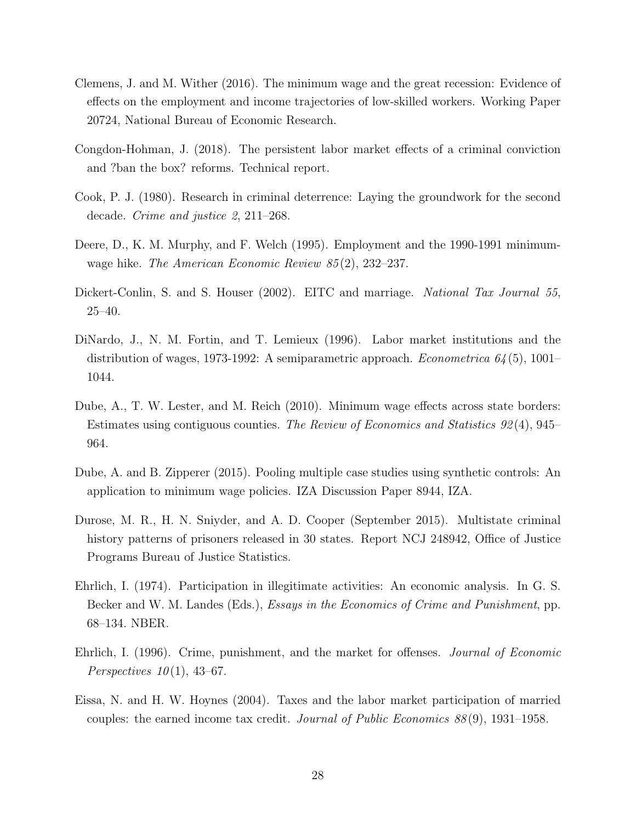- <span id="page-27-9"></span>Clemens, J. and M. Wither (2016). The minimum wage and the great recession: Evidence of effects on the employment and income trajectories of low-skilled workers. Working Paper 20724, National Bureau of Economic Research.
- <span id="page-27-11"></span>Congdon-Hohman, J. (2018). The persistent labor market effects of a criminal conviction and ?ban the box? reforms. Technical report.
- <span id="page-27-6"></span>Cook, P. J. (1980). Research in criminal deterrence: Laying the groundwork for the second decade. Crime and justice 2, 211–268.
- <span id="page-27-3"></span>Deere, D., K. M. Murphy, and F. Welch (1995). Employment and the 1990-1991 minimumwage hike. *The American Economic Review 85(2)*, 232–237.
- <span id="page-27-10"></span>Dickert-Conlin, S. and S. Houser (2002). EITC and marriage. National Tax Journal 55, 25–40.
- <span id="page-27-0"></span>DiNardo, J., N. M. Fortin, and T. Lemieux (1996). Labor market institutions and the distribution of wages, 1973-1992: A semiparametric approach. *Econometrica*  $64(5)$ , 1001– 1044.
- <span id="page-27-1"></span>Dube, A., T. W. Lester, and M. Reich (2010). Minimum wage effects across state borders: Estimates using contiguous counties. The Review of Economics and Statistics 92 (4), 945– 964.
- <span id="page-27-2"></span>Dube, A. and B. Zipperer (2015). Pooling multiple case studies using synthetic controls: An application to minimum wage policies. IZA Discussion Paper 8944, IZA.
- <span id="page-27-8"></span>Durose, M. R., H. N. Sniyder, and A. D. Cooper (September 2015). Multistate criminal history patterns of prisoners released in 30 states. Report NCJ 248942, Office of Justice Programs Bureau of Justice Statistics.
- <span id="page-27-5"></span>Ehrlich, I. (1974). Participation in illegitimate activities: An economic analysis. In G. S. Becker and W. M. Landes (Eds.), *Essays in the Economics of Crime and Punishment*, pp. 68–134. NBER.
- <span id="page-27-7"></span>Ehrlich, I. (1996). Crime, punishment, and the market for offenses. Journal of Economic Perspectives  $10(1)$ , 43–67.
- <span id="page-27-4"></span>Eissa, N. and H. W. Hoynes (2004). Taxes and the labor market participation of married couples: the earned income tax credit. Journal of Public Economics  $88(9)$ , 1931–1958.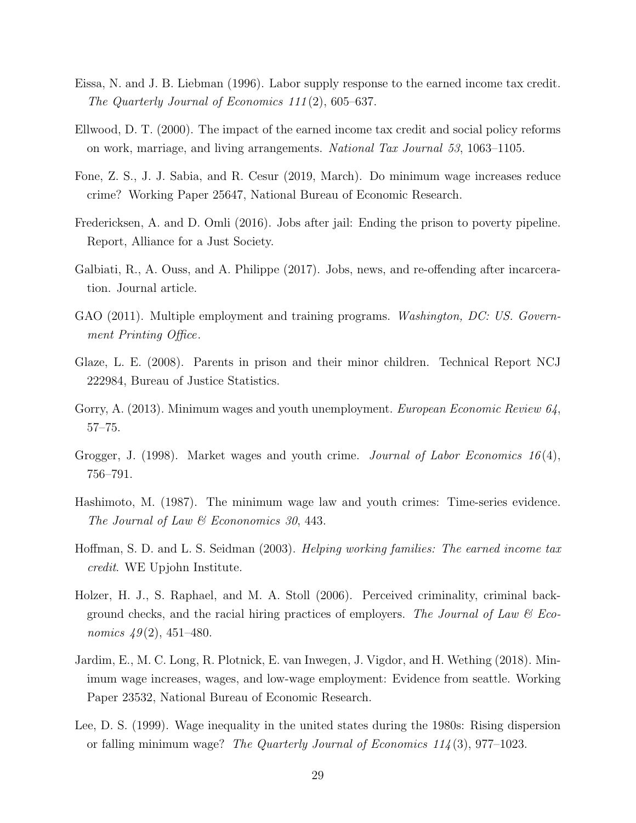- <span id="page-28-8"></span>Eissa, N. and J. B. Liebman (1996). Labor supply response to the earned income tax credit. The Quarterly Journal of Economics 111 (2), 605–637.
- <span id="page-28-9"></span>Ellwood, D. T. (2000). The impact of the earned income tax credit and social policy reforms on work, marriage, and living arrangements. National Tax Journal 53, 1063–1105.
- <span id="page-28-5"></span>Fone, Z. S., J. J. Sabia, and R. Cesur (2019, March). Do minimum wage increases reduce crime? Working Paper 25647, National Bureau of Economic Research.
- <span id="page-28-13"></span>Fredericksen, A. and D. Omli (2016). Jobs after jail: Ending the prison to poverty pipeline. Report, Alliance for a Just Society.
- <span id="page-28-0"></span>Galbiati, R., A. Ouss, and A. Philippe (2017). Jobs, news, and re-offending after incarceration. Journal article.
- <span id="page-28-11"></span>GAO (2011). Multiple employment and training programs. *Washington, DC: US. Govern*ment Printing Office.
- <span id="page-28-7"></span>Glaze, L. E. (2008). Parents in prison and their minor children. Technical Report NCJ 222984, Bureau of Justice Statistics.
- <span id="page-28-6"></span>Gorry, A. (2013). Minimum wages and youth unemployment. *European Economic Review 64*, 57–75.
- <span id="page-28-12"></span>Grogger, J. (1998). Market wages and youth crime. *Journal of Labor Economics*  $16(4)$ , 756–791.
- <span id="page-28-4"></span>Hashimoto, M. (1987). The minimum wage law and youth crimes: Time-series evidence. The Journal of Law & Econonomics 30, 443.
- <span id="page-28-10"></span>Hoffman, S. D. and L. S. Seidman (2003). Helping working families: The earned income tax credit. WE Upjohn Institute.
- <span id="page-28-2"></span>Holzer, H. J., S. Raphael, and M. A. Stoll (2006). Perceived criminality, criminal background checks, and the racial hiring practices of employers. The Journal of Law  $\mathcal C$  Economics  $49(2)$ , 451–480.
- <span id="page-28-1"></span>Jardim, E., M. C. Long, R. Plotnick, E. van Inwegen, J. Vigdor, and H. Wething (2018). Minimum wage increases, wages, and low-wage employment: Evidence from seattle. Working Paper 23532, National Bureau of Economic Research.
- <span id="page-28-3"></span>Lee, D. S. (1999). Wage inequality in the united states during the 1980s: Rising dispersion or falling minimum wage? The Quarterly Journal of Economics 114 (3), 977–1023.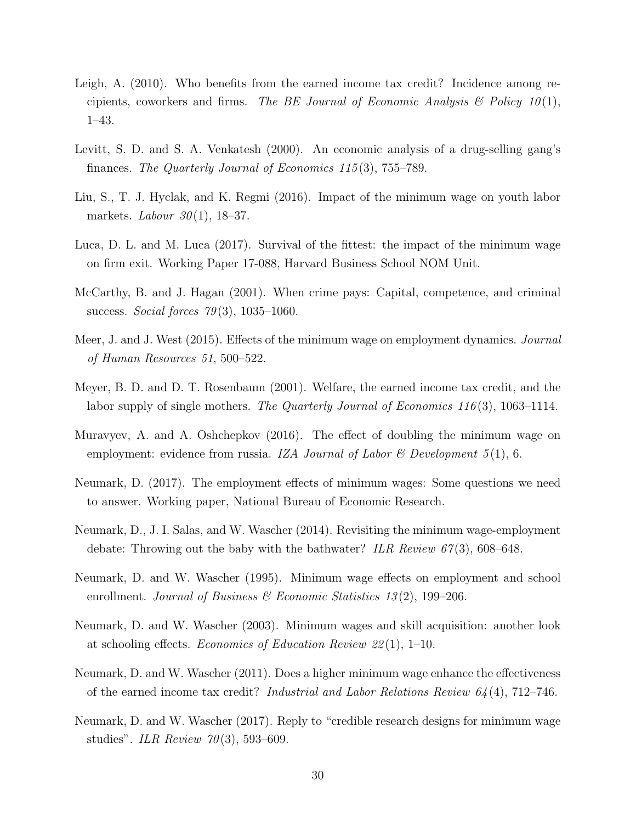- <span id="page-29-8"></span>Leigh, A. (2010). Who benefits from the earned income tax credit? Incidence among recipients, coworkers and firms. The BE Journal of Economic Analysis  $\mathcal{B}$  Policy 10(1), 1–43.
- <span id="page-29-0"></span>Levitt, S. D. and S. A. Venkatesh (2000). An economic analysis of a drug-selling gang's finances. The Quarterly Journal of Economics 115 (3), 755–789.
- <span id="page-29-11"></span>Liu, S., T. J. Hyclak, and K. Regmi (2016). Impact of the minimum wage on youth labor markets. Labour  $30(1)$ , 18-37.
- <span id="page-29-7"></span>Luca, D. L. and M. Luca (2017). Survival of the fittest: the impact of the minimum wage on firm exit. Working Paper 17-088, Harvard Business School NOM Unit.
- <span id="page-29-1"></span>McCarthy, B. and J. Hagan (2001). When crime pays: Capital, competence, and criminal success. Social forces  $79(3)$ , 1035–1060.
- <span id="page-29-4"></span>Meer, J. and J. West (2015). Effects of the minimum wage on employment dynamics. *Journal* of Human Resources 51, 500–522.
- <span id="page-29-12"></span>Meyer, B. D. and D. T. Rosenbaum (2001). Welfare, the earned income tax credit, and the labor supply of single mothers. The Quarterly Journal of Economics 116(3), 1063–1114.
- <span id="page-29-9"></span>Muravyev, A. and A. Oshchepkov (2016). The effect of doubling the minimum wage on employment: evidence from russia. IZA Journal of Labor & Development  $5(1)$ , 6.
- <span id="page-29-6"></span>Neumark, D. (2017). The employment effects of minimum wages: Some questions we need to answer. Working paper, National Bureau of Economic Research.
- <span id="page-29-3"></span>Neumark, D., J. I. Salas, and W. Wascher (2014). Revisiting the minimum wage-employment debate: Throwing out the baby with the bathwater? ILR Review  $67(3)$ , 608–648.
- <span id="page-29-10"></span>Neumark, D. and W. Wascher (1995). Minimum wage effects on employment and school enrollment. Journal of Business & Economic Statistics 13(2), 199–206.
- <span id="page-29-2"></span>Neumark, D. and W. Wascher (2003). Minimum wages and skill acquisition: another look at schooling effects. Economics of Education Review 22 (1), 1–10.
- <span id="page-29-13"></span>Neumark, D. and W. Wascher (2011). Does a higher minimum wage enhance the effectiveness of the earned income tax credit? Industrial and Labor Relations Review  $64(4)$ , 712–746.
- <span id="page-29-5"></span>Neumark, D. and W. Wascher (2017). Reply to "credible research designs for minimum wage studies". ILR Review  $70(3)$ , 593–609.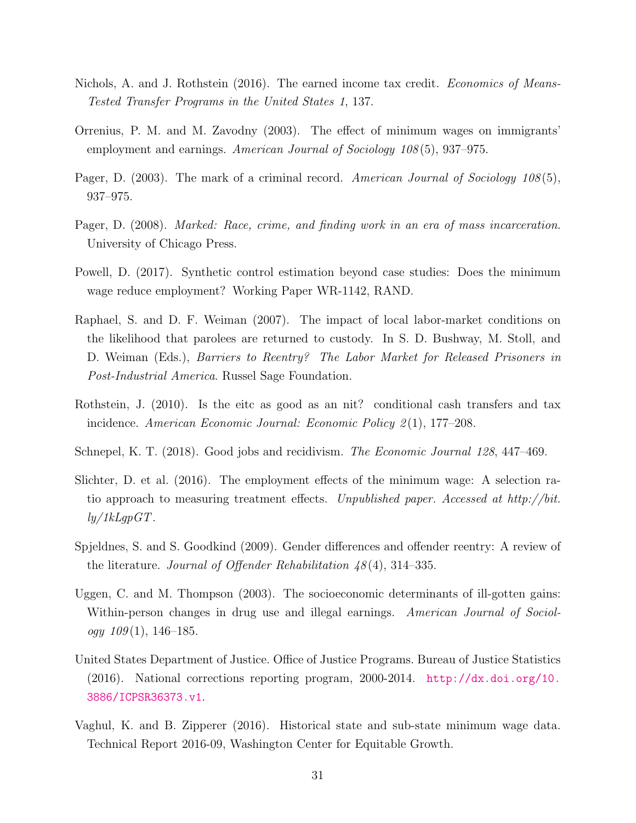- <span id="page-30-6"></span>Nichols, A. and J. Rothstein (2016). The earned income tax credit. *Economics of Means*-Tested Transfer Programs in the United States 1, 137.
- <span id="page-30-9"></span>Orrenius, P. M. and M. Zavodny (2003). The effect of minimum wages on immigrants' employment and earnings. American Journal of Sociology 108(5), 937–975.
- <span id="page-30-3"></span>Pager, D. (2003). The mark of a criminal record. American Journal of Sociology 108(5), 937–975.
- <span id="page-30-2"></span>Pager, D. (2008). Marked: Race, crime, and finding work in an era of mass incarceration. University of Chicago Press.
- <span id="page-30-8"></span>Powell, D. (2017). Synthetic control estimation beyond case studies: Does the minimum wage reduce employment? Working Paper WR-1142, RAND.
- <span id="page-30-0"></span>Raphael, S. and D. F. Weiman (2007). The impact of local labor-market conditions on the likelihood that parolees are returned to custody. In S. D. Bushway, M. Stoll, and D. Weiman (Eds.), *Barriers to Reentry? The Labor Market for Released Prisoners in* Post-Industrial America. Russel Sage Foundation.
- <span id="page-30-5"></span>Rothstein, J. (2010). Is the eitc as good as an nit? conditional cash transfers and tax incidence. American Economic Journal: Economic Policy 2(1), 177–208.
- <span id="page-30-1"></span>Schnepel, K. T. (2018). Good jobs and recidivism. The Economic Journal 128, 447–469.
- <span id="page-30-7"></span>Slichter, D. et al. (2016). The employment effects of the minimum wage: A selection ratio approach to measuring treatment effects. Unpublished paper. Accessed at http://bit.  $ly/1kLqpGT.$
- <span id="page-30-10"></span>Spjeldnes, S. and S. Goodkind (2009). Gender differences and offender reentry: A review of the literature. Journal of Offender Rehabilitation  $\frac{1}{8}(4)$ , 314–335.
- <span id="page-30-4"></span>Uggen, C. and M. Thompson (2003). The socioeconomic determinants of ill-gotten gains: Within-person changes in drug use and illegal earnings. American Journal of Sociology  $109(1)$ , 146-185.
- <span id="page-30-11"></span>United States Department of Justice. Office of Justice Programs. Bureau of Justice Statistics (2016). National corrections reporting program, 2000-2014. [http://dx.doi.org/10.](http://dx.doi.org/10.3886/ICPSR36373.v1) [3886/ICPSR36373.v1](http://dx.doi.org/10.3886/ICPSR36373.v1).
- <span id="page-30-12"></span>Vaghul, K. and B. Zipperer (2016). Historical state and sub-state minimum wage data. Technical Report 2016-09, Washington Center for Equitable Growth.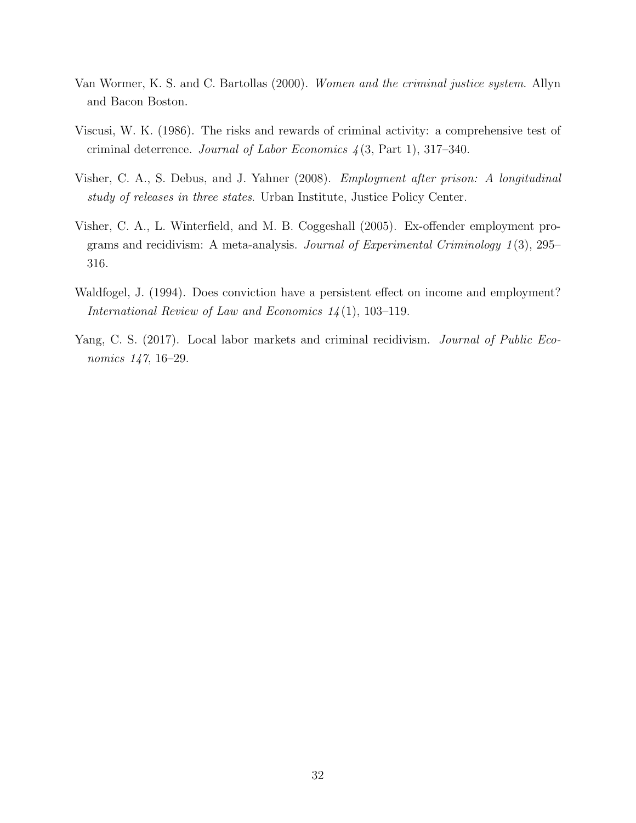- <span id="page-31-5"></span>Van Wormer, K. S. and C. Bartollas (2000). Women and the criminal justice system. Allyn and Bacon Boston.
- <span id="page-31-3"></span>Viscusi, W. K. (1986). The risks and rewards of criminal activity: a comprehensive test of criminal deterrence. Journal of Labor Economics  $\frac{1}{3}$ , Part 1, 317–340.
- <span id="page-31-1"></span>Visher, C. A., S. Debus, and J. Yahner (2008). Employment after prison: A longitudinal study of releases in three states. Urban Institute, Justice Policy Center.
- <span id="page-31-4"></span>Visher, C. A., L. Winterfield, and M. B. Coggeshall (2005). Ex-offender employment programs and recidivism: A meta-analysis. Journal of Experimental Criminology 1 (3), 295– 316.
- <span id="page-31-2"></span>Waldfogel, J. (1994). Does conviction have a persistent effect on income and employment? International Review of Law and Economics  $1/4(1)$ , 103-119.
- <span id="page-31-0"></span>Yang, C. S. (2017). Local labor markets and criminal recidivism. *Journal of Public Eco*nomics 147, 16–29.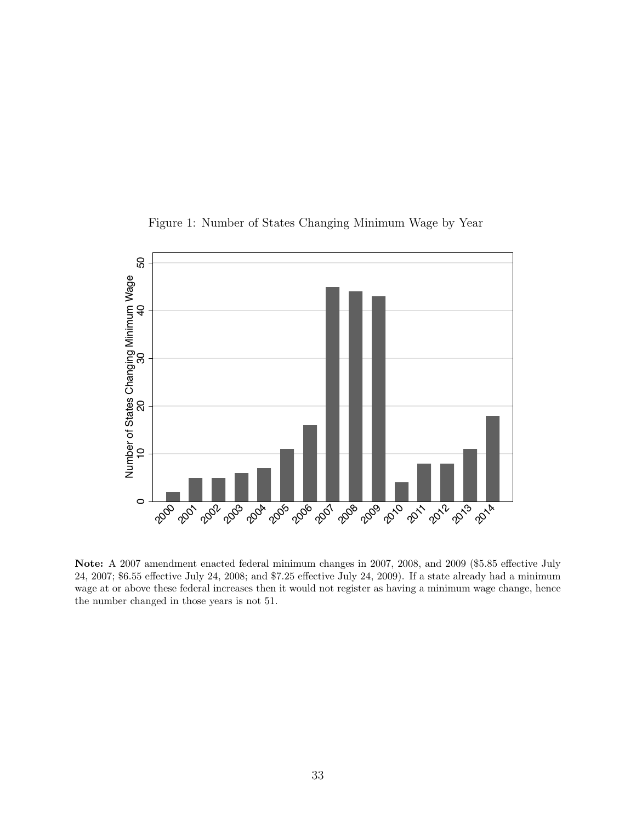<span id="page-32-0"></span>

Figure 1: Number of States Changing Minimum Wage by Year

Note: A 2007 amendment enacted federal minimum changes in 2007, 2008, and 2009 (\$5.85 effective July 24, 2007; \$6.55 effective July 24, 2008; and \$7.25 effective July 24, 2009). If a state already had a minimum wage at or above these federal increases then it would not register as having a minimum wage change, hence the number changed in those years is not 51.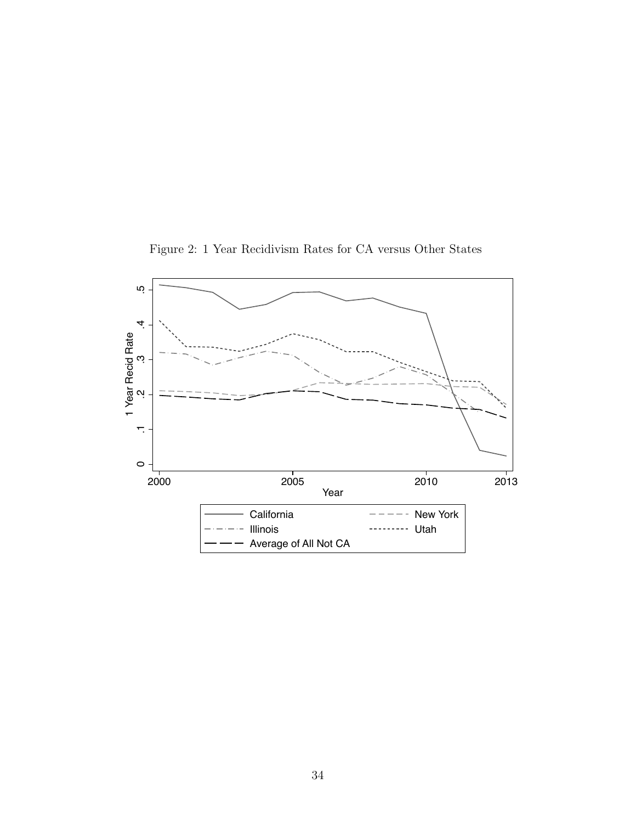

<span id="page-33-0"></span>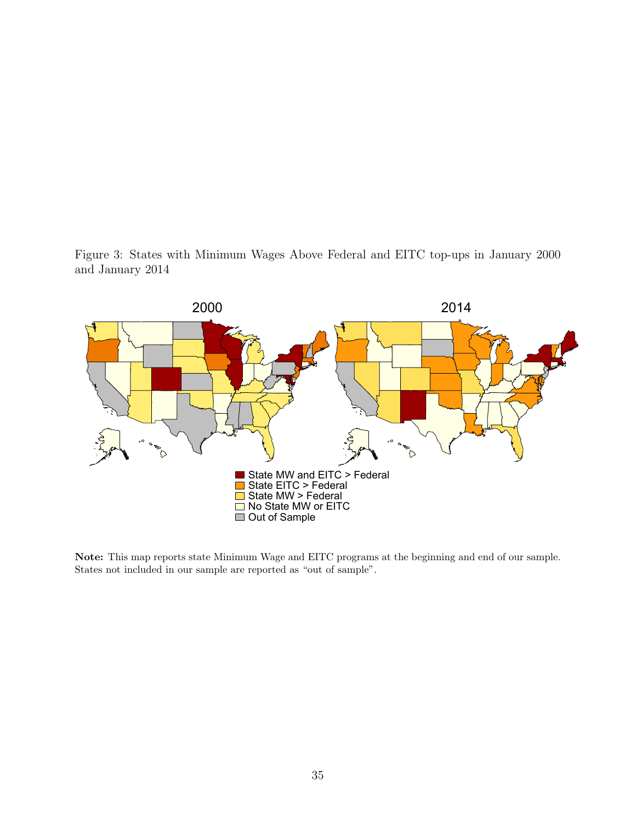<span id="page-34-0"></span>Figure 3: States with Minimum Wages Above Federal and EITC top-ups in January 2000 and January 2014



Note: This map reports state Minimum Wage and EITC programs at the beginning and end of our sample. States not included in our sample are reported as "out of sample".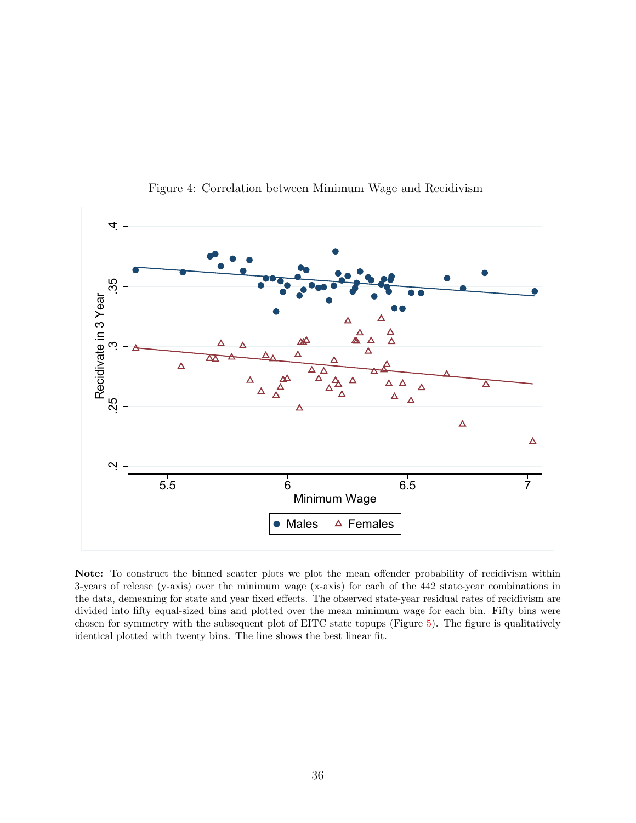<span id="page-35-0"></span>

Figure 4: Correlation between Minimum Wage and Recidivism

Note: To construct the binned scatter plots we plot the mean offender probability of recidivism within 3-years of release (y-axis) over the minimum wage (x-axis) for each of the 442 state-year combinations in the data, demeaning for state and year fixed effects. The observed state-year residual rates of recidivism are divided into fifty equal-sized bins and plotted over the mean minimum wage for each bin. Fifty bins were chosen for symmetry with the subsequent plot of EITC state topups (Figure [5\)](#page-36-0). The figure is qualitatively identical plotted with twenty bins. The line shows the best linear fit.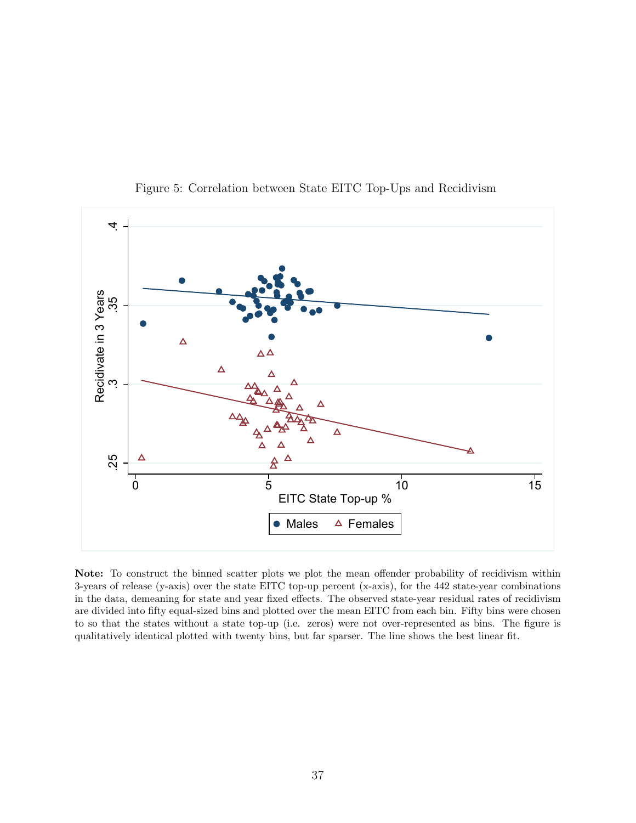<span id="page-36-0"></span>

Figure 5: Correlation between State EITC Top-Ups and Recidivism

Note: To construct the binned scatter plots we plot the mean offender probability of recidivism within 3-years of release (y-axis) over the state EITC top-up percent (x-axis), for the 442 state-year combinations in the data, demeaning for state and year fixed effects. The observed state-year residual rates of recidivism are divided into fifty equal-sized bins and plotted over the mean EITC from each bin. Fifty bins were chosen to so that the states without a state top-up (i.e. zeros) were not over-represented as bins. The figure is qualitatively identical plotted with twenty bins, but far sparser. The line shows the best linear fit.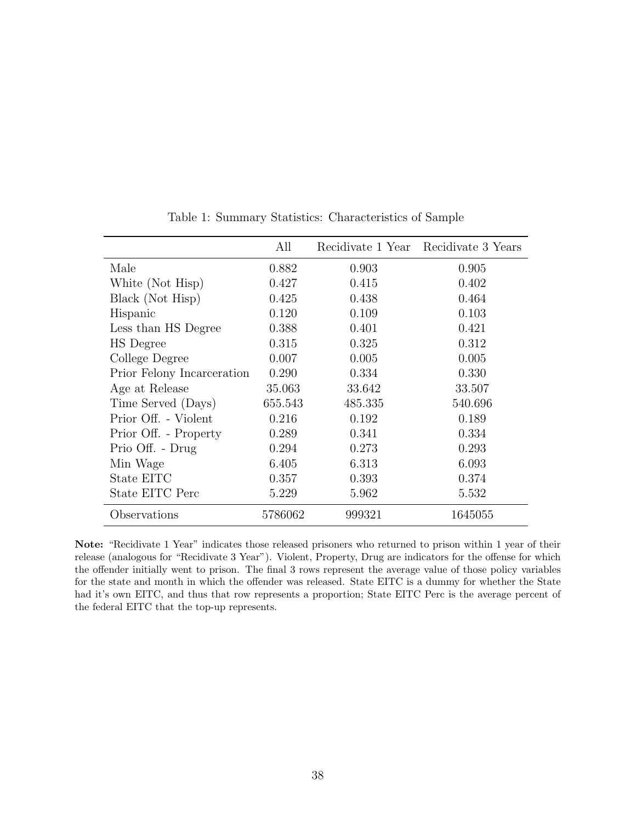<span id="page-37-0"></span>

|                            | All     |         | Recidivate 1 Year Recidivate 3 Years |
|----------------------------|---------|---------|--------------------------------------|
| Male                       | 0.882   | 0.903   | 0.905                                |
| White (Not Hisp)           | 0.427   | 0.415   | 0.402                                |
| Black (Not Hisp)           | 0.425   | 0.438   | 0.464                                |
| Hispanic                   | 0.120   | 0.109   | 0.103                                |
| Less than HS Degree        | 0.388   | 0.401   | 0.421                                |
| HS Degree                  | 0.315   | 0.325   | 0.312                                |
| College Degree             | 0.007   | 0.005   | 0.005                                |
| Prior Felony Incarceration | 0.290   | 0.334   | 0.330                                |
| Age at Release             | 35.063  | 33.642  | 33.507                               |
| Time Served (Days)         | 655.543 | 485.335 | 540.696                              |
| Prior Off. - Violent       | 0.216   | 0.192   | 0.189                                |
| Prior Off. - Property      | 0.289   | 0.341   | 0.334                                |
| Prio Off. - Drug           | 0.294   | 0.273   | 0.293                                |
| Min Wage                   | 6.405   | 6.313   | 6.093                                |
| State EITC                 | 0.357   | 0.393   | 0.374                                |
| State EITC Perc            | 5.229   | 5.962   | 5.532                                |
| Observations               | 5786062 | 999321  | 1645055                              |

Table 1: Summary Statistics: Characteristics of Sample

Note: "Recidivate 1 Year" indicates those released prisoners who returned to prison within 1 year of their release (analogous for "Recidivate 3 Year"). Violent, Property, Drug are indicators for the offense for which the offender initially went to prison. The final 3 rows represent the average value of those policy variables for the state and month in which the offender was released. State EITC is a dummy for whether the State had it's own EITC, and thus that row represents a proportion; State EITC Perc is the average percent of the federal EITC that the top-up represents.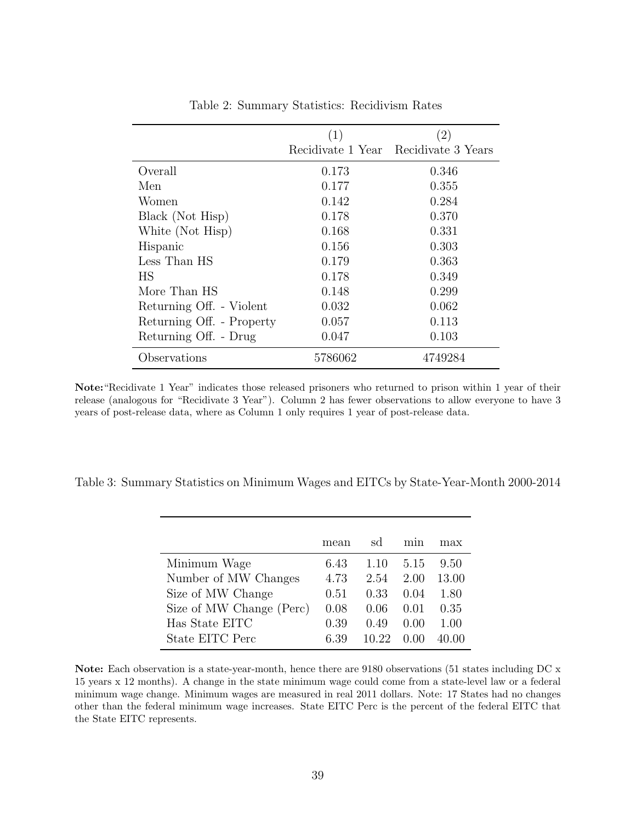<span id="page-38-0"></span>

|                           | (1)     | (2)                                  |
|---------------------------|---------|--------------------------------------|
|                           |         | Recidivate 1 Year Recidivate 3 Years |
| Overall                   | 0.173   | 0.346                                |
| Men                       | 0.177   | 0.355                                |
| Women                     | 0.142   | 0.284                                |
| Black (Not Hisp)          | 0.178   | 0.370                                |
| White (Not Hisp)          | 0.168   | 0.331                                |
| Hispanic                  | 0.156   | 0.303                                |
| Less Than HS              | 0.179   | 0.363                                |
| HS                        | 0.178   | 0.349                                |
| More Than HS              | 0.148   | 0.299                                |
| Returning Off. - Violent  | 0.032   | 0.062                                |
| Returning Off. - Property | 0.057   | 0.113                                |
| Returning Off. - Drug     | 0.047   | 0.103                                |
| Observations              | 5786062 | 4749284                              |

Table 2: Summary Statistics: Recidivism Rates

Note:"Recidivate 1 Year" indicates those released prisoners who returned to prison within 1 year of their release (analogous for "Recidivate 3 Year"). Column 2 has fewer observations to allow everyone to have 3 years of post-release data, where as Column 1 only requires 1 year of post-release data.

<span id="page-38-1"></span>

|  | Table 3: Summary Statistics on Minimum Wages and EITCs by State-Year-Month 2000-2014 |  |  |  |
|--|--------------------------------------------------------------------------------------|--|--|--|
|  |                                                                                      |  |  |  |

|                          | mean | sd    | mın  | max   |
|--------------------------|------|-------|------|-------|
| Minimum Wage             | 6.43 | 1.10  | 5.15 | 9.50  |
| Number of MW Changes     | 4.73 | 2.54  | 2.00 | 13.00 |
| Size of MW Change        | 0.51 | 0.33  | 0.04 | 1.80  |
| Size of MW Change (Perc) | 0.08 | 0.06  | 0.01 | 0.35  |
| Has State EITC           | 0.39 | 0.49  | 0.00 | 1.00  |
| State EITC Perc          | 6.39 | 10.22 |      |       |

Note: Each observation is a state-year-month, hence there are 9180 observations (51 states including DC x 15 years x 12 months). A change in the state minimum wage could come from a state-level law or a federal minimum wage change. Minimum wages are measured in real 2011 dollars. Note: 17 States had no changes other than the federal minimum wage increases. State EITC Perc is the percent of the federal EITC that the State EITC represents.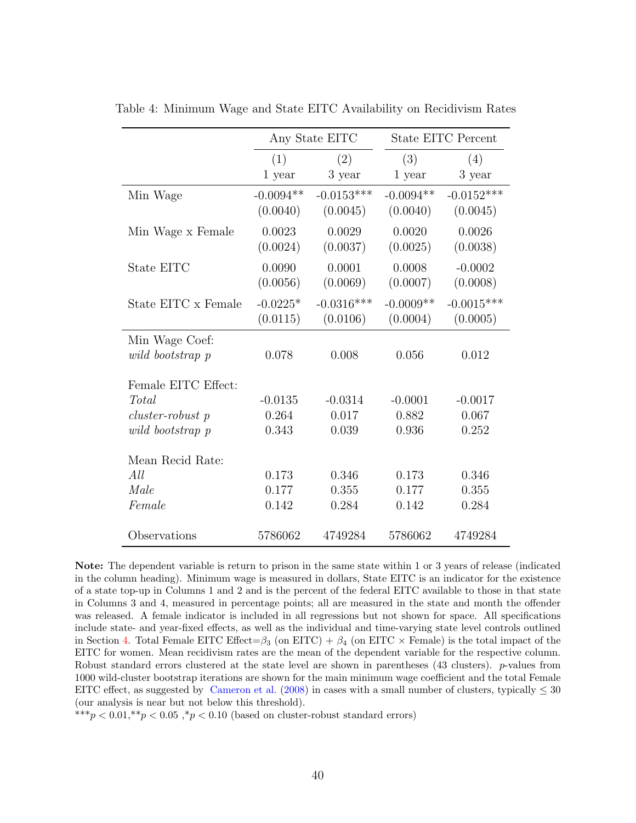|                              |             | Any State EITC |             | <b>State EITC Percent</b> |
|------------------------------|-------------|----------------|-------------|---------------------------|
|                              | (1)         | (2)            | (3)         | (4)                       |
|                              | 1 year      | 3 year         | 1 year      | 3 year                    |
| Min Wage                     | $-0.0094**$ | $-0.0153***$   | $-0.0094**$ | $-0.0152***$              |
|                              | (0.0040)    | (0.0045)       | (0.0040)    | (0.0045)                  |
| Min Wage x Female            | 0.0023      | 0.0029         | 0.0020      | 0.0026                    |
|                              | (0.0024)    | (0.0037)       | (0.0025)    | (0.0038)                  |
| State EITC                   | 0.0090      | 0.0001         | 0.0008      | $-0.0002$                 |
|                              | (0.0056)    | (0.0069)       | (0.0007)    | (0.0008)                  |
| State EITC x Female          | $-0.0225*$  | $-0.0316***$   | $-0.0009**$ | $-0.0015***$              |
|                              | (0.0115)    | (0.0106)       | (0.0004)    | (0.0005)                  |
| Min Wage Coef:               |             |                |             |                           |
| wild bootstrap p             | 0.078       | 0.008          | 0.056       | 0.012                     |
|                              |             |                |             |                           |
| Female EITC Effect:<br>Total | $-0.0135$   | $-0.0314$      | $-0.0001$   | $-0.0017$                 |
| $cluster-robust$ p           | 0.264       | 0.017          | 0.882       | 0.067                     |
| wild bootstrap p             | 0.343       | 0.039          | 0.936       | 0.252                     |
|                              |             |                |             |                           |
| Mean Recid Rate:             |             |                |             |                           |
| All                          | 0.173       | 0.346          | 0.173       | 0.346                     |
| Male                         | 0.177       | 0.355          | 0.177       | 0.355                     |
| Female                       | 0.142       | 0.284          | 0.142       | 0.284                     |
| Observations                 | 5786062     | 4749284        | 5786062     | 4749284                   |
|                              |             |                |             |                           |

<span id="page-39-0"></span>Table 4: Minimum Wage and State EITC Availability on Recidivism Rates

Note: The dependent variable is return to prison in the same state within 1 or 3 years of release (indicated in the column heading). Minimum wage is measured in dollars, State EITC is an indicator for the existence of a state top-up in Columns 1 and 2 and is the percent of the federal EITC available to those in that state in Columns 3 and 4, measured in percentage points; all are measured in the state and month the offender was released. A female indicator is included in all regressions but not shown for space. All specifications include state- and year-fixed effects, as well as the individual and time-varying state level controls outlined in Section [4.](#page-11-2) Total Female EITC Effect= $\beta_3$  (on EITC) +  $\beta_4$  (on EITC  $\times$  Female) is the total impact of the EITC for women. Mean recidivism rates are the mean of the dependent variable for the respective column. Robust standard errors clustered at the state level are shown in parentheses (43 clusters). p-values from 1000 wild-cluster bootstrap iterations are shown for the main minimum wage coefficient and the total Female EITC effect, as suggested by [Cameron et al.](#page-26-11) [\(2008\)](#page-26-11) in cases with a small number of clusters, typically  $\leq$  30 (our analysis is near but not below this threshold).

\*\*\*p  $< 0.01$ ,\*\*p  $< 0.05$ ,\*p  $< 0.10$  (based on cluster-robust standard errors)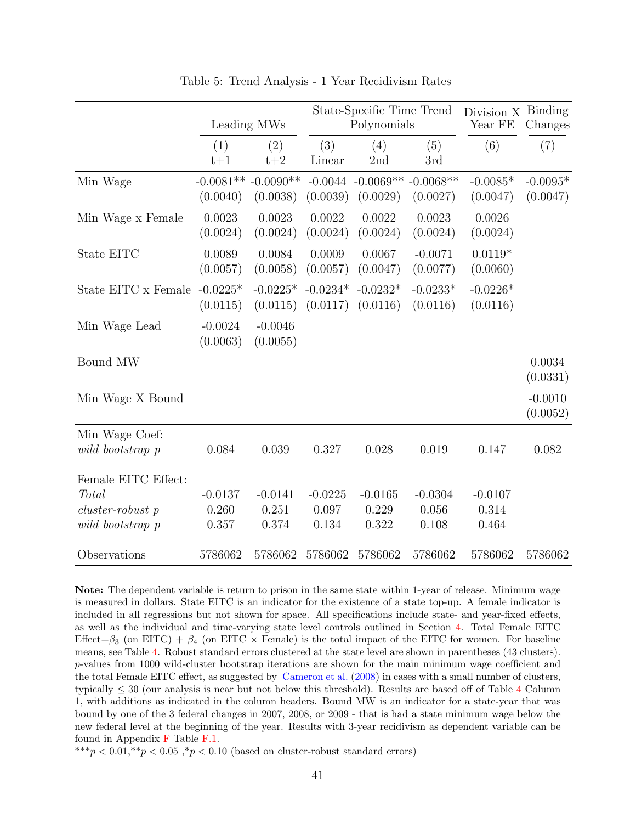<span id="page-40-0"></span>

|                                                                        |                             | Leading MWs                       |                             | State-Specific Time Trend<br>Polynomials |                             | Division X<br>Year FE       | Binding<br>Changes     |
|------------------------------------------------------------------------|-----------------------------|-----------------------------------|-----------------------------|------------------------------------------|-----------------------------|-----------------------------|------------------------|
|                                                                        | (1)<br>$t+1$                | (2)<br>$t+2$                      | (3)<br>Linear               | (4)<br>2nd                               | (5)<br>3rd                  | (6)                         | (7)                    |
| Min Wage                                                               | (0.0040)                    | $-0.0081** -0.0090**$<br>(0.0038) | $-0.0044$<br>(0.0039)       | $-0.0069** -0.0068**$<br>(0.0029)        | (0.0027)                    | $-0.0085*$<br>(0.0047)      | $-0.0095*$<br>(0.0047) |
| Min Wage x Female                                                      | 0.0023<br>(0.0024)          | 0.0023<br>(0.0024)                | 0.0022<br>(0.0024)          | 0.0022<br>(0.0024)                       | 0.0023<br>(0.0024)          | 0.0026<br>(0.0024)          |                        |
| State EITC                                                             | 0.0089<br>(0.0057)          | 0.0084<br>(0.0058)                | 0.0009<br>(0.0057)          | 0.0067<br>(0.0047)                       | $-0.0071$<br>(0.0077)       | $0.0119*$<br>(0.0060)       |                        |
| State EITC x Female $-0.0225*$                                         | (0.0115)                    | $-0.0225*$<br>(0.0115)            | $-0.0234*$<br>(0.0117)      | $-0.0232*$<br>(0.0116)                   | $-0.0233*$<br>(0.0116)      | $-0.0226*$<br>(0.0116)      |                        |
| Min Wage Lead                                                          | $-0.0024$<br>(0.0063)       | $-0.0046$<br>(0.0055)             |                             |                                          |                             |                             |                        |
| Bound MW                                                               |                             |                                   |                             |                                          |                             |                             | 0.0034<br>(0.0331)     |
| Min Wage X Bound                                                       |                             |                                   |                             |                                          |                             |                             | $-0.0010$<br>(0.0052)  |
| Min Wage Coef:<br>wild bootstrap p                                     | 0.084                       | 0.039                             | 0.327                       | 0.028                                    | 0.019                       | 0.147                       | 0.082                  |
| Female EITC Effect:<br>Total<br>$cluster-robust$ p<br>wild bootstrap p | $-0.0137$<br>0.260<br>0.357 | $-0.0141$<br>0.251<br>0.374       | $-0.0225$<br>0.097<br>0.134 | $-0.0165$<br>0.229<br>0.322              | $-0.0304$<br>0.056<br>0.108 | $-0.0107$<br>0.314<br>0.464 |                        |
| Observations                                                           | 5786062                     | 5786062                           | 5786062                     | 5786062                                  | 5786062                     | 5786062                     | 5786062                |

<span id="page-40-1"></span>Table 5: Trend Analysis - 1 Year Recidivism Rates

Note: The dependent variable is return to prison in the same state within 1-year of release. Minimum wage is measured in dollars. State EITC is an indicator for the existence of a state top-up. A female indicator is included in all regressions but not shown for space. All specifications include state- and year-fixed effects, as well as the individual and time-varying state level controls outlined in Section [4.](#page-11-2) Total Female EITC Effect= $\beta_3$  (on EITC) +  $\beta_4$  (on EITC  $\times$  Female) is the total impact of the EITC for women. For baseline means, see Table [4.](#page-39-0) Robust standard errors clustered at the state level are shown in parentheses (43 clusters). p-values from 1000 wild-cluster bootstrap iterations are shown for the main minimum wage coefficient and the total Female EITC effect, as suggested by [Cameron et al.](#page-26-11) [\(2008\)](#page-26-11) in cases with a small number of clusters, typically  $\leq 30$  (our analysis is near but not below this threshold). Results are based off of Table [4](#page-39-0) Column 1, with additions as indicated in the column headers. Bound MW is an indicator for a state-year that was bound by one of the 3 federal changes in 2007, 2008, or 2009 - that is had a state minimum wage below the new federal level at the beginning of the year. Results with 3-year recidivism as dependent variable can be found in Appendix [F](#page-58-0) Table [F.1.](#page-59-0)

\*\*\*p  $< 0.01$ ,\*\*p  $< 0.05$ ,\*p  $< 0.10$  (based on cluster-robust standard errors)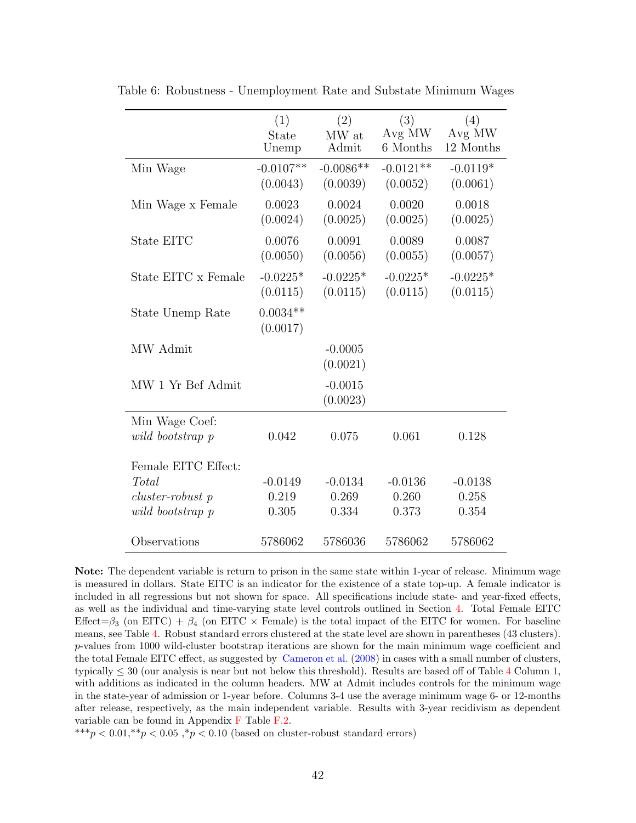|                      | (1)<br>State<br>Unemp   | (2)<br>MW at<br>Admit   | (3)<br>Avg MW<br>6 Months | (4)<br>Avg MW<br>12 Months |
|----------------------|-------------------------|-------------------------|---------------------------|----------------------------|
| Min Wage             | $-0.0107**$<br>(0.0043) | $-0.0086**$<br>(0.0039) | $-0.0121**$<br>(0.0052)   | $-0.0119*$<br>(0.0061)     |
| Min Wage x Female    | 0.0023<br>(0.0024)      | 0.0024<br>(0.0025)      | 0.0020<br>(0.0025)        | 0.0018<br>(0.0025)         |
| State EITC           | 0.0076<br>(0.0050)      | 0.0091<br>(0.0056)      | 0.0089<br>(0.0055)        | 0.0087<br>(0.0057)         |
| State EITC x Female  | $-0.0225*$<br>(0.0115)  | $-0.0225*$<br>(0.0115)  | $-0.0225*$<br>(0.0115)    | $-0.0225*$<br>(0.0115)     |
| State Unemp Rate     | $0.0034**$<br>(0.0017)  |                         |                           |                            |
| MW Admit             |                         | $-0.0005$<br>(0.0021)   |                           |                            |
| MW 1 Yr Bef Admit    |                         | $-0.0015$<br>(0.0023)   |                           |                            |
| Min Wage Coef:       |                         |                         |                           |                            |
| wild bootstrap p     | 0.042                   | 0.075                   | 0.061                     | 0.128                      |
| Female EITC Effect:  |                         |                         |                           |                            |
| Total                | $-0.0149$               | $-0.0134$               | $-0.0136$                 | $-0.0138$                  |
| $cluster-robust$ $p$ | 0.219                   | 0.269                   | 0.260                     | 0.258                      |
| wild bootstrap p     | 0.305                   | 0.334                   | 0.373                     | 0.354                      |
| Observations         | 5786062                 | 5786036                 | 5786062                   | 5786062                    |

<span id="page-41-0"></span>Table 6: Robustness - Unemployment Rate and Substate Minimum Wages

Note: The dependent variable is return to prison in the same state within 1-year of release. Minimum wage is measured in dollars. State EITC is an indicator for the existence of a state top-up. A female indicator is included in all regressions but not shown for space. All specifications include state- and year-fixed effects, as well as the individual and time-varying state level controls outlined in Section [4.](#page-11-2) Total Female EITC Effect= $\beta_3$  (on EITC) +  $\beta_4$  (on EITC  $\times$  Female) is the total impact of the EITC for women. For baseline means, see Table [4.](#page-39-0) Robust standard errors clustered at the state level are shown in parentheses (43 clusters). p-values from 1000 wild-cluster bootstrap iterations are shown for the main minimum wage coefficient and the total Female EITC effect, as suggested by [Cameron et al.](#page-26-11) [\(2008\)](#page-26-11) in cases with a small number of clusters, typically  $\leq 30$  (our analysis is near but not below this threshold). Results are based off of Table [4](#page-39-0) Column 1, with additions as indicated in the column headers. MW at Admit includes controls for the minimum wage in the state-year of admission or 1-year before. Columns 3-4 use the average minimum wage 6- or 12-months after release, respectively, as the main independent variable. Results with 3-year recidivism as dependent variable can be found in Appendix [F](#page-58-0) Table [F.2.](#page-60-0)

 $^{***}p<0.01,^{**}p<0.05$  ,  $^{*}p<0.10$  (based on cluster-robust standard errors)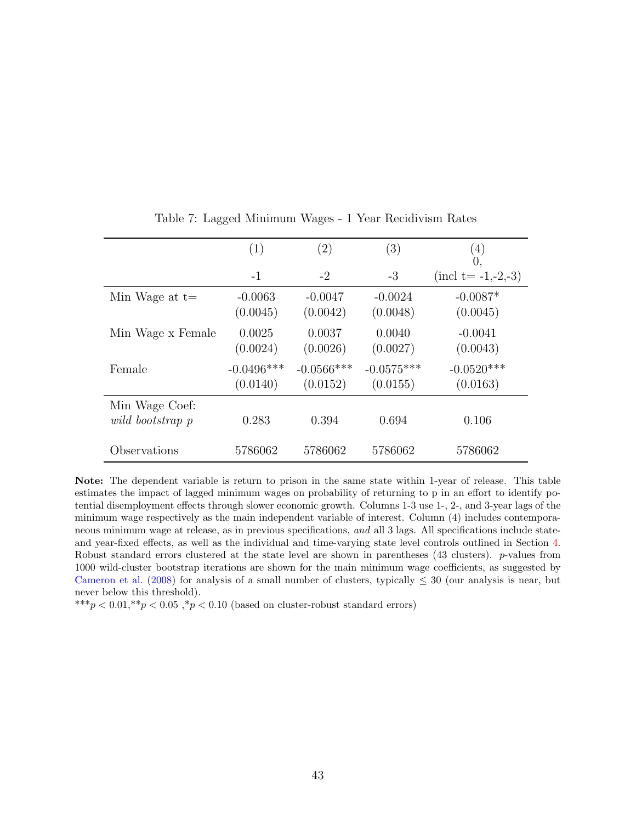<span id="page-42-0"></span>

|                                    | (1)                      | $\left( 2\right)$         | (3)                      | (4)<br>0,                       |
|------------------------------------|--------------------------|---------------------------|--------------------------|---------------------------------|
|                                    | $-1$                     | $-2$                      | $-3$                     | $(\text{incl } t = -1, -2, -3)$ |
| Min Wage at $t=$                   | $-0.0063$<br>(0.0045)    | $-0.0047$<br>(0.0042)     | $-0.0024$<br>(0.0048)    | $-0.0087*$<br>(0.0045)          |
| Min Wage x Female                  | 0.0025<br>(0.0024)       | 0.0037<br>(0.0026)        | 0.0040<br>(0.0027)       | $-0.0041$<br>(0.0043)           |
| Female                             | $-0.0496***$<br>(0.0140) | $-0.0566$ ***<br>(0.0152) | $-0.0575***$<br>(0.0155) | $-0.0520***$<br>(0.0163)        |
| Min Wage Coef:<br>wild bootstrap p | 0.283                    | 0.394                     | 0.694                    | 0.106                           |
| Observations                       | 5786062                  | 5786062                   | 5786062                  | 5786062                         |

Table 7: Lagged Minimum Wages - 1 Year Recidivism Rates

Note: The dependent variable is return to prison in the same state within 1-year of release. This table estimates the impact of lagged minimum wages on probability of returning to p in an effort to identify potential disemployment effects through slower economic growth. Columns 1-3 use 1-, 2-, and 3-year lags of the minimum wage respectively as the main independent variable of interest. Column (4) includes contemporaneous minimum wage at release, as in previous specifications, and all 3 lags. All specifications include stateand year-fixed effects, as well as the individual and time-varying state level controls outlined in Section [4.](#page-11-2) Robust standard errors clustered at the state level are shown in parentheses (43 clusters). p-values from 1000 wild-cluster bootstrap iterations are shown for the main minimum wage coefficients, as suggested by [Cameron et al.](#page-26-11) [\(2008\)](#page-26-11) for analysis of a small number of clusters, typically  $\leq 30$  (our analysis is near, but never below this threshold).

\*\*\*p < 0.01,\*\*p < 0.05,\*p < 0.10 (based on cluster-robust standard errors)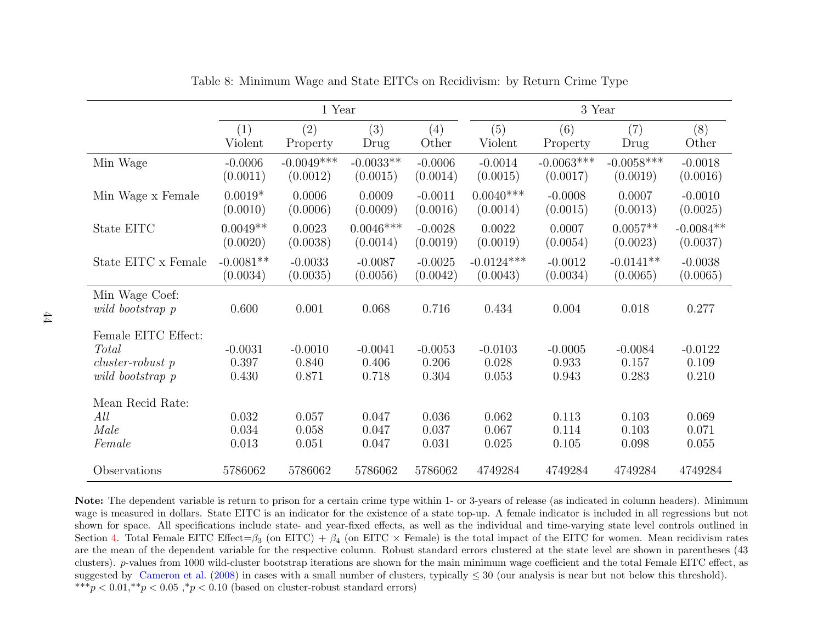|                                                                               |                             | 1 Year                      |                             |                             |                             | 3 Year                      |                             |                             |
|-------------------------------------------------------------------------------|-----------------------------|-----------------------------|-----------------------------|-----------------------------|-----------------------------|-----------------------------|-----------------------------|-----------------------------|
|                                                                               | (1)                         | (2)                         | (3)                         | (4)                         | (5)                         | (6)                         | (7)                         | (8)                         |
|                                                                               | Violent                     | Property                    | Drug                        | Other                       | Violent                     | Property                    | Drug                        | Other                       |
| Min Wage                                                                      | $-0.0006$                   | $-0.0049***$                | $-0.0033**$                 | $-0.0006$                   | $-0.0014$                   | $-0.0063***$                | $-0.0058***$                | $-0.0018$                   |
|                                                                               | (0.0011)                    | (0.0012)                    | (0.0015)                    | (0.0014)                    | (0.0015)                    | (0.0017)                    | (0.0019)                    | (0.0016)                    |
| Min Wage x Female                                                             | $0.0019*$                   | 0.0006                      | 0.0009                      | $-0.0011$                   | $0.0040***$                 | $-0.0008$                   | 0.0007                      | $-0.0010$                   |
|                                                                               | (0.0010)                    | (0.0006)                    | (0.0009)                    | (0.0016)                    | (0.0014)                    | (0.0015)                    | (0.0013)                    | (0.0025)                    |
| State EITC                                                                    | $0.0049**$                  | 0.0023                      | $0.0046***$                 | $-0.0028$                   | 0.0022                      | 0.0007                      | $0.0057**$                  | $-0.0084**$                 |
|                                                                               | (0.0020)                    | (0.0038)                    | (0.0014)                    | (0.0019)                    | (0.0019)                    | (0.0054)                    | (0.0023)                    | (0.0037)                    |
| State EITC x Female                                                           | $-0.0081**$                 | $-0.0033$                   | $-0.0087$                   | $-0.0025$                   | $-0.0124***$                | $-0.0012$                   | $-0.0141**$                 | $-0.0038$                   |
|                                                                               | (0.0034)                    | (0.0035)                    | (0.0056)                    | (0.0042)                    | (0.0043)                    | (0.0034)                    | (0.0065)                    | (0.0065)                    |
| Min Wage Coef:<br>wild bootstrap p                                            | 0.600                       | 0.001                       | 0.068                       | 0.716                       | 0.434                       | 0.004                       | 0.018                       | 0.277                       |
| Female EITC Effect:<br><b>Total</b><br>$cluster-robust$ p<br>wild bootstrap p | $-0.0031$<br>0.397<br>0.430 | $-0.0010$<br>0.840<br>0.871 | $-0.0041$<br>0.406<br>0.718 | $-0.0053$<br>0.206<br>0.304 | $-0.0103$<br>0.028<br>0.053 | $-0.0005$<br>0.933<br>0.943 | $-0.0084$<br>0.157<br>0.283 | $-0.0122$<br>0.109<br>0.210 |
| Mean Recid Rate:<br>All<br>Male<br>Female                                     | 0.032<br>0.034<br>0.013     | 0.057<br>0.058<br>0.051     | 0.047<br>0.047<br>0.047     | 0.036<br>0.037<br>0.031     | 0.062<br>0.067<br>0.025     | 0.113<br>0.114<br>0.105     | 0.103<br>0.103<br>0.098     | 0.069<br>0.071<br>0.055     |
| Observations                                                                  | 5786062                     | 5786062                     | 5786062                     | 5786062                     | 4749284                     | 4749284                     | 4749284                     | 4749284                     |

<span id="page-43-0"></span>Table 8: Minimum Wage and State EITCs on Recidivism: by Return Crime Type

Note: The dependent variable is return to prison for <sup>a</sup> certain crime type within 1- or 3-years of release (as indicated in column headers). Minimum wage is measured in dollars. State EITC is an indicator for the existence of <sup>a</sup> state top-up. A female indicator is included in all regressions but not shown for space. All specifications include state- and year-fixed effects, as well as the individual and time-varying state level controls outlined inSection [4.](#page-11-3) Total Female EITC Effect= $\beta_3$  (on EITC) +  $\beta_4$  (on EITC  $\times$  Female) is the total impact of the EITC for women. Mean recidivism rates are the mean of the dependent variable for the respective column. Robust standard errors clustered at the state level are shown in parentheses (43clusters).  $p$ -values from 1000 wild-cluster bootstrap iterations are shown for the main minimum wage coefficient and the total Female EITC effect, as suggested by [Cameron](#page-26-13) et al. [\(2008\)](#page-26-13) in cases with a small number of clusters, typically  $\leq 30$  (our analysis is near but not below this threshold). \*\*\* $p < 0.01,$ \*\* $p < 0.05,$ \* $p < 0.10$  (based on cluster-robust standard errors)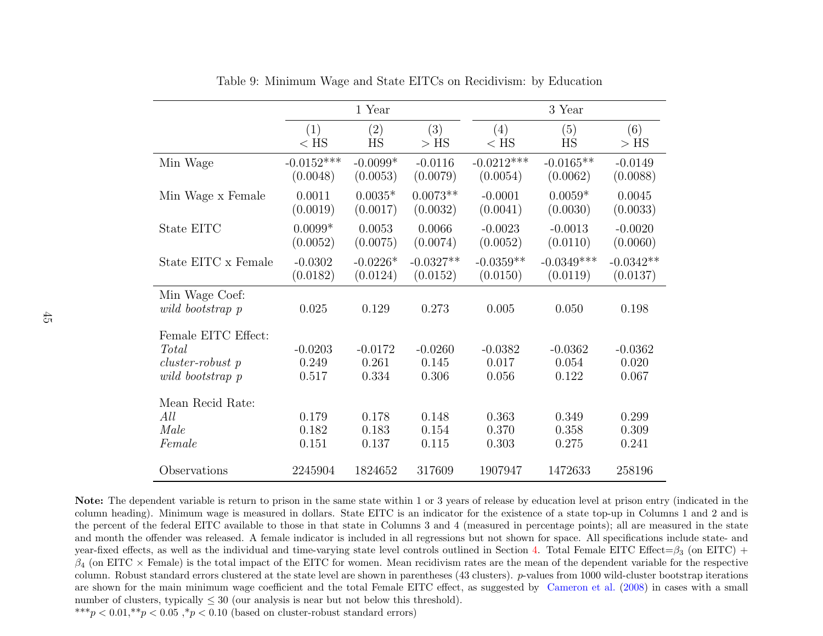|                                                                      |                             | 1 Year                      |                             |                             | 3 Year                      |                             |
|----------------------------------------------------------------------|-----------------------------|-----------------------------|-----------------------------|-----------------------------|-----------------------------|-----------------------------|
|                                                                      | (1)                         | (2)                         | (3)                         | (4)                         | (5)                         | (6)                         |
|                                                                      | $<$ HS                      | HS                          | $>$ HS                      | $<$ HS                      | HS                          | $>$ HS                      |
| Min Wage                                                             | $-0.0152***$                | $-0.0099*$                  | $-0.0116$                   | $-0.0212***$                | $-0.0165**$                 | $-0.0149$                   |
|                                                                      | (0.0048)                    | (0.0053)                    | (0.0079)                    | (0.0054)                    | (0.0062)                    | (0.0088)                    |
| Min Wage x Female                                                    | 0.0011                      | $0.0035*$                   | $0.0073**$                  | $-0.0001$                   | $0.0059*$                   | 0.0045                      |
|                                                                      | (0.0019)                    | (0.0017)                    | (0.0032)                    | (0.0041)                    | (0.0030)                    | (0.0033)                    |
| State EITC                                                           | $0.0099*$                   | 0.0053                      | 0.0066                      | $-0.0023$                   | $-0.0013$                   | $-0.0020$                   |
|                                                                      | (0.0052)                    | (0.0075)                    | (0.0074)                    | (0.0052)                    | (0.0110)                    | (0.0060)                    |
| State EITC $\mathbf x$ Female                                        | $-0.0302$                   | $-0.0226*$                  | $-0.0327**$                 | $-0.0359**$                 | $-0.0349***$                | $-0.0342**$                 |
|                                                                      | (0.0182)                    | (0.0124)                    | (0.0152)                    | (0.0150)                    | (0.0119)                    | (0.0137)                    |
| Min Wage Coef:<br>wild bootstrap p                                   | 0.025                       | 0.129                       | 0.273                       | 0.005                       | 0.050                       | 0.198                       |
| Female EITC Effect:<br>Total<br>cluster-robust p<br>wild bootstrap p | $-0.0203$<br>0.249<br>0.517 | $-0.0172$<br>0.261<br>0.334 | $-0.0260$<br>0.145<br>0.306 | $-0.0382$<br>0.017<br>0.056 | $-0.0362$<br>0.054<br>0.122 | $-0.0362$<br>0.020<br>0.067 |
| Mean Recid Rate:<br>All<br>Male<br>Female                            | 0.179<br>0.182<br>0.151     | 0.178<br>0.183<br>0.137     | 0.148<br>0.154<br>0.115     | 0.363<br>0.370<br>0.303     | 0.349<br>0.358<br>0.275     | 0.299<br>0.309<br>0.241     |
| Observations                                                         | 2245904                     | 1824652                     | 317609                      | 1907947                     | 1472633                     | 258196                      |

Table 9: Minimum Wage and State EITCs on Recidivism: by Education

Note: The dependent variable is return to prison in the same state within <sup>1</sup> or <sup>3</sup> years of release by education level at prison entry (indicated in the column heading). Minimum wage is measured in dollars. State EITC is an indicator for the existence of <sup>a</sup> state top-up in Columns <sup>1</sup> and <sup>2</sup> and is the percent of the federal EITC available to those in that state in Columns <sup>3</sup> and <sup>4</sup> (measured in percentage points); all are measured in the state and month the offender was released. A female indicator is included in all regressions but not shown for space. All specifications include state- andyear-fixed effects, as well as the individual and time-varying state level controls outlined in Section [4.](#page-11-3) Total Female EITC Effect= $\beta_3$  (on EITC) +  $\beta_4$  (on EITC  $\times$  Female) is the total impact of the EITC for women. Mean recidivism rates are the mean of the dependent variable for the respective column. Robust standard errors clustered at the state level are shown in parentheses (43 clusters). p-values from 1000 wild-cluster bootstrap iterations are shown for the main minimum wage coefficient and the total Female EITC effect, as suggested by [Cameron](#page-26-13) et al. [\(2008\)](#page-26-13) in cases with <sup>a</sup> small number of clusters, typically  $\leq 30$  (our analysis is near but not below this threshold).

<span id="page-44-0"></span>\*\*\* $p < 0.01$ ,\*\* $p < 0.05$ ,\* $p < 0.10$  (based on cluster-robust standard errors)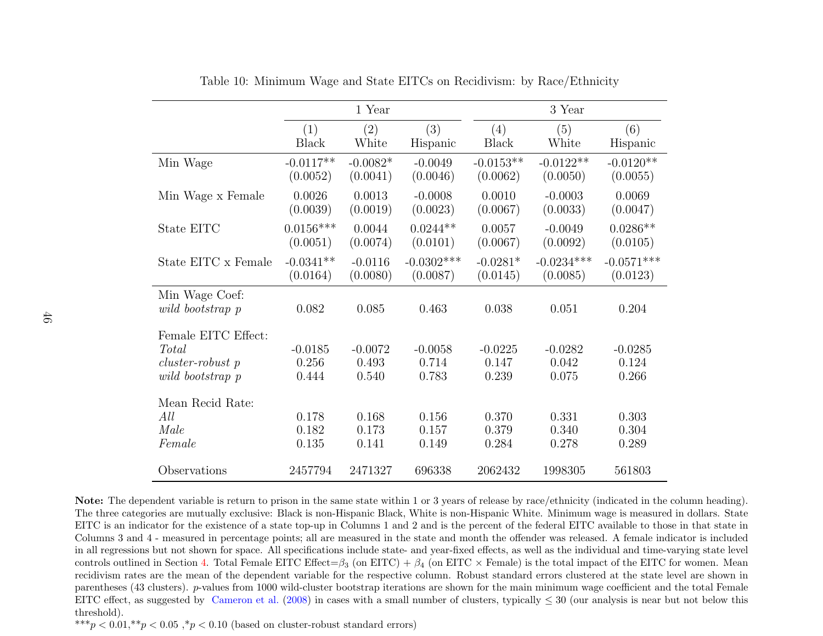|                                                                        |                             | 1 Year                      |                             |                             | 3 Year                      |                             |
|------------------------------------------------------------------------|-----------------------------|-----------------------------|-----------------------------|-----------------------------|-----------------------------|-----------------------------|
|                                                                        | (1)                         | (2)                         | (3)                         | (4)                         | (5)                         | (6)                         |
|                                                                        | <b>Black</b>                | White                       | Hispanic                    | Black                       | White                       | Hispanic                    |
| Min Wage                                                               | $-0.0117**$                 | $-0.0082*$                  | $-0.0049$                   | $-0.0153**$                 | $-0.0122**$                 | $-0.0120**$                 |
|                                                                        | (0.0052)                    | (0.0041)                    | (0.0046)                    | (0.0062)                    | (0.0050)                    | (0.0055)                    |
| Min Wage x Female                                                      | 0.0026                      | 0.0013                      | $-0.0008$                   | 0.0010                      | $-0.0003$                   | 0.0069                      |
|                                                                        | (0.0039)                    | (0.0019)                    | (0.0023)                    | (0.0067)                    | (0.0033)                    | (0.0047)                    |
| State EITC                                                             | $0.0156***$                 | 0.0044                      | $0.0244**$                  | 0.0057                      | $-0.0049$                   | $0.0286**$                  |
|                                                                        | (0.0051)                    | (0.0074)                    | (0.0101)                    | (0.0067)                    | (0.0092)                    | (0.0105)                    |
| State EITC x Female                                                    | $-0.0341**$                 | $-0.0116$                   | $-0.0302***$                | $-0.0281*$                  | $-0.0234***$                | $-0.0571***$                |
|                                                                        | (0.0164)                    | (0.0080)                    | (0.0087)                    | (0.0145)                    | (0.0085)                    | (0.0123)                    |
| Min Wage Coef:<br>wild bootstrap p                                     | 0.082                       | 0.085                       | 0.463                       | 0.038                       | 0.051                       | 0.204                       |
| Female EITC Effect:<br>Total<br>$cluster-robust$ p<br>wild bootstrap p | $-0.0185$<br>0.256<br>0.444 | $-0.0072$<br>0.493<br>0.540 | $-0.0058$<br>0.714<br>0.783 | $-0.0225$<br>0.147<br>0.239 | $-0.0282$<br>0.042<br>0.075 | $-0.0285$<br>0.124<br>0.266 |
| Mean Recid Rate:<br>All<br>Male<br>Female                              | 0.178<br>0.182<br>0.135     | 0.168<br>0.173<br>0.141     | 0.156<br>0.157<br>0.149     | 0.370<br>0.379<br>0.284     | 0.331<br>0.340<br>0.278     | 0.303<br>0.304<br>0.289     |
| Observations                                                           | 2457794                     | 2471327                     | 696338                      | 2062432                     | 1998305                     | 561803                      |

Table 10: Minimum Wage and State EITCs on Recidivism: by Race/Ethnicity

Note: The dependent variable is return to prison in the same state within <sup>1</sup> or <sup>3</sup> years of release by race/ethnicity (indicated in the column heading). The three categories are mutually exclusive: Black is non-Hispanic Black, White is non-Hispanic White. Minimum wage is measured in dollars. State EITC is an indicator for the existence of <sup>a</sup> state top-up in Columns 1 and 2 and is the percent of the federal EITC available to those in that state in Columns 3 and 4 - measured in percentage points; all are measured in the state and month the offender was released. A female indicator is included in all regressions but not shown for space. All specifications include state- and year-fixed effects, as well as the individual and time-varying state levelcontrols outlined in Section [4.](#page-11-3) Total Female EITC Effect= $\beta_3$  (on EITC) +  $\beta_4$  (on EITC  $\times$  Female) is the total impact of the EITC for women. Mean recidivism rates are the mean of the dependent variable for the respective column. Robust standard errors clustered at the state level are shown inparentheses (43 clusters). p-values from 1000 wild-cluster bootstrap iterations are shown for the main minimum wage coefficient and the total Female EITC effect, as suggested by [Cameron](#page-26-13) et al. [\(2008\)](#page-26-13) in cases with a small number of clusters, typically  $\leq 30$  (our analysis is near but not below this threshold).

<span id="page-45-0"></span>\*\*\* $p < 0.01$ ,\*\* $p < 0.05$ ,\* $p < 0.10$  (based on cluster-robust standard errors)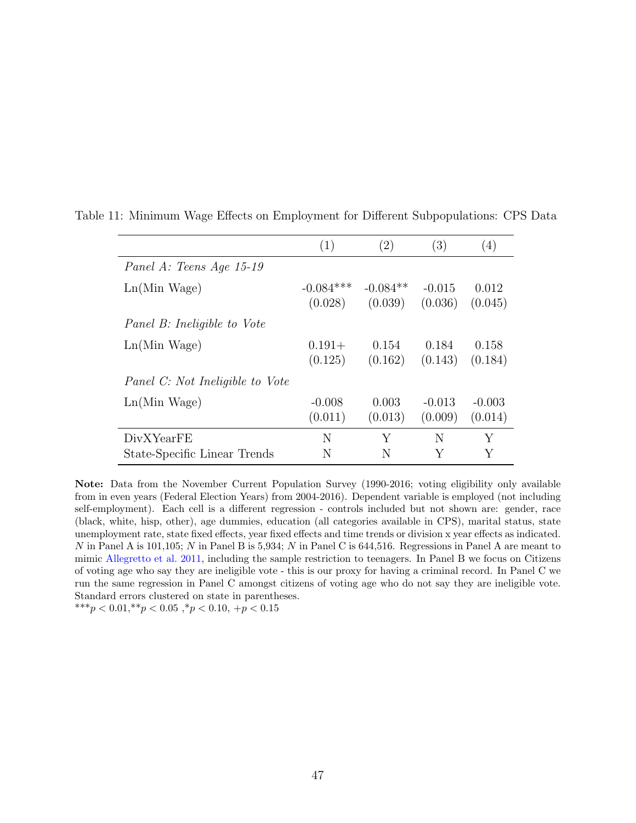|                                 | (1)         | $\left( 2\right)$ | (3)      | (4)      |
|---------------------------------|-------------|-------------------|----------|----------|
| Panel A: Teens Age 15-19        |             |                   |          |          |
| $Ln(Min\,Wage)$                 | $-0.084***$ | $-0.084**$        | $-0.015$ | 0.012    |
|                                 | (0.028)     | (0.039)           | (0.036)  | (0.045)  |
| Panel B: Ineligible to Vote     |             |                   |          |          |
| $Ln(Min\ Wage)$                 | $0.191 +$   | 0.154             | 0.184    | 0.158    |
|                                 | (0.125)     | (0.162)           | (0.143)  | (0.184)  |
| Panel C: Not Ineligible to Vote |             |                   |          |          |
| $Ln(Min\ Wage)$                 | $-0.008$    | 0.003             | $-0.013$ | $-0.003$ |
|                                 | (0.011)     | (0.013)           | (0.009)  | (0.014)  |
| DivXYearFE                      | N           | Y                 | N        | Y        |
| State-Specific Linear Trends    | N           | N                 |          | Y        |

<span id="page-46-0"></span>Table 11: Minimum Wage Effects on Employment for Different Subpopulations: CPS Data

Note: Data from the November Current Population Survey (1990-2016; voting eligibility only available from in even years (Federal Election Years) from 2004-2016). Dependent variable is employed (not including self-employment). Each cell is a different regression - controls included but not shown are: gender, race (black, white, hisp, other), age dummies, education (all categories available in CPS), marital status, state unemployment rate, state fixed effects, year fixed effects and time trends or division x year effects as indicated. N in Panel A is 101,105; N in Panel B is 5,934; N in Panel C is 644,516. Regressions in Panel A are meant to mimic [Allegretto et al.](#page-26-3) [2011,](#page-26-3) including the sample restriction to teenagers. In Panel B we focus on Citizens of voting age who say they are ineligible vote - this is our proxy for having a criminal record. In Panel C we run the same regression in Panel C amongst citizens of voting age who do not say they are ineligible vote. Standard errors clustered on state in parentheses. \*\*\*p <  $0.01$ ,\*\*p <  $0.05$ ,\*p <  $0.10$ , +p <  $0.15$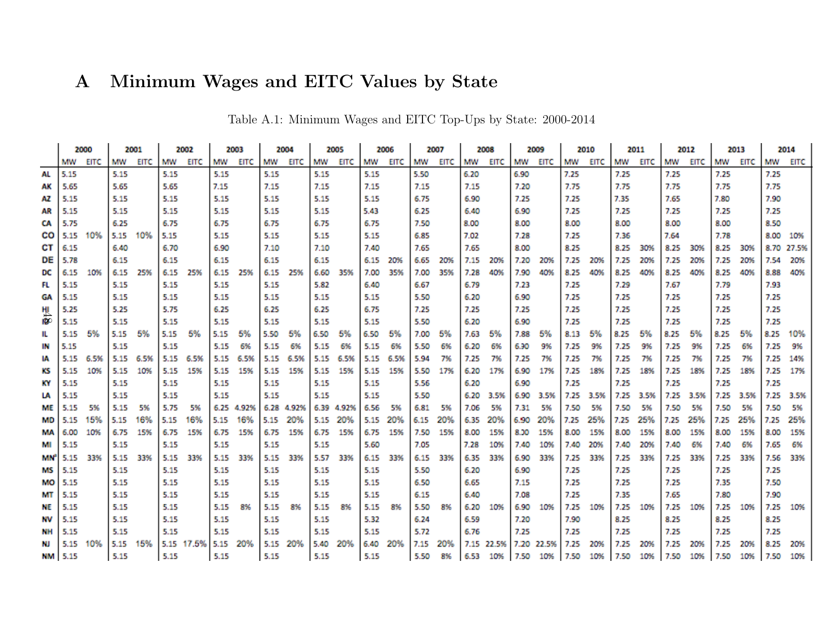# <span id="page-47-0"></span>A Minimum Wages and EITC Values by State

|                        |                | 2000 |      | 2001 |      | 2002       |      | 2003  |      | 2004  |      | 2005  |      | 2006 |      | 2007 |      | 2008       |      | 2009       |      | 2010  |      | 2011 |      | 2012 |      | 2013 |      | 2014  |
|------------------------|----------------|------|------|------|------|------------|------|-------|------|-------|------|-------|------|------|------|------|------|------------|------|------------|------|-------|------|------|------|------|------|------|------|-------|
|                        | MW             | EITC | MW   | EITC | MW   | EITC       | MW   | EITC  | MW   | EITC  | MW   | EITC  | MW   | EITC | MW   | EITC | MW   | EITC       | MW   | EITC       | MW   | EITC  | MW   | EITC | мw   | EITC | MW   | EITC | MW   | EITC  |
| AL                     | 5.15           |      | 5.15 |      | 5.15 |            | 5.15 |       | 5.15 |       | 5.15 |       | 5.15 |      | 5.50 |      | 6.20 |            | 6.90 |            | 7.25 |       | 7.25 |      | 7.25 |      | 7.25 |      | 7.25 |       |
| АК                     | 5.65           |      | 5.65 |      | 5.65 |            | 7.15 |       | 7.15 |       | 7.15 |       | 7.15 |      | 7.15 |      | 7.15 |            | 7.20 |            | 7.75 |       | 7.75 |      | 7.75 |      | 7.75 |      | 7.75 |       |
| AZ                     | 5.15           |      | 5.15 |      | 5.15 |            | 5.15 |       | 5.15 |       | 5.15 |       | 5.15 |      | 6.75 |      | 6.90 |            | 7.25 |            | 7.25 |       | 7.35 |      | 7.65 |      | 7.80 |      | 7.90 |       |
| AR                     | 5.15           |      | 5.15 |      | 5.15 |            | 5.15 |       | 5.15 |       | 5.15 |       | 5.43 |      | 6.25 |      | 6.40 |            | 6.90 |            | 7.25 |       | 7.25 |      | 7.25 |      | 7.25 |      | 7.25 |       |
| CA                     | 5.75           |      | 6.25 |      | 6.75 |            | 6.75 |       | 6.75 |       | 6.75 |       | 6.75 |      | 7.50 |      | 8.00 |            | 8.00 |            | 8.00 |       | 8.00 |      | 8.00 |      | 8.00 |      | 8.50 |       |
| CO                     | 5.15           | 10%  | 5.15 | 10%  | 5.15 |            | 5.15 |       | 5.15 |       | 5.15 |       | 5.15 |      | 6.85 |      | 7.02 |            | 7.28 |            | 7.25 |       | 7.36 |      | 7.64 |      | 7.78 |      | 8.00 | 10%   |
| CT I                   | 6.15           |      | 6.40 |      | 6.70 |            | 6.90 |       | 7.10 |       | 7.10 |       | 7.40 |      | 7.65 |      | 7.65 |            | 8.00 |            | 8.25 |       | 8.25 | 30%  | 8.25 | 30%  | 8.25 | 30%  | 8.70 | 27.5% |
| DE                     | 5.78           |      | 6.15 |      | 6.15 |            | 6.15 |       | 6.15 |       | 6.15 |       | 6.15 | 20%  | 6.65 | 20%  | 7.15 | 20%        | 7.20 | 20%        | 7.25 | 20%   | 7.25 | 20%  | 7.25 | 20%  | 7.25 | 20%  | 7.54 | 20%   |
| DC                     | 6.15           | 10%  | 6.15 | 25%  | 6.15 | 25%        | 6.15 | 25%   | 6.15 | 25%   | 6.60 | 35%   | 7.00 | 35%  | 7.00 | 35%  | 7.28 | 40%        | 7.90 | 40%        | 8.25 | 40%   | 8.25 | 40%  | 8.25 | 40%  | 8.25 | 40%  | 8.88 | 40%   |
| FL                     | 5.15           |      | 5.15 |      | 5.15 |            | 5.15 |       | 5.15 |       | 5.82 |       | 6.40 |      | 6.67 |      | 6.79 |            | 7.23 |            | 7.25 |       | 7.29 |      | 7.67 |      | 7.79 |      | 7.93 |       |
| GA                     | 5.15           |      | 5.15 |      | 5.15 |            | 5.15 |       | 5.15 |       | 5.15 |       | 5.15 |      | 5.50 |      | 6.20 |            | 6.90 |            | 7.25 |       | 7.25 |      | 7.25 |      | 7.25 |      | 7.25 |       |
| 벤                      | 5.25           |      | 5.25 |      | 5.75 |            | 6.25 |       | 6.25 |       | 6.25 |       | 6.75 |      | 7.25 |      | 7.25 |            | 7.25 |            | 7.25 |       | 7.25 |      | 7.25 |      | 7.25 |      | 7.25 |       |
| <b>ID</b> <sup>C</sup> | 5.15           |      | 5.15 |      | 5.15 |            | 5.15 |       | 5.15 |       | 5.15 |       | 5.15 |      | 5.50 |      | 6.20 |            | 6.90 |            | 7.25 |       | 7.25 |      | 7.25 |      | 7.25 |      | 7.25 |       |
| IL                     | 5.15           | 5%   | 5.15 | 5%   | 5.15 | 5%         | 5.15 | 5%    | 5.50 | 5%    | 6.50 | 5%    | 6.50 | 5%   | 7.00 | 5%   | 7.63 | 5%         | 7.88 | 5%         | 8.13 | 5%    | 8.25 | 5%   | 8.25 | 5%   | 8.25 | 5%   | 8.25 | 10%   |
| IN                     | 5.15           |      | 5.15 |      | 5.15 |            | 5.15 | 6%    | 5.15 | 6%    | 5.15 | 6%    | 5.15 | 6%   | 5.50 | 6%   | 6.20 | 6%         | 6.90 | 9%         | 7.25 | 9%    | 7.25 | 9%   | 7.25 | 9%   | 7.25 | 6%   | 7.25 | 9%    |
| M                      | 5.15           | 6.5% | 5.15 | 6.5% | 5.15 | 6.5%       | 5.15 | 6.5%  | 5.15 | 6.5%  | 5.15 | 6.5%  | 5.15 | 6.5% | 5.94 | 7%   | 7.25 | 7%         | 7.25 | 7%         | 7.25 | 7%    | 7.25 | 7%   | 7.25 | 7%   | 7.25 | 7%   | 7.25 | 14%   |
| кs                     | 5.15           | 10%  | 5.15 | 10%  | 5.15 | 15%        | 5.15 | 15%   | 5.15 | 15%   | 5.15 | 15%   | 5.15 | 15%  | 5.50 | 17%  | 6.20 | 17%        | 6.90 | 17%        | 7.25 | 18%   | 7.25 | 18%  | 7.25 | 18%  | 7.25 | 18%  | 7.25 | 17%   |
| KY                     | 5.15           |      | 5.15 |      | 5.15 |            | 5.15 |       | 5.15 |       | 5.15 |       | 5.15 |      | 5.56 |      | 6.20 |            | 6.90 |            | 7.25 |       | 7.25 |      | 7.25 |      | 7.25 |      | 7.25 |       |
| LA                     | 5.15           |      | 5.15 |      | 5.15 |            | 5.15 |       | 5.15 |       | 5.15 |       | 5.15 |      | 5.50 |      | 6.20 | 3.5%       | 6.90 | 3.5%       | 7.25 | 3.5%  | 7.25 | 3.5% | 7.25 | 3.5% | 7.25 | 3.5% | 7.25 | 3.5%  |
| ME                     | 5.15           | 5%   | 5.15 | 5%   | 5.75 | 5%         | 6.25 | 4.92% | 6.28 | 4.92% | 6.39 | 4.92% | 6.56 | 5%   | 6.81 | 5%   | 7.06 | 5%         | 7.31 | 5%         | 7.50 | 5%    | 7.50 | 5%   | 7.50 | 5%   | 7.50 | 5%   | 7.50 | 5%    |
| MD                     | 5.15           | 15%  | 5.15 | 16%  | 5.15 | 16%        | 5.15 | 16%   | 5.15 | 20%   | 5.15 | 20%   | 5.15 | 20%  | 6.15 | 20%  | 6.35 | 20%        | 6.90 | 20%        | 7.25 | 25%   | 7.25 | 25%  | 7.25 | 25%  | 7.25 | 25%  | 7.25 | 25%   |
| MА                     | 6.00           | 10%  | 6.75 | 15%  | 6.75 | 15%        | 6.75 | 15%   | 6.75 | 15%   | 6.75 | 15%   | 6.75 | 15%  | 7.50 | 15%  | 8.00 | 15%        | 8.00 | 15%        | 8.00 | 15%   | 8.00 | 15%  | 8.00 | 15%  | 8.00 | 15%  | 8.00 | 15%   |
| MI                     | 5.15           |      | 5.15 |      | 5.15 |            | 5.15 |       | 5.15 |       | 5.15 |       | 5.60 |      | 7.05 |      | 7.28 | 10%        | 7.40 | 10%        | 7.40 | 20%   | 7.40 | 20%  | 7.40 | 6%   | 7.40 | 6%   | 7.65 | 6%    |
| <b>MN<sup>®</sup></b>  | 5.15           | 33%  | 5.15 | 33%  | 5.15 | 33%        | 5.15 | 33%   | 5.15 | 33%   | 5.57 | 33%   | 6.15 | 33%  | 6.15 | 33%  | 6.35 | 33%        | 6.90 | 33%        | 7.25 | 33%   | 7.25 | 33%  | 7.25 | 33%  | 7.25 | 33%  | 7.56 | 33%   |
| MS                     | 5.15           |      | 5.15 |      | 5.15 |            | 5.15 |       | 5.15 |       | 5.15 |       | 5.15 |      | 5.50 |      | 6.20 |            | 6.90 |            | 7.25 |       | 7.25 |      | 7.25 |      | 7.25 |      | 7.25 |       |
| MO                     | 5.15           |      | 5.15 |      | 5.15 |            | 5.15 |       | 5.15 |       | 5.15 |       | 5.15 |      | 6.50 |      | 6.65 |            | 7.15 |            | 7.25 |       | 7.25 |      | 7.25 |      | 7.35 |      | 7.50 |       |
| MТ                     | 5.15           |      | 5.15 |      | 5.15 |            | 5.15 |       | 5.15 |       | 5.15 |       | 5.15 |      | 6.15 |      | 6.40 |            | 7.08 |            | 7.25 |       | 7.35 |      | 7.65 |      | 7.80 |      | 7.90 |       |
| NE                     | 5.15           |      | 5.15 |      | 5.15 |            | 5.15 | 8%    | 5.15 | 8%    | 5.15 | 8%    | 5.15 | 8%   | 5.50 | 8%   | 6.20 | 10%        | 6.90 | 10%        | 7.25 | 10%   | 7.25 | 10%  | 7.25 | 10%  | 7.25 | 10%  | 7.25 | 10%   |
| NV                     | 5.15           |      | 5.15 |      | 5.15 |            | 5.15 |       | 5.15 |       | 5.15 |       | 5.32 |      | 6.24 |      | 6.59 |            | 7.20 |            | 7.90 |       | 8.25 |      | 8.25 |      | 8.25 |      | 8.25 |       |
| NН                     | 5.15           |      | 5.15 |      | 5.15 |            | 5.15 |       | 5.15 |       | 5.15 |       | 5.15 |      | 5.72 |      | 6.76 |            | 7.25 |            | 7.25 |       | 7.25 |      | 7.25 |      | 7.25 |      | 7.25 |       |
| NJ                     | 5.15           | 10%  | 5.15 | 15%  |      | 5.15 17.5% | 5.15 | 20%   | 5.15 | 20%   | 5.40 | 20%   | 6.40 | 20%  | 7.15 | 20%  |      | 7.15 22.5% |      | 7.20 22.5% | 7.25 | 20%   | 7.25 | 20%  | 7.25 | 20%  | 7.25 | 20%  | 8.25 | 20%   |
|                        | <b>NM 5.15</b> |      | 5.15 |      | 5.15 |            | 5.15 |       | 5.15 |       | 5.15 |       | 5.15 |      | 5.50 | 8%   |      | 6.53 1099  |      | 7.50 10%   | 7.50 | 10% L | 7.50 | 10%  | 7.50 | 10%  | 7.50 | 10%  | 7.50 | 10%   |

Table A.1: Minimum Wages and EITC Top-Ups by State: 2000-2014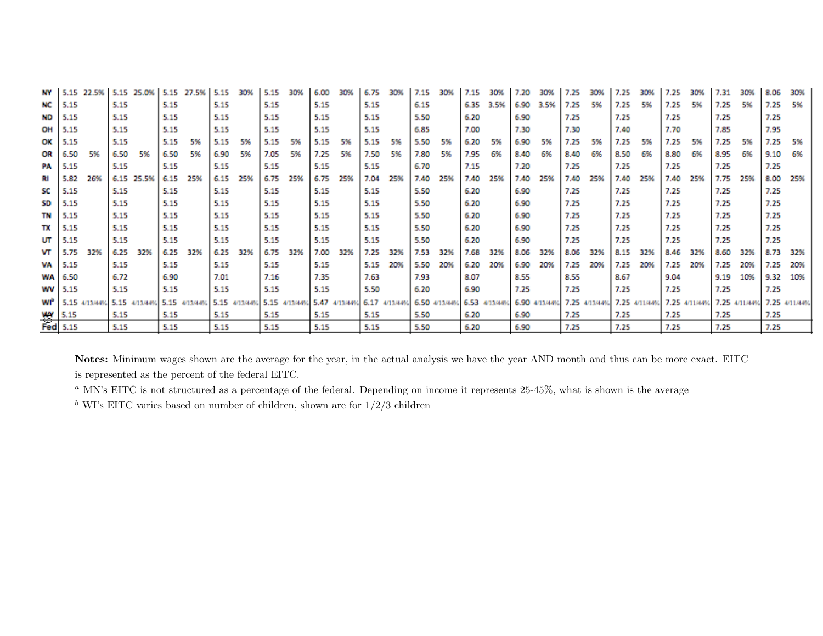| NΥ      |               | 22.5% | 5.15 | 25.0%         | 5.15 | 27.5%         | 5.15          | 30% | 5.15 |               | 6.00          | 309 | 6.75          |     |      | 30%                         | 7.15 | 30%  |               |      |      |               | 7.25 |                             |      |     |      | 30%           | 8.06 | 30%           |
|---------|---------------|-------|------|---------------|------|---------------|---------------|-----|------|---------------|---------------|-----|---------------|-----|------|-----------------------------|------|------|---------------|------|------|---------------|------|-----------------------------|------|-----|------|---------------|------|---------------|
| NС      | 5.15          |       | 5.15 |               | 5.15 |               | 5.15          |     | 5.15 |               | 5.15          |     | 5.15          |     | 6.15 |                             | 6.35 | 3.5% | 6.90          | 3.5% | 7.25 | 5%            | 7.25 | 5%                          | 7.25 | 5%  | 7.25 | 5%            | 7.25 | 5%            |
| ND      | 5.15          |       | 5.15 |               | 5.15 |               | 5.15          |     | 5.15 |               | 5.15          |     | 5.15          |     | 5.50 |                             | 6.20 |      | 6.90          |      | 7.25 |               | 7.25 |                             | 7.25 |     | 7.25 |               | 7.25 |               |
| OН      | 5.15          |       | 5.15 |               | 5.15 |               | 5.15          |     | 5.15 |               | 5.15          |     | 5.15          |     | 6.85 |                             | 7.00 |      | 7.30          |      | 7.30 |               | 7.40 |                             | 7.70 |     | 7.85 |               | 7.95 |               |
| ОΚ      | 5.15          |       | 5.15 |               | 5.15 | 5%            | 5.15          | -5% | 5.15 | 5%            | 5.15          | 5%  | 5.15          | 5%  | 5.50 | 5%                          | 6.20 | -5%  | 6.90          | 5%   | 7.25 | 5%            | 7.25 | 5%                          | 7.25 | 5%  | 7.25 | 5%            | 7.25 | 5%            |
| OR      | 6.50          | 5%    | 6.50 | 5%            | 6.50 | 5%            | 6.90          | 5%  | 7.05 | 5%            | 7.25          | 5%  | 7.50          | 5%  | 7.80 | 5%                          | 7.95 | 6%   | 8.40          | 6%   | 8.40 | 6%            | 8.50 | 6%                          | 8.80 | 6%  | 8.95 | 6%            | 9.10 | 6%            |
| PA      | 5.15          |       | 5.15 |               | 5.15 |               | 5.15          |     | 5.15 |               | 5.15          |     | 5.15          |     | 6.70 |                             | 7.15 |      | 7.20          |      | 7.25 |               | 7.25 |                             | 7.25 |     | 7.25 |               | 7.25 |               |
| RI      | 5.82          | 26%   |      | 6.15 25.5%    | 6.15 | 25%           | 6.15          | 25% | 6.75 | 25%           | 6.75          | 25% | 7.04          | 25% | 7.40 | 25%                         | 7.40 | 25%  | 7.40          | 25%  | 7.40 | 25%           | 7.40 | 25%                         | 7.40 | 25% | 7.75 | 25%           | 8.00 | 25%           |
| SC      | 5.15          |       | 5.15 |               | 5.15 |               | 5.15          |     | 5.15 |               | 5.15          |     | 5.15          |     | 5.50 |                             | 6.20 |      | 6.90          |      | 7.25 |               | 7.25 |                             | 7.25 |     | 7.25 |               | 7.25 |               |
| SD      | 5.15          |       | 5.15 |               | 5.15 |               | 5.15          |     | 5.15 |               | 5.15          |     | 5.15          |     | 5.50 |                             | 6.20 |      | 6.90          |      | 7.25 |               | 7.25 |                             | 7.25 |     | 7.25 |               | 7.25 |               |
| TN      | 5.15          |       | 5.15 |               | 5.15 |               | 5.15          |     | 5.15 |               | 5.15          |     | 5.15          |     | 5.50 |                             | 6.20 |      | 6.90          |      | 7.25 |               | 7.25 |                             | 7.25 |     | 7.25 |               | 7.25 |               |
| тх      | 5.15          |       | 5.15 |               | 5.15 |               | 5.15          |     | 5.15 |               | 5.15          |     | 5.15          |     | 5.50 |                             | 6.20 |      | 6.90          |      | 7.25 |               | 7.25 |                             | 7.25 |     | 7.25 |               | 7.25 |               |
| UΤ      | 5.15          |       | 5.15 |               | 5.15 |               | 5.15          |     | 5.15 |               | 5.15          |     | 5.15          |     | 5.50 |                             | 6.20 |      | 6.90          |      | 7.25 |               | 7.25 |                             | 7.25 |     | 7.25 |               | 7.25 |               |
| VТ      | 5.75          | 32%   | 6.25 | 32%           | 6.25 | 32%           | 6.25          | 32% | 6.75 | 32%           | 7.00          | 32% | 7.25          | 32% | 7.53 | 32%                         | 7.68 | 32%  | 8.06          | 32%  | 8.06 | 32%           | 8.15 | 329                         | 8.46 | 32% | 8.60 | 32%           | 8.73 | 32%           |
| VA      | 5.15          |       | 5.15 |               | 5.15 |               | 5.15          |     | 5.15 |               | 5.15          |     | 5.15          | 20% | 5.50 | 20%                         | 6.20 | 20%  | 6.90          | 20%  | 7.25 | 20%           | 7.25 | 20%                         | 7.25 | 20% | 7.25 | 20%           | 7.25 | 20%           |
|         | WA 6.50       |       | 6.72 |               | 6.90 |               | 7.01          |     | 7.16 |               | 7.35          |     | 7.63          |     | 7.93 |                             | 8.07 |      | 8.55          |      | 8.55 |               | 8.67 |                             | 9.04 |     | 9.19 | 10%           | 9.32 | 10%           |
| WV 5.15 |               |       | 5.15 |               | 5.15 |               | 5.15          |     | 5.15 |               | 5.15          |     | 5.50          |     | 6.20 |                             | 6.90 |      | 7.25          |      | 7.25 |               | 7.25 |                             | 7.25 |     | 7.25 |               | 7.25 |               |
| wr'     | 5.15 4/13/44% |       |      | 5.15 4/13/44% |      | 5.15 4/13/44% | 5.15 4/13/449 |     |      | 5.15 4/13/44% | 5.47 4/13/44% |     | 6.17 4/13/449 |     |      | 6.50 4/13/44% 6.53 4/13/44% |      |      | 6.90 4/13/449 |      |      | 7.25 4/13/44% |      | 7.25 4/11/44% 7.25 4/11/44% |      |     |      | 7.25 4/11/44% |      | 7.25 4/11/44% |
|         |               |       | 5.15 |               | 5.15 |               | 5.15          |     | 5.15 |               | 5.15          |     | 5.15          |     | 5.50 |                             | 6.20 |      | 6.90          |      | 7.25 |               | 7.25 |                             | 7.25 |     | 7.25 |               | 7.25 |               |
|         | Way 5.15      |       | 5.15 |               | 5.15 |               | 5.15          |     | 5.15 |               | 5.15          |     | 5.15          |     | 5.50 |                             | 6.20 |      | 6.90          |      | 7.25 |               | 7.25 |                             | 7.25 |     | 7.25 |               | 7.25 |               |

Notes: Minimum wages shown are the average for the year, in the actual analysis we have the year AND month and thus can be more exact. EITCis represented as the percent of the federal EITC.

 $^a$  MN's EITC is not structured as a percentage of the federal. Depending on income it represents 25-45%, what is shown is the average

<sup>b</sup> WI's EITC varies based on number of children, shown are for  $1/2/3$  children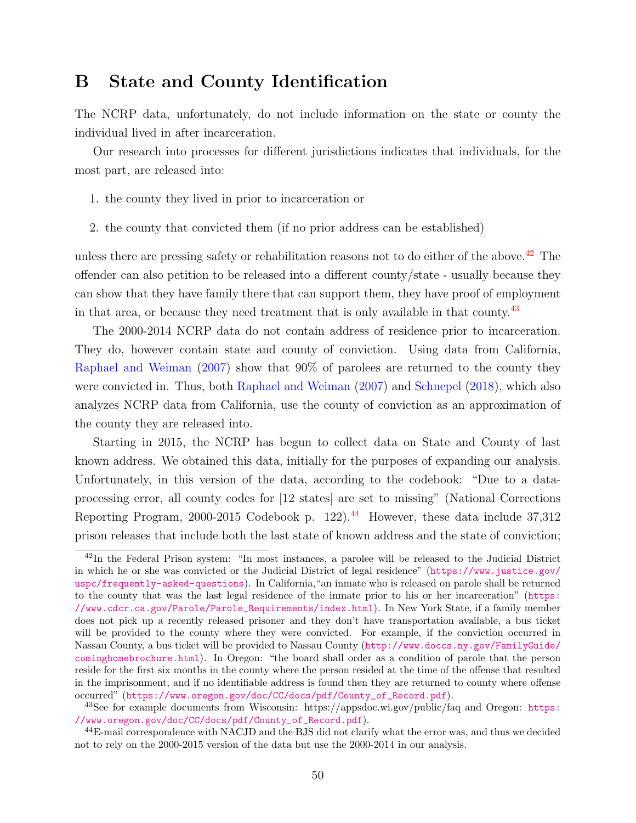### <span id="page-49-0"></span>B State and County Identification

The NCRP data, unfortunately, do not include information on the state or county the individual lived in after incarceration.

Our research into processes for different jurisdictions indicates that individuals, for the most part, are released into:

- 1. the county they lived in prior to incarceration or
- 2. the county that convicted them (if no prior address can be established)

unless there are pressing safety or rehabilitation reasons not to do either of the above.<sup>[42](#page-49-1)</sup> The offender can also petition to be released into a different county/state - usually because they can show that they have family there that can support them, they have proof of employment in that area, or because they need treatment that is only available in that county.[43](#page-49-2)

The 2000-2014 NCRP data do not contain address of residence prior to incarceration. They do, however contain state and county of conviction. Using data from California, [Raphael and Weiman](#page-30-0) [\(2007\)](#page-30-0) show that 90% of parolees are returned to the county they were convicted in. Thus, both [Raphael and Weiman](#page-30-0) [\(2007\)](#page-30-0) and [Schnepel](#page-30-1) [\(2018\)](#page-30-1), which also analyzes NCRP data from California, use the county of conviction as an approximation of the county they are released into.

Starting in 2015, the NCRP has begun to collect data on State and County of last known address. We obtained this data, initially for the purposes of expanding our analysis. Unfortunately, in this version of the data, according to the codebook: "Due to a dataprocessing error, all county codes for [12 states] are set to missing" (National Corrections Reporting Program, 2000-2015 Codebook p. 122).<sup>[44](#page-49-3)</sup> However, these data include 37,312 prison releases that include both the last state of known address and the state of conviction;

<span id="page-49-1"></span><sup>42</sup>In the Federal Prison system: "In most instances, a parolee will be released to the Judicial District in which he or she was convicted or the Judicial District of legal residence" ([https://www.justice.gov/](https://www.justice.gov/uspc/frequently-asked-questions) [uspc/frequently-asked-questions](https://www.justice.gov/uspc/frequently-asked-questions)). In California,"an inmate who is released on parole shall be returned to the county that was the last legal residence of the inmate prior to his or her incarceration" ([https:](https://www.cdcr.ca.gov/Parole/Parole_Requirements/index.html) [//www.cdcr.ca.gov/Parole/Parole\\_Requirements/index.html](https://www.cdcr.ca.gov/Parole/Parole_Requirements/index.html)). In New York State, if a family member does not pick up a recently released prisoner and they don't have transportation available, a bus ticket will be provided to the county where they were convicted. For example, if the conviction occurred in Nassau County, a bus ticket will be provided to Nassau County ([http://www.doccs.ny.gov/FamilyGuide/](http://www.doccs.ny.gov/FamilyGuide/cominghomebrochure.html) [cominghomebrochure.html](http://www.doccs.ny.gov/FamilyGuide/cominghomebrochure.html)). In Oregon: "the board shall order as a condition of parole that the person reside for the first six months in the county where the person resided at the time of the offense that resulted in the imprisonment, and if no identifiable address is found then they are returned to county where offense occurred" ([https://www.oregon.gov/doc/CC/docs/pdf/County\\_of\\_Record.pdf](https://www.oregon.gov/doc/CC/docs/pdf/County_of_Record.pdf)).

<span id="page-49-2"></span><sup>&</sup>lt;sup>43</sup>See for example documents from Wisconsin: [https:](https://www.oregon.gov/doc/CC/docs/pdf/County_of_Record.pdf)//appsdoc.wi.gov/public/faq and Oregon: https: [//www.oregon.gov/doc/CC/docs/pdf/County\\_of\\_Record.pdf](https://www.oregon.gov/doc/CC/docs/pdf/County_of_Record.pdf)).

<span id="page-49-3"></span><sup>&</sup>lt;sup>44</sup>E-mail correspondence with NACJD and the BJS did not clarify what the error was, and thus we decided not to rely on the 2000-2015 version of the data but use the 2000-2014 in our analysis.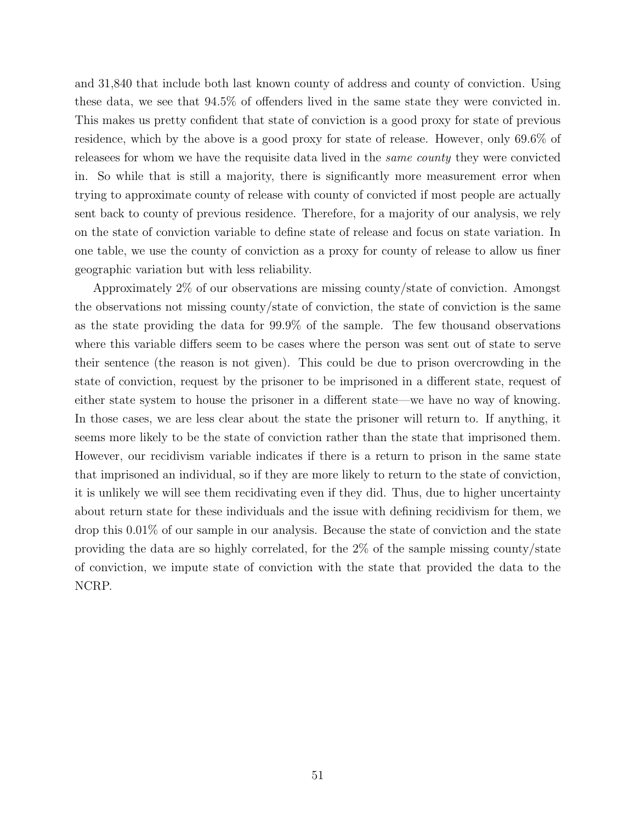and 31,840 that include both last known county of address and county of conviction. Using these data, we see that 94.5% of offenders lived in the same state they were convicted in. This makes us pretty confident that state of conviction is a good proxy for state of previous residence, which by the above is a good proxy for state of release. However, only 69.6% of releasees for whom we have the requisite data lived in the same county they were convicted in. So while that is still a majority, there is significantly more measurement error when trying to approximate county of release with county of convicted if most people are actually sent back to county of previous residence. Therefore, for a majority of our analysis, we rely on the state of conviction variable to define state of release and focus on state variation. In one table, we use the county of conviction as a proxy for county of release to allow us finer geographic variation but with less reliability.

Approximately 2% of our observations are missing county/state of conviction. Amongst the observations not missing county/state of conviction, the state of conviction is the same as the state providing the data for 99.9% of the sample. The few thousand observations where this variable differs seem to be cases where the person was sent out of state to serve their sentence (the reason is not given). This could be due to prison overcrowding in the state of conviction, request by the prisoner to be imprisoned in a different state, request of either state system to house the prisoner in a different state—we have no way of knowing. In those cases, we are less clear about the state the prisoner will return to. If anything, it seems more likely to be the state of conviction rather than the state that imprisoned them. However, our recidivism variable indicates if there is a return to prison in the same state that imprisoned an individual, so if they are more likely to return to the state of conviction, it is unlikely we will see them recidivating even if they did. Thus, due to higher uncertainty about return state for these individuals and the issue with defining recidivism for them, we drop this 0.01% of our sample in our analysis. Because the state of conviction and the state providing the data are so highly correlated, for the 2% of the sample missing county/state of conviction, we impute state of conviction with the state that provided the data to the NCRP.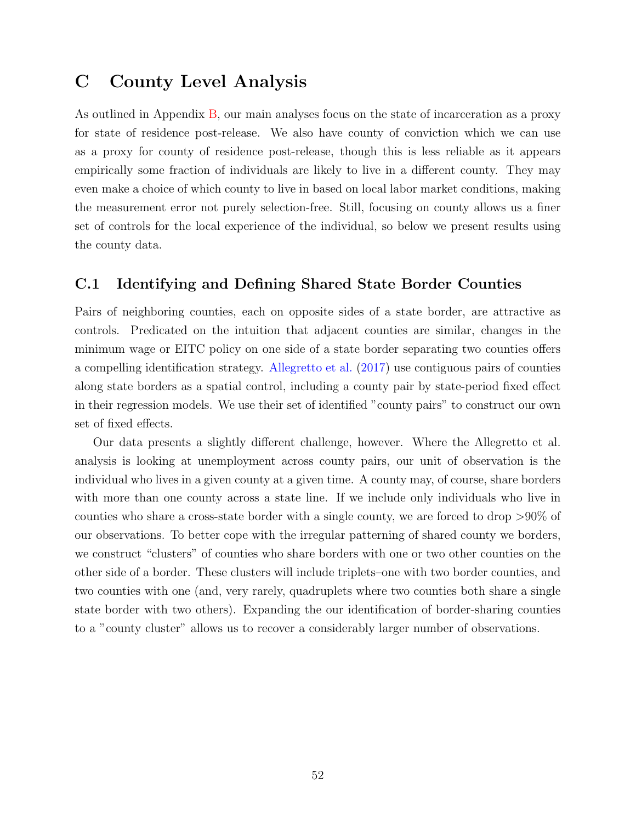### <span id="page-51-0"></span>C County Level Analysis

As outlined in Appendix [B,](#page-49-0) our main analyses focus on the state of incarceration as a proxy for state of residence post-release. We also have county of conviction which we can use as a proxy for county of residence post-release, though this is less reliable as it appears empirically some fraction of individuals are likely to live in a different county. They may even make a choice of which county to live in based on local labor market conditions, making the measurement error not purely selection-free. Still, focusing on county allows us a finer set of controls for the local experience of the individual, so below we present results using the county data.

#### <span id="page-51-1"></span>C.1 Identifying and Defining Shared State Border Counties

Pairs of neighboring counties, each on opposite sides of a state border, are attractive as controls. Predicated on the intuition that adjacent counties are similar, changes in the minimum wage or EITC policy on one side of a state border separating two counties offers a compelling identification strategy. [Allegretto et al.](#page-26-4) [\(2017\)](#page-26-4) use contiguous pairs of counties along state borders as a spatial control, including a county pair by state-period fixed effect in their regression models. We use their set of identified "county pairs" to construct our own set of fixed effects.

Our data presents a slightly different challenge, however. Where the Allegretto et al. analysis is looking at unemployment across county pairs, our unit of observation is the individual who lives in a given county at a given time. A county may, of course, share borders with more than one county across a state line. If we include only individuals who live in counties who share a cross-state border with a single county, we are forced to drop >90% of our observations. To better cope with the irregular patterning of shared county we borders, we construct "clusters" of counties who share borders with one or two other counties on the other side of a border. These clusters will include triplets–one with two border counties, and two counties with one (and, very rarely, quadruplets where two counties both share a single state border with two others). Expanding the our identification of border-sharing counties to a "county cluster" allows us to recover a considerably larger number of observations.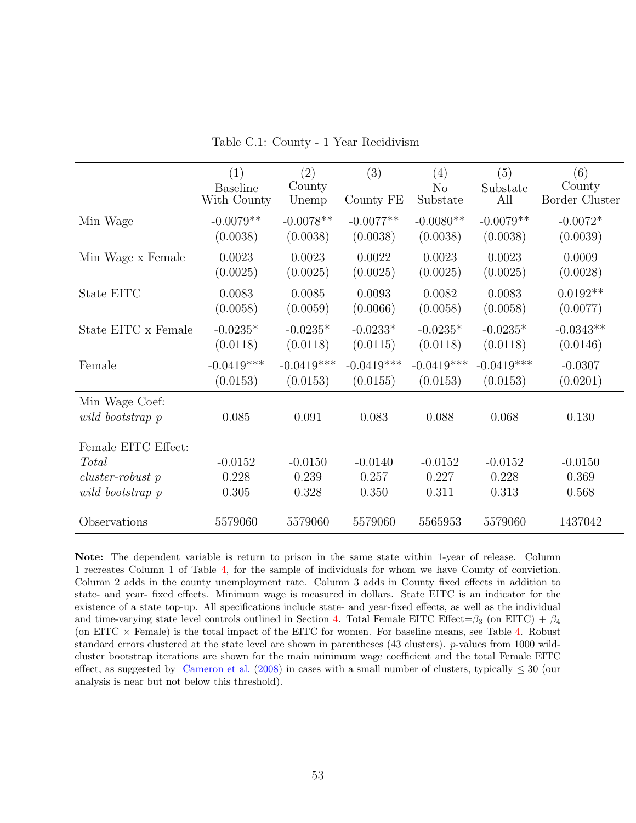<span id="page-52-0"></span>

|                     |                        |               | (3)          | (4)            | (5)          | (6)                   |
|---------------------|------------------------|---------------|--------------|----------------|--------------|-----------------------|
|                     | (1)<br><b>Baseline</b> | (2)<br>County |              | N <sub>o</sub> | Substate     | County                |
|                     | With County            | Unemp         | County FE    | Substate       | All          | <b>Border Cluster</b> |
| Min Wage            | $-0.0079**$            | $-0.0078**$   | $-0.0077**$  | $-0.0080**$    | $-0.0079**$  | $-0.0072*$            |
|                     | (0.0038)               | (0.0038)      | (0.0038)     | (0.0038)       | (0.0038)     | (0.0039)              |
| Min Wage x Female   | 0.0023                 | 0.0023        | 0.0022       | 0.0023         | 0.0023       | 0.0009                |
|                     | (0.0025)               | (0.0025)      | (0.0025)     | (0.0025)       | (0.0025)     | (0.0028)              |
| State EITC          | 0.0083                 | 0.0085        | 0.0093       | 0.0082         | 0.0083       | $0.0192**$            |
|                     | (0.0058)               | (0.0059)      | (0.0066)     | (0.0058)       | (0.0058)     | (0.0077)              |
| State EITC x Female | $-0.0235*$             | $-0.0235*$    | $-0.0233*$   | $-0.0235*$     | $-0.0235*$   | $-0.0343**$           |
|                     | (0.0118)               | (0.0118)      | (0.0115)     | (0.0118)       | (0.0118)     | (0.0146)              |
| Female              | $-0.0419***$           | $-0.0419***$  | $-0.0419***$ | $-0.0419***$   | $-0.0419***$ | $-0.0307$             |
|                     | (0.0153)               | (0.0153)      | (0.0155)     | (0.0153)       | (0.0153)     | (0.0201)              |
| Min Wage Coef:      |                        |               |              |                |              |                       |
| wild bootstrap p    | 0.085                  | 0.091         | 0.083        | 0.088          | 0.068        | 0.130                 |
| Female EITC Effect: |                        |               |              |                |              |                       |
| Total               | $-0.0152$              | $-0.0150$     | $-0.0140$    | $-0.0152$      | $-0.0152$    | $-0.0150$             |
| cluster-robust p    | 0.228                  | 0.239         | 0.257        | 0.227          | 0.228        | 0.369                 |
| wild bootstrap p    | 0.305                  | 0.328         | 0.350        | 0.311          | 0.313        | 0.568                 |
|                     |                        |               |              |                |              |                       |
| Observations        | 5579060                | 5579060       | 5579060      | 5565953        | 5579060      | 1437042               |

Table C.1: County - 1 Year Recidivism

Note: The dependent variable is return to prison in the same state within 1-year of release. Column 1 recreates Column 1 of Table [4,](#page-39-0) for the sample of individuals for whom we have County of conviction. Column 2 adds in the county unemployment rate. Column 3 adds in County fixed effects in addition to state- and year- fixed effects. Minimum wage is measured in dollars. State EITC is an indicator for the existence of a state top-up. All specifications include state- and year-fixed effects, as well as the individual and time-varying state level controls outlined in Section [4.](#page-11-2) Total Female EITC Effect= $\beta_3$  (on EITC) +  $\beta_4$ (on EITC  $\times$  Female) is the total impact of the EITC for women. For baseline means, see Table [4.](#page-39-0) Robust standard errors clustered at the state level are shown in parentheses (43 clusters). p-values from 1000 wildcluster bootstrap iterations are shown for the main minimum wage coefficient and the total Female EITC effect, as suggested by [Cameron et al.](#page-26-11) [\(2008\)](#page-26-11) in cases with a small number of clusters, typically  $\leq 30$  (our analysis is near but not below this threshold).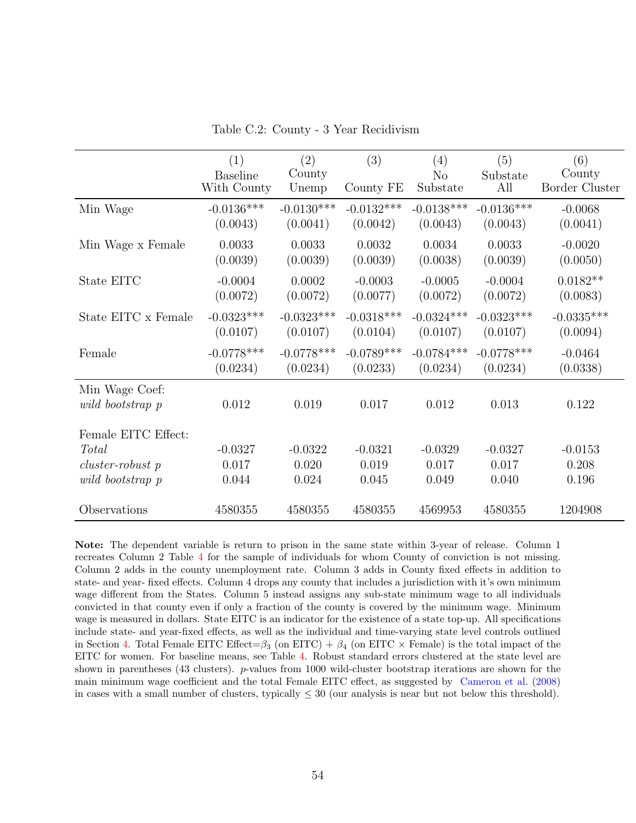|  |  |  |  | Table C.2: County - 3 Year Recidivism |
|--|--|--|--|---------------------------------------|
|--|--|--|--|---------------------------------------|

<span id="page-53-0"></span>

|                                                                        | (1)                            | (2)                         | (3)                         | (4)                         | (5)                         | (6)                             |
|------------------------------------------------------------------------|--------------------------------|-----------------------------|-----------------------------|-----------------------------|-----------------------------|---------------------------------|
|                                                                        | <b>Baseline</b><br>With County | County<br>Unemp             | County FE                   | N <sub>o</sub><br>Substate  | Substate<br>All             | County<br><b>Border Cluster</b> |
| Min Wage                                                               | $-0.0136***$                   | $-0.0130***$                | $-0.0132***$                | $-0.0138***$                | $-0.0136***$                | $-0.0068$                       |
|                                                                        | (0.0043)                       | (0.0041)                    | (0.0042)                    | (0.0043)                    | (0.0043)                    | (0.0041)                        |
| Min Wage x Female                                                      | 0.0033                         | 0.0033                      | 0.0032                      | 0.0034                      | 0.0033                      | $-0.0020$                       |
|                                                                        | (0.0039)                       | (0.0039)                    | (0.0039)                    | (0.0038)                    | (0.0039)                    | (0.0050)                        |
| State EITC                                                             | $-0.0004$                      | 0.0002                      | $-0.0003$                   | $-0.0005$                   | $-0.0004$                   | $0.0182**$                      |
|                                                                        | (0.0072)                       | (0.0072)                    | (0.0077)                    | (0.0072)                    | (0.0072)                    | (0.0083)                        |
| State EITC x Female                                                    | $-0.0323***$                   | $-0.0323***$                | $-0.0318***$                | $-0.0324***$                | $-0.0323***$                | $-0.0335***$                    |
|                                                                        | (0.0107)                       | (0.0107)                    | (0.0104)                    | (0.0107)                    | (0.0107)                    | (0.0094)                        |
| Female                                                                 | $-0.0778***$                   | $-0.0778***$                | $-0.0789***$                | $-0.0784***$                | $-0.0778***$                | $-0.0464$                       |
|                                                                        | (0.0234)                       | (0.0234)                    | (0.0233)                    | (0.0234)                    | (0.0234)                    | (0.0338)                        |
| Min Wage Coef:<br>wild bootstrap p                                     | 0.012                          | 0.019                       | 0.017                       | 0.012                       | 0.013                       | 0.122                           |
| Female EITC Effect:<br>Total<br>$cluster-robust$ p<br>wild bootstrap p | $-0.0327$<br>0.017<br>0.044    | $-0.0322$<br>0.020<br>0.024 | $-0.0321$<br>0.019<br>0.045 | $-0.0329$<br>0.017<br>0.049 | $-0.0327$<br>0.017<br>0.040 | $-0.0153$<br>0.208<br>0.196     |
| Observations                                                           | 4580355                        | 4580355                     | 4580355                     | 4569953                     | 4580355                     | 1204908                         |

Note: The dependent variable is return to prison in the same state within 3-year of release. Column 1 recreates Column 2 Table [4](#page-39-0) for the sample of individuals for whom County of conviction is not missing. Column 2 adds in the county unemployment rate. Column 3 adds in County fixed effects in addition to state- and year- fixed effects. Column 4 drops any county that includes a jurisdiction with it's own minimum wage different from the States. Column 5 instead assigns any sub-state minimum wage to all individuals convicted in that county even if only a fraction of the county is covered by the minimum wage. Minimum wage is measured in dollars. State EITC is an indicator for the existence of a state top-up. All specifications include state- and year-fixed effects, as well as the individual and time-varying state level controls outlined in Section [4.](#page-11-2) Total Female EITC Effect= $\beta_3$  (on EITC) +  $\beta_4$  (on EITC  $\times$  Female) is the total impact of the EITC for women. For baseline means, see Table [4.](#page-39-0) Robust standard errors clustered at the state level are shown in parentheses (43 clusters). p-values from 1000 wild-cluster bootstrap iterations are shown for the main minimum wage coefficient and the total Female EITC effect, as suggested by [Cameron et al.](#page-26-11) [\(2008\)](#page-26-11) in cases with a small number of clusters, typically  $\leq 30$  (our analysis is near but not below this threshold).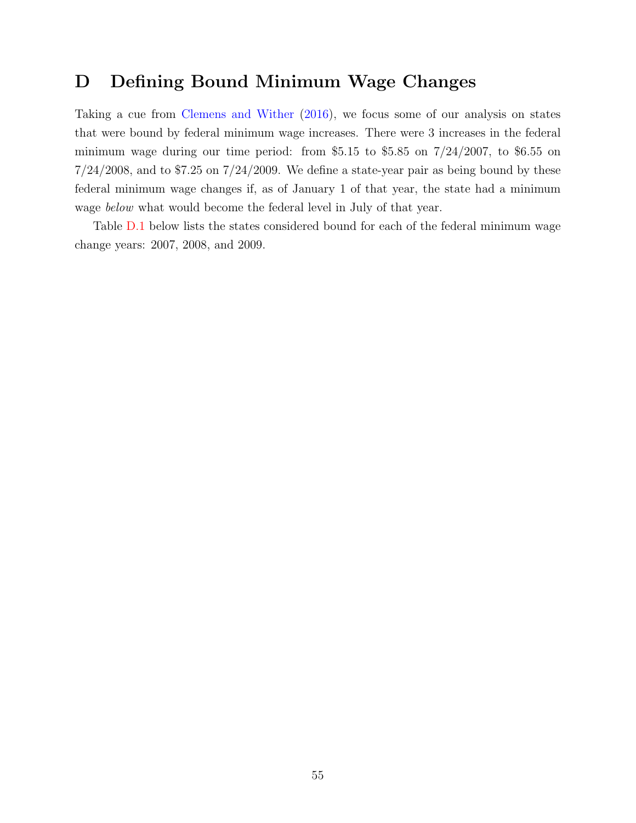### <span id="page-54-0"></span>D Defining Bound Minimum Wage Changes

Taking a cue from [Clemens and Wither](#page-27-9) [\(2016\)](#page-27-9), we focus some of our analysis on states that were bound by federal minimum wage increases. There were 3 increases in the federal minimum wage during our time period: from \$5.15 to \$5.85 on  $7/24/2007$ , to \$6.55 on  $7/24/2008$ , and to \$7.25 on  $7/24/2009$ . We define a state-year pair as being bound by these federal minimum wage changes if, as of January 1 of that year, the state had a minimum wage *below* what would become the federal level in July of that year.

Table [D.1](#page-55-0) below lists the states considered bound for each of the federal minimum wage change years: 2007, 2008, and 2009.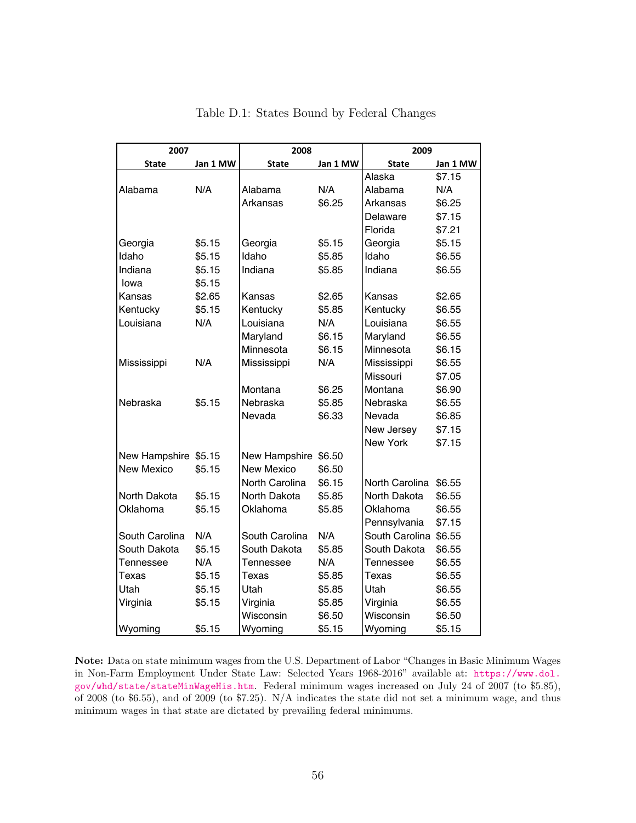<span id="page-55-0"></span>

| 2007                 |          | 2008              |          | 2009                  |          |  |  |  |
|----------------------|----------|-------------------|----------|-----------------------|----------|--|--|--|
| <b>State</b>         | Jan 1 MW | <b>State</b>      | Jan 1 MW | <b>State</b>          | Jan 1 MW |  |  |  |
|                      |          |                   |          | Alaska                | \$7.15   |  |  |  |
| Alabama              | N/A      | Alabama           | N/A      | Alabama               | N/A      |  |  |  |
|                      |          | Arkansas          | \$6.25   | Arkansas              | \$6.25   |  |  |  |
|                      |          |                   |          | Delaware              | \$7.15   |  |  |  |
|                      |          |                   |          | Florida               | \$7.21   |  |  |  |
| Georgia              | \$5.15   | Georgia           | \$5.15   | Georgia               | \$5.15   |  |  |  |
| Idaho                | \$5.15   | Idaho             | \$5.85   | Idaho                 | \$6.55   |  |  |  |
| Indiana              | \$5.15   | Indiana           | \$5.85   | Indiana               | \$6.55   |  |  |  |
| lowa                 | \$5.15   |                   |          |                       |          |  |  |  |
| Kansas               | \$2.65   | Kansas            | \$2.65   | Kansas                | \$2.65   |  |  |  |
| Kentucky             | \$5.15   | Kentucky          | \$5.85   | Kentucky              | \$6.55   |  |  |  |
| Louisiana            | N/A      | Louisiana         | N/A      | Louisiana             | \$6.55   |  |  |  |
|                      |          | Maryland          | \$6.15   | Maryland              | \$6.55   |  |  |  |
|                      |          | Minnesota         | \$6.15   | Minnesota             | \$6.15   |  |  |  |
| Mississippi          | N/A      | Mississippi       | N/A      | Mississippi           | \$6.55   |  |  |  |
|                      |          |                   |          | Missouri              | \$7.05   |  |  |  |
|                      |          | Montana           | \$6.25   | Montana               | \$6.90   |  |  |  |
| Nebraska             | \$5.15   | Nebraska          | \$5.85   | Nebraska              | \$6.55   |  |  |  |
|                      |          | Nevada            | \$6.33   | Nevada                | \$6.85   |  |  |  |
|                      |          |                   |          | New Jersey            | \$7.15   |  |  |  |
|                      |          |                   |          | New York              | \$7.15   |  |  |  |
| New Hampshire \$5.15 |          | New Hampshire     | \$6.50   |                       |          |  |  |  |
| <b>New Mexico</b>    | \$5.15   | <b>New Mexico</b> | \$6.50   |                       |          |  |  |  |
|                      |          | North Carolina    | \$6.15   | North Carolina        | \$6.55   |  |  |  |
| North Dakota         | \$5.15   | North Dakota      | \$5.85   | North Dakota          | \$6.55   |  |  |  |
| Oklahoma             | \$5.15   | Oklahoma          | \$5.85   | Oklahoma              | \$6.55   |  |  |  |
|                      |          |                   |          | Pennsylvania          | \$7.15   |  |  |  |
| South Carolina       | N/A      | South Carolina    | N/A      | South Carolina \$6.55 |          |  |  |  |
| South Dakota         | \$5.15   | South Dakota      | \$5.85   | South Dakota          | \$6.55   |  |  |  |
| Tennessee            | N/A      | Tennessee         | N/A      | Tennessee             | \$6.55   |  |  |  |
| Texas                | \$5.15   | Texas             | \$5.85   | Texas                 | \$6.55   |  |  |  |
| Utah                 | \$5.15   | Utah              | \$5.85   | Utah                  | \$6.55   |  |  |  |
| Virginia             | \$5.15   | Virginia          | \$5.85   | Virginia              | \$6.55   |  |  |  |
|                      |          | Wisconsin         | \$6.50   | Wisconsin             | \$6.50   |  |  |  |
| Wyoming              | \$5.15   | Wyoming           | \$5.15   | Wyoming               | \$5.15   |  |  |  |

Table D.1: States Bound by Federal Changes

Note: Data on state minimum wages from the U.S. Department of Labor "Changes in Basic Minimum Wages in Non-Farm Employment Under State Law: Selected Years 1968-2016" available at: [https://www.dol.](https://www.dol.gov/whd/state/stateMinWageHis.htm) [gov/whd/state/stateMinWageHis.htm](https://www.dol.gov/whd/state/stateMinWageHis.htm). Federal minimum wages increased on July 24 of 2007 (to \$5.85), of 2008 (to \$6.55), and of 2009 (to \$7.25). N/A indicates the state did not set a minimum wage, and thus minimum wages in that state are dictated by prevailing federal minimums.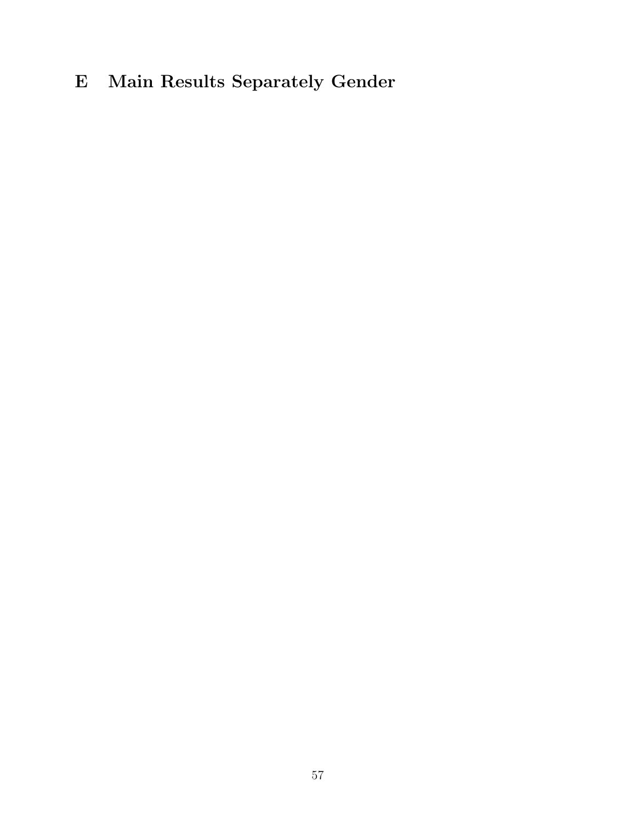# <span id="page-56-0"></span>E Main Results Separately Gender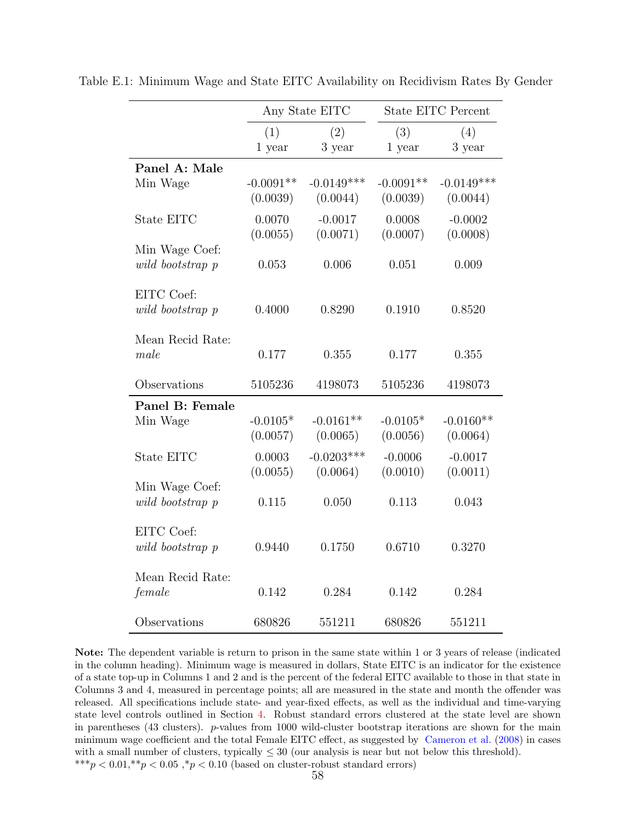|                                    |                         | Any State EITC           |                         | <b>State EITC Percent</b> |
|------------------------------------|-------------------------|--------------------------|-------------------------|---------------------------|
|                                    | (1)                     | (2)                      | (3)                     | (4)                       |
|                                    | 1 year                  | 3 year                   | 1 year                  | 3 year                    |
| Panel A: Male                      |                         |                          |                         |                           |
| Min Wage                           | $-0.0091**$<br>(0.0039) | $-0.0149***$<br>(0.0044) | $-0.0091**$<br>(0.0039) | $-0.0149***$<br>(0.0044)  |
| State EITC                         | 0.0070<br>(0.0055)      | $-0.0017$<br>(0.0071)    | 0.0008<br>(0.0007)      | $-0.0002$<br>(0.0008)     |
| Min Wage Coef:<br>wild bootstrap p | 0.053                   | 0.006                    | 0.051                   | 0.009                     |
| EITC Coef:<br>wild bootstrap p     | 0.4000                  | 0.8290                   | 0.1910                  | 0.8520                    |
| Mean Recid Rate:<br>male           | 0.177                   | 0.355                    | 0.177                   | 0.355                     |
| Observations                       | 5105236                 | 4198073                  | 5105236                 | 4198073                   |
| Panel B: Female<br>Min Wage        | $-0.0105*$<br>(0.0057)  | $-0.0161**$<br>(0.0065)  | $-0.0105*$<br>(0.0056)  | $-0.0160**$<br>(0.0064)   |
| State EITC                         | 0.0003<br>(0.0055)      | $-0.0203***$<br>(0.0064) | $-0.0006$<br>(0.0010)   | $-0.0017$<br>(0.0011)     |
| Min Wage Coef:<br>wild bootstrap p | 0.115                   | 0.050                    | 0.113                   | 0.043                     |
| EITC Coef:<br>wild bootstrap p     | 0.9440                  | 0.1750                   | 0.6710                  | 0.3270                    |
| Mean Recid Rate:<br>female         | 0.142                   | 0.284                    | 0.142                   | 0.284                     |
| Observations                       | 680826                  | 551211                   | 680826                  | 551211                    |

<span id="page-57-0"></span>Table E.1: Minimum Wage and State EITC Availability on Recidivism Rates By Gender

Note: The dependent variable is return to prison in the same state within 1 or 3 years of release (indicated in the column heading). Minimum wage is measured in dollars, State EITC is an indicator for the existence of a state top-up in Columns 1 and 2 and is the percent of the federal EITC available to those in that state in Columns 3 and 4, measured in percentage points; all are measured in the state and month the offender was released. All specifications include state- and year-fixed effects, as well as the individual and time-varying state level controls outlined in Section [4.](#page-11-2) Robust standard errors clustered at the state level are shown in parentheses (43 clusters). p-values from 1000 wild-cluster bootstrap iterations are shown for the main minimum wage coefficient and the total Female EITC effect, as suggested by [Cameron et al.](#page-26-11) [\(2008\)](#page-26-11) in cases with a small number of clusters, typically  $\leq 30$  (our analysis is near but not below this threshold). \*\*\*p < 0.01,\*\*p < 0.05,\*p < 0.10 (based on cluster-robust standard errors)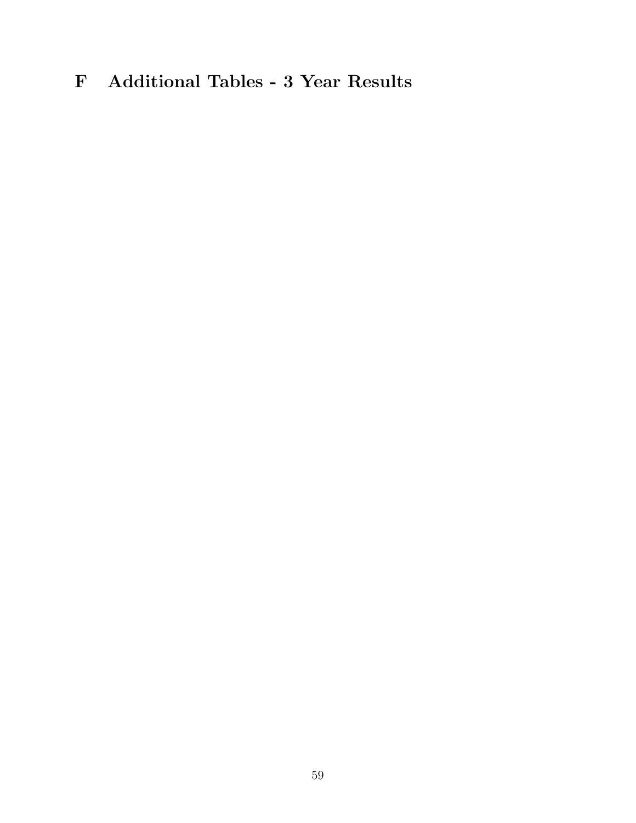# <span id="page-58-0"></span>F Additional Tables - 3 Year Results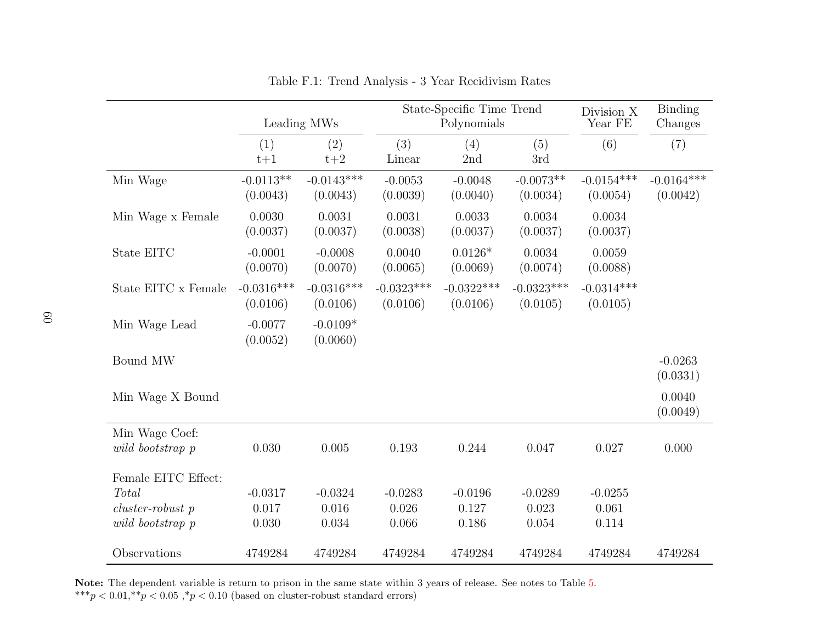|                     |                          | Leading MWs              |                          | State-Specific Time Trend<br>Polynomials |                          | Division X<br>Year FE    | Binding<br>Changes       |
|---------------------|--------------------------|--------------------------|--------------------------|------------------------------------------|--------------------------|--------------------------|--------------------------|
|                     | (1)<br>$t+1$             | (2)<br>$t+2$             | (3)<br>Linear            | (4)<br>2nd                               | (5)<br>3rd               | (6)                      | (7)                      |
| Min Wage            | $-0.0113**$<br>(0.0043)  | $-0.0143***$<br>(0.0043) | $-0.0053$<br>(0.0039)    | $-0.0048$<br>(0.0040)                    | $-0.0073**$<br>(0.0034)  | $-0.0154***$<br>(0.0054) | $-0.0164***$<br>(0.0042) |
| Min Wage x Female   | 0.0030<br>(0.0037)       | 0.0031<br>(0.0037)       | 0.0031<br>(0.0038)       | 0.0033<br>(0.0037)                       | 0.0034<br>(0.0037)       | 0.0034<br>(0.0037)       |                          |
| State EITC          | $-0.0001$<br>(0.0070)    | $-0.0008$<br>(0.0070)    | 0.0040<br>(0.0065)       | $0.0126*$<br>(0.0069)                    | 0.0034<br>(0.0074)       | 0.0059<br>(0.0088)       |                          |
| State EITC x Female | $-0.0316***$<br>(0.0106) | $-0.0316***$<br>(0.0106) | $-0.0323***$<br>(0.0106) | $-0.0322***$<br>(0.0106)                 | $-0.0323***$<br>(0.0105) | $-0.0314***$<br>(0.0105) |                          |
| Min Wage Lead       | $-0.0077$<br>(0.0052)    | $-0.0109*$<br>(0.0060)   |                          |                                          |                          |                          |                          |
| Bound MW            |                          |                          |                          |                                          |                          |                          | $-0.0263$<br>(0.0331)    |
| Min Wage X Bound    |                          |                          |                          |                                          |                          |                          | 0.0040<br>(0.0049)       |
| Min Wage Coef:      |                          |                          |                          |                                          |                          |                          |                          |
| wild bootstrap p    | 0.030                    | 0.005                    | 0.193                    | 0.244                                    | 0.047                    | 0.027                    | 0.000                    |
| Female EITC Effect: |                          |                          |                          |                                          |                          |                          |                          |
| Total               | $-0.0317$                | $-0.0324$                | $-0.0283$                | $-0.0196$                                | $-0.0289$                | $-0.0255$                |                          |
| $cluster-robust$ p  | 0.017                    | 0.016                    | 0.026                    | 0.127                                    | 0.023                    | 0.061                    |                          |
| wild bootstrap p    | 0.030                    | 0.034                    | 0.066                    | 0.186                                    | 0.054                    | 0.114                    |                          |
| Observations        | 4749284                  | 4749284                  | 4749284                  | 4749284                                  | 4749284                  | 4749284                  | 4749284                  |

<span id="page-59-0"></span>Table F.1: Trend Analysis - 3 Year Recidivism Rates

Note: The dependent variable is return to prison in the same state within <sup>3</sup> years of release. See notes to Table [5.](#page-40-1) \*\*\* $p < 0.01,$ \*\* $p < 0.05,$ \* $p < 0.10$  (based on cluster-robust standard errors)